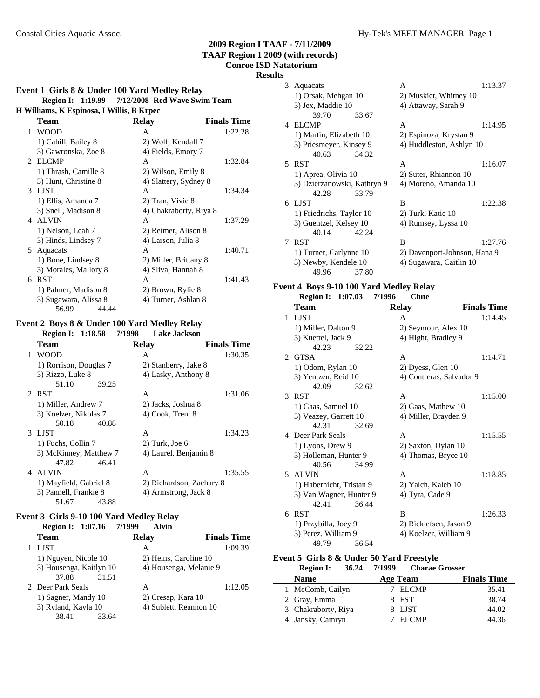# **2009 Region I TAAF - 7/11/2009**

**TAAF Region 1 2009 (with records) Conroe ISD Natatorium**

# **Results**

## **Event 1 Girls 8 & Under 100 Yard Medley Relay Region I:** 1:19.99 7/12/2008 Red Wave Swim Team **H Williams, K Espinosa, I Willis, B Krpec**

| т утинания, іх выринова, і утинія, в іхтрес |                       |                        |                    |  |
|---------------------------------------------|-----------------------|------------------------|--------------------|--|
|                                             | <b>Team</b>           | <b>Relay</b>           | <b>Finals Time</b> |  |
|                                             | 1 WOOD                | А                      | 1:22.28            |  |
|                                             | 1) Cahill, Bailey 8   | 2) Wolf, Kendall 7     |                    |  |
|                                             | 3) Gawronska, Zoe 8   | 4) Fields, Emory 7     |                    |  |
|                                             | 2 ELCMP               | A                      | 1:32.84            |  |
|                                             | 1) Thrash, Camille 8  | 2) Wilson, Emily 8     |                    |  |
|                                             | 3) Hunt, Christine 8  | 4) Slattery, Sydney 8  |                    |  |
|                                             | 3 LJST                | A                      | 1:34.34            |  |
|                                             | 1) Ellis, Amanda 7    | 2) Tran, Vivie 8       |                    |  |
|                                             | 3) Snell, Madison 8   | 4) Chakraborty, Riya 8 |                    |  |
|                                             | 4 ALVIN               | A                      | 1:37.29            |  |
|                                             | 1) Nelson, Leah 7     | 2) Reimer, Alison 8    |                    |  |
|                                             | 3) Hinds, Lindsey 7   | 4) Larson, Julia 8     |                    |  |
|                                             | 5 Aquacats            | A                      | 1:40.71            |  |
|                                             | 1) Bone, Lindsey 8    | 2) Miller, Brittany 8  |                    |  |
|                                             | 3) Morales, Mallory 8 | 4) Sliva, Hannah 8     |                    |  |
| 6                                           | <b>RST</b>            | A                      | 1:41.43            |  |
|                                             | 1) Palmer, Madison 8  | 2) Brown, Rylie 8      |                    |  |
|                                             | 3) Sugawara, Alissa 8 | 4) Turner, Ashlan 8    |                    |  |
|                                             | 44.44<br>56.99        |                        |                    |  |

# **Event 2 Boys 8 & Under 100 Yard Medley Relay**

| 7/1998<br><b>Lake Jackson</b> |                                                                                                                          |
|-------------------------------|--------------------------------------------------------------------------------------------------------------------------|
| Relay                         | <b>Finals Time</b>                                                                                                       |
| A                             | 1:30.35                                                                                                                  |
|                               |                                                                                                                          |
|                               |                                                                                                                          |
| 39.25                         |                                                                                                                          |
| A                             | 1:31.06                                                                                                                  |
| 2) Jacks, Joshua 8            |                                                                                                                          |
| 4) Cook, Trent 8              |                                                                                                                          |
| 40.88                         |                                                                                                                          |
| A                             | 1:34.23                                                                                                                  |
| $2)$ Turk, Joe 6              |                                                                                                                          |
| 3) McKinney, Matthew 7        |                                                                                                                          |
| 46.41                         |                                                                                                                          |
| A                             | 1:35.55                                                                                                                  |
|                               |                                                                                                                          |
|                               |                                                                                                                          |
| 43.88                         |                                                                                                                          |
|                               | 2) Stanberry, Jake 8<br>4) Lasky, Anthony 8<br>4) Laurel, Benjamin 8<br>2) Richardson, Zachary 8<br>4) Armstrong, Jack 8 |

### **Event 3 Girls 9-10 100 Yard Medley Relay**

 $\overline{a}$ 

| 7/1999<br>Alvin                                   |                    |
|---------------------------------------------------|--------------------|
| <b>Relay</b>                                      | <b>Finals Time</b> |
| А                                                 | 1:09.39            |
| 2) Heins, Caroline 10                             |                    |
| 3) Housenga, Kaitlyn 10<br>4) Housenga, Melanie 9 |                    |
| 31.51                                             |                    |
| А                                                 | 1:12.05            |
| 2) Cresap, Kara 10                                |                    |
| 4) Sublett, Reannon 10                            |                    |
| 33.64                                             |                    |
|                                                   |                    |

| Aquacats                |       | А                        | 1:13.37 |
|-------------------------|-------|--------------------------|---------|
| 1) Orsak, Mehgan 10     |       | 2) Muskiet, Whitney 10   |         |
| 3) Jex, Maddie 10       |       | 4) Attaway, Sarah 9      |         |
| 39.70                   | 33.67 |                          |         |
| ELCMP                   |       | А                        | 1:14.95 |
| 1) Martin, Elizabeth 10 |       | 2) Espinoza, Krystan 9   |         |
| 3) Priesmeyer, Kinsey 9 |       | 4) Huddleston, Ashlyn 10 |         |
| 40.63                   | 34.32 |                          |         |
|                         |       |                          | 1:16.07 |

1) Aprea, Olivia 10 2) Suter, Rhiannon 10 3) Dzierzanowski, Kathryn 9 4) Moreno, Amanda 10

1) Friedrichs, Taylor 10 2) Turk, Katie 10 3) Guentzel, Kelsey 10 4) Rumsey, Lyssa 10

6 1:22.38 LJST B

7 RST B 1:27.76 1) Turner, Carlynne 10 2) Davenport-Johnson, Hana 9 3) Newby, Kendele 10 4) Sugawara, Caitlin 10

### **Event 4 Boys 9-10 100 Yard Medley Relay**

42.28 33.79

40.14 42.24

49.96 37.80

### **Region I: 1:07.03 Clute 7/1996**

|   | Team                     | <b>Relay</b>             | <b>Finals Time</b> |
|---|--------------------------|--------------------------|--------------------|
| 1 | <b>LIST</b>              | A                        | 1:14.45            |
|   | 1) Miller, Dalton 9      | 2) Seymour, Alex 10      |                    |
|   | 3) Kuettel, Jack 9       | 4) Hight, Bradley 9      |                    |
|   | 42.23<br>32.22           |                          |                    |
|   | 2 GTSA                   | A                        | 1:14.71            |
|   | 1) Odom, Rylan 10        | 2) Dyess, Glen 10        |                    |
|   | 3) Yentzen, Reid 10      | 4) Contreras, Salvador 9 |                    |
|   | 42.09<br>32.62           |                          |                    |
|   | 3 RST                    | A                        | 1:15.00            |
|   | 1) Gaas, Samuel 10       | 2) Gaas, Mathew 10       |                    |
|   | 3) Veazey, Garrett 10    | 4) Miller, Brayden 9     |                    |
|   | 42.31<br>32.69           |                          |                    |
|   | 4 Deer Park Seals        | A                        | 1:15.55            |
|   | 1) Lyons, Drew 9         | 2) Saxton, Dylan 10      |                    |
|   | 3) Holleman, Hunter 9    | 4) Thomas, Bryce 10      |                    |
|   | 40.56<br>34.99           |                          |                    |
|   | 5 ALVIN                  | A                        | 1:18.85            |
|   | 1) Habernicht, Tristan 9 | 2) Yalch, Kaleb 10       |                    |
|   | 3) Van Wagner, Hunter 9  | 4) Tyra, Cade 9          |                    |
|   | 42.41<br>36.44           |                          |                    |
| 6 | <b>RST</b>               | B                        | 1:26.33            |
|   | 1) Przybilla, Joey 9     | 2) Ricklefsen, Jason 9   |                    |
|   | 3) Perez, William 9      | 4) Koelzer, William 9    |                    |
|   | 49.79<br>36.54           |                          |                    |

### **Event 5 Girls 8 & Under 50 Yard Freestyle**

| <b>Region I:</b>    | 7/1999<br>36.24 | <b>Charae Grosser</b> |                    |
|---------------------|-----------------|-----------------------|--------------------|
| <b>Name</b>         | <b>Age Team</b> |                       | <b>Finals Time</b> |
| 1 McComb, Cailyn    |                 | 7 ELCMP               | 35.41              |
| 2 Gray, Emma        |                 | 8 FST                 | 38.74              |
| 3 Chakraborty, Riya |                 | 8 LJST                | 44.02              |
| 4 Jansky, Camryn    |                 | ELCMP                 | 44.36              |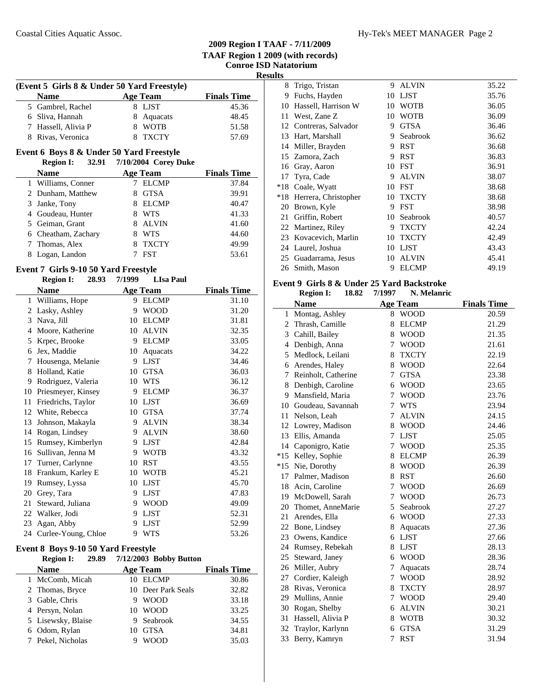| SI | ш |
|----|---|
|    |   |

| (Event 5 Girls 8 & Under 50 Yard Freestyle) |                 |                    |  |  |
|---------------------------------------------|-----------------|--------------------|--|--|
| <b>Name</b>                                 | <b>Age Team</b> | <b>Finals Time</b> |  |  |
| 5 Gambrel, Rachel                           | 8 LIST          | 45.36              |  |  |
| 6 Sliva, Hannah                             | 8 Aquacats      | 48.45              |  |  |
| 7 Hassell, Alivia P                         | 8 WOTB          | 51.58              |  |  |
| 8 Rivas, Veronica                           | 8 TXCTY         | 57.69              |  |  |

# **Event 6 Boys 8 & Under 50 Yard Freestyle**

| 32.91<br><b>Region I:</b> | 7/10/2004 Corey Duke |                    |
|---------------------------|----------------------|--------------------|
| <b>Name</b>               | <b>Age Team</b>      | <b>Finals Time</b> |
| 1 Williams, Conner        | <b>ELCMP</b>         | 37.84              |
| 2 Dunham, Matthew         | <b>GTSA</b><br>8     | 39.91              |
| 3 Janke, Tony             | <b>ELCMP</b>         | 40.47              |
| 4 Goudeau, Hunter         | <b>WTS</b>           | 41.33              |
| 5 Geiman, Grant           | <b>ALVIN</b><br>8    | 41.60              |
| 6 Cheatham, Zachary       | <b>WTS</b><br>8      | 44.60              |
| 7 Thomas, Alex            | <b>TXCTY</b>         | 49.99              |
| Logan, Landon<br>8        | <b>FST</b>           | 53.61              |
|                           |                      |                    |

### **Event 7 Girls 9-10 50 Yard Freestyle**

|    | 28.93<br><b>Region I:</b> | 7/1999 | <b>LIsa Paul</b> |                    |
|----|---------------------------|--------|------------------|--------------------|
|    | <b>Name</b>               |        | <b>Age Team</b>  | <b>Finals Time</b> |
| 1  | Williams, Hope            | 9      | <b>ELCMP</b>     | 31.10              |
| 2  | Lasky, Ashley             | 9      | <b>WOOD</b>      | 31.20              |
| 3  | Nava, Jill                | 10     | <b>ELCMP</b>     | 31.81              |
| 4  | Moore, Katherine          | 10     | <b>ALVIN</b>     | 32.35              |
| 5  | Krpec, Brooke             | 9      | <b>ELCMP</b>     | 33.05              |
| 6  | Jex, Maddie               | 10     | Aquacats         | 34.22              |
| 7  | Housenga, Melanie         | 9      | <b>LJST</b>      | 34.46              |
| 8  | Holland, Katie            | 10     | <b>GTSA</b>      | 36.03              |
| 9  | Rodriguez, Valeria        | 10     | <b>WTS</b>       | 36.12              |
| 10 | Priesmeyer, Kinsey        | 9      | <b>ELCMP</b>     | 36.37              |
| 11 | Friedrichs, Taylor        | 10     | <b>LJST</b>      | 36.69              |
| 12 | White, Rebecca            | 10     | <b>GTSA</b>      | 37.74              |
| 13 | Johnson, Makayla          | 9      | <b>ALVIN</b>     | 38.34              |
| 14 | Rogan, Lindsey            | 9      | <b>ALVIN</b>     | 38.60              |
| 15 | Rumsey, Kimberlyn         | 9      | <b>LJST</b>      | 42.84              |
| 16 | Sullivan, Jenna M         | 9      | <b>WOTB</b>      | 43.32              |
| 17 | Turner, Carlynne          | 10     | <b>RST</b>       | 43.55              |
| 18 | Frankum, Karley E         | 10     | <b>WOTB</b>      | 45.21              |
| 19 | Rumsey, Lyssa             | 10     | <b>LJST</b>      | 45.70              |
| 20 | Grey, Tara                | 9      | <b>LJST</b>      | 47.83              |
| 21 | Steward, Juliana          | 9      | <b>WOOD</b>      | 49.09              |
| 22 | Walker, Jodi              | 9      | <b>LJST</b>      | 52.31              |
| 23 | Agan, Abby                | 9      | <b>LJST</b>      | 52.99              |
|    | 24 Curlee-Young, Chloe    | 9      | <b>WTS</b>       | 53.26              |

### **Event 8 Boys 9-10 50 Yard Freestyle**

| 29.89<br><b>Region I:</b> | 7/12/2003 Bobby Button |                    |
|---------------------------|------------------------|--------------------|
| <b>Name</b>               | <b>Age Team</b>        | <b>Finals Time</b> |
| 1 McComb, Micah           | 10 ELCMP               | 30.86              |
| 2 Thomas, Bryce           | 10 Deer Park Seals     | 32.82              |
| 3 Gable, Chris            | <b>WOOD</b><br>9       | 33.18              |
| 4 Persyn, Nolan           | 10 WOOD                | 33.25              |
| 5 Lisewsky, Blaise        | 9 Seabrook             | 34.55              |
| 6 Odom, Rylan             | <b>GTSA</b><br>10      | 34.81              |
| 7 Pekel, Nicholas         | <b>WOOD</b><br>g       | 35.03              |

| 8     | Trigo, Tristan       | 9  | <b>ALVIN</b> | 35.22 |
|-------|----------------------|----|--------------|-------|
| 9     | Fuchs, Hayden        | 10 | <b>LJST</b>  | 35.76 |
| 10    | Hassell, Harrison W  | 10 | WOTB         | 36.05 |
| 11    | West, Zane Z         | 10 | WOTB         | 36.09 |
| 12    | Contreras, Salvador  | 9  | <b>GTSA</b>  | 36.46 |
| 13    | Hart, Marshall       | 9  | Seabrook     | 36.62 |
| 14    | Miller, Brayden      | 9  | <b>RST</b>   | 36.68 |
|       | 15 Zamora, Zach      | 9  | <b>RST</b>   | 36.83 |
| 16    | Gray, Aaron          | 10 | <b>FST</b>   | 36.91 |
| 17    | Tyra, Cade           | 9  | <b>ALVIN</b> | 38.07 |
| $*18$ | Coale, Wyatt         | 10 | <b>FST</b>   | 38.68 |
| $*18$ | Herrera, Christopher | 10 | <b>TXCTY</b> | 38.68 |
| 20    | Brown, Kyle          | 9  | <b>FST</b>   | 38.98 |
| 21    | Griffin, Robert      | 10 | Seabrook     | 40.57 |
| 22    | Martinez, Riley      | 9  | <b>TXCTY</b> | 42.24 |
| 23    | Kovacevich, Marlin   | 10 | <b>TXCTY</b> | 42.49 |
| 24    | Laurel, Joshua       | 10 | <b>LJST</b>  | 43.43 |
| 25    | Guadarrama, Jesus    | 10 | <b>ALVIN</b> | 45.41 |
|       | 26 Smith, Mason      | 9  | ELCMP        | 49.19 |

## **Event 9 Girls 8 & Under 25 Yard Backstroke**

**Region I:** 18.82 7/1997 N. Melanric

|              | <b>Name</b>         |   | <b>Age Team</b> | <b>Finals Time</b> |
|--------------|---------------------|---|-----------------|--------------------|
| $\mathbf{1}$ | Montag, Ashley      | 8 | <b>WOOD</b>     | 20.59              |
| 2            | Thrash, Camille     | 8 | <b>ELCMP</b>    | 21.29              |
| 3            | Cahill, Bailey      | 8 | <b>WOOD</b>     | 21.35              |
| 4            | Denbigh, Anna       | 7 | <b>WOOD</b>     | 21.61              |
| 5            | Medlock, Leilani    | 8 | <b>TXCTY</b>    | 22.19              |
| 6            | Arendes, Haley      | 8 | <b>WOOD</b>     | 22.64              |
| 7            | Reinholt, Catherine | 7 | <b>GTSA</b>     | 23.38              |
| 8            | Denbigh, Caroline   | 6 | <b>WOOD</b>     | 23.65              |
| 9            | Mansfield, Maria    | 7 | <b>WOOD</b>     | 23.76              |
| 10           | Goudeau, Savannah   | 7 | <b>WTS</b>      | 23.94              |
| 11           | Nelson, Leah        | 7 | <b>ALVIN</b>    | 24.15              |
|              | 12 Lowrey, Madison  | 8 | <b>WOOD</b>     | 24.46              |
| 13           | Ellis, Amanda       | 7 | <b>LJST</b>     | 25.05              |
| 14           | Caponigro, Katie    | 7 | <b>WOOD</b>     | 25.35              |
| $*15$        | Kelley, Sophie      | 8 | <b>ELCMP</b>    | 26.39              |
| $*15$        | Nie, Dorothy        | 8 | <b>WOOD</b>     | 26.39              |
| 17           | Palmer, Madison     | 8 | <b>RST</b>      | 26.60              |
| 18           | Acin, Caroline      | 7 | <b>WOOD</b>     | 26.69              |
| 19           | McDowell, Sarah     | 7 | <b>WOOD</b>     | 26.73              |
| 20           | Thomet, AnneMarie   | 5 | Seabrook        | 27.27              |
| 21           | Arendes, Ella       | 6 | <b>WOOD</b>     | 27.33              |
| 22           | Bone, Lindsey       | 8 | Aquacats        | 27.36              |
|              | 23 Owens, Kandice   | 6 | <b>LJST</b>     | 27.66              |
|              | 24 Rumsey, Rebekah  | 8 | <b>LJST</b>     | 28.13              |
| 25           | Steward, Janey      | 6 | <b>WOOD</b>     | 28.36              |
| 26           | Miller, Aubry       | 7 | Aquacats        | 28.74              |
| 27           | Cordier, Kaleigh    | 7 | <b>WOOD</b>     | 28.92              |
| 28           | Rivas, Veronica     | 8 | <b>TXCTY</b>    | 28.97              |
| 29           | Mullins, Annie      | 7 | <b>WOOD</b>     | 29.40              |
| 30           | Rogan, Shelby       | 6 | <b>ALVIN</b>    | 30.21              |
| 31           | Hassell, Alivia P   | 8 | <b>WOTB</b>     | 30.32              |
| 32           | Traylor, Karlynn    | 6 | <b>GTSA</b>     | 31.29              |
| 33           | Berry, Kamryn       | 7 | <b>RST</b>      | 31.94              |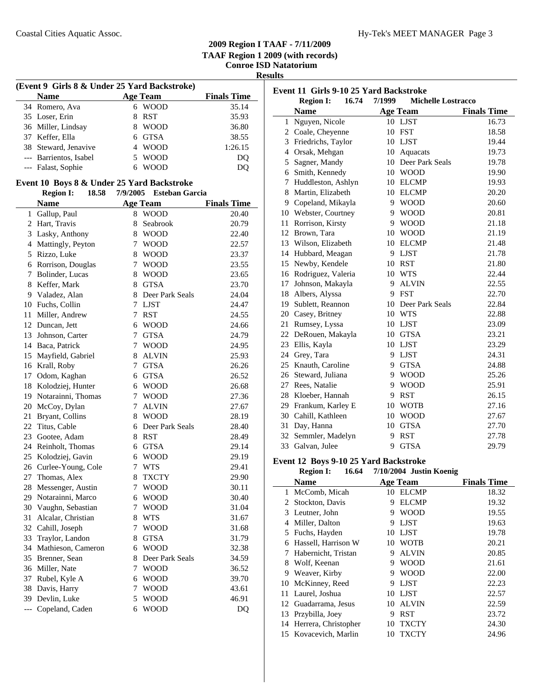**Results**

| (Event 9 Girls 8 & Under 25 Yard Backstroke) |                                            |                 |                         |                    |  |
|----------------------------------------------|--------------------------------------------|-----------------|-------------------------|--------------------|--|
|                                              | <b>Name</b>                                | <b>Age Team</b> |                         | <b>Finals Time</b> |  |
|                                              | 34 Romero, Ava                             |                 | 6 WOOD                  | 35.14              |  |
|                                              | 35 Loser, Erin                             | 8               | <b>RST</b>              | 35.93              |  |
|                                              | 36 Miller, Lindsay                         |                 | 8 WOOD                  | 36.80              |  |
|                                              | 37 Keffer, Ella                            |                 | 6 GTSA                  | 38.55              |  |
|                                              | 38 Steward, Jenavive                       |                 | 4 WOOD                  | 1:26.15            |  |
|                                              | --- Barrientos, Isabel                     |                 | 5 WOOD                  | DQ                 |  |
|                                              | --- Falast, Sophie                         |                 | 6 WOOD                  | DQ                 |  |
|                                              |                                            |                 |                         |                    |  |
|                                              | Event 10 Boys 8 & Under 25 Yard Backstroke |                 |                         |                    |  |
|                                              | <b>Region I:</b><br>18.58                  |                 | 7/9/2005 Esteban Garcia |                    |  |
|                                              | <b>Name</b>                                |                 | <b>Age Team</b>         | <b>Finals Time</b> |  |
|                                              | 1 Gallup, Paul                             |                 | 8 WOOD                  | 20.40              |  |
|                                              | 2 Hart, Travis                             | 8               | Seabrook                | 20.79              |  |
|                                              | 3 Lasky, Anthony                           |                 | 8 WOOD                  | 22.40              |  |
|                                              | 4 Mattingly, Peyton                        | 7               | <b>WOOD</b>             | 22.57              |  |
|                                              | 5 Rizzo, Luke                              |                 | 8 WOOD                  | 23.37              |  |
|                                              | 6 Rorrison, Douglas                        | 7               | <b>WOOD</b>             | 23.55              |  |
|                                              | 7 Bolinder, Lucas                          |                 | 8 WOOD                  | 23.65              |  |
|                                              | 8 Keffer, Mark                             |                 | 8 GTSA                  | 23.70              |  |
|                                              | 9 Valadez, Alan                            |                 | 8 Deer Park Seals       | 24.04              |  |
|                                              | 10 Fuchs, Collin                           |                 | 7 LJST                  | 24.47              |  |
|                                              | 11 Miller, Andrew                          |                 | 7 RST                   | 24.55              |  |
|                                              | 12 Duncan, Jett                            |                 | 6 WOOD                  | 24.66              |  |
|                                              | 13 Johnson, Carter                         | $7^{\circ}$     | <b>GTSA</b>             | 24.79              |  |
|                                              | 14 Baca, Patrick                           | 7               | <b>WOOD</b>             | 24.95              |  |
| 15                                           | Mayfield, Gabriel                          | 8               | <b>ALVIN</b>            | 25.93              |  |
|                                              | 16 Krall, Roby                             | 7               | <b>GTSA</b>             | 26.26              |  |
| 17                                           | Odom, Kaghan                               |                 | 6 GTSA                  | 26.52              |  |
|                                              | 18 Kolodziej, Hunter                       |                 | 6 WOOD                  | 26.68              |  |
|                                              | 19 Notarainni, Thomas                      |                 | 7 WOOD                  | 27.36              |  |
|                                              | 20 McCoy, Dylan                            |                 | 7 ALVIN                 | 27.67              |  |
|                                              | 21 Bryant, Collins                         |                 | 8 WOOD                  | 28.19              |  |
|                                              | 22 Titus, Cable                            |                 | 6 Deer Park Seals       | 28.40              |  |
|                                              | 23 Gootee, Adam                            |                 | 8 RST                   | 28.49              |  |
|                                              | 24 Reinholt, Thomas                        |                 | 6 GTSA                  | 29.14              |  |
|                                              | 25 Kolodziej, Gavin                        |                 | 6 WOOD                  | 29.19              |  |
|                                              | 26 Curlee-Young, Cole                      |                 | 7 WTS                   | 29.41              |  |
| 27                                           | Thomas, Alex                               | 8               | <b>TXCTY</b>            | 29.90              |  |
| 28                                           | Messenger, Austin                          | 7               | <b>WOOD</b>             | 30.11              |  |
| 29                                           | Notarainni, Marco                          |                 | 6 WOOD                  | 30.40              |  |
|                                              | 30 Vaughn, Sebastian                       | 7               | <b>WOOD</b>             | 31.04              |  |
| 31                                           | Alcalar, Christian                         |                 | 8 WTS                   | 31.67              |  |
|                                              | 32 Cahill, Joseph                          |                 | 7 WOOD                  | 31.68              |  |
| 33                                           | Traylor, Landon                            |                 | 8 GTSA                  | 31.79              |  |
|                                              | 34 Mathieson, Cameron                      |                 | 6 WOOD                  | 32.38              |  |
|                                              | 35 Brenner, Sean                           | 8.              | Deer Park Seals         | 34.59              |  |
|                                              | 36 Miller, Nate                            | 7               | <b>WOOD</b>             | 36.52              |  |
| 37                                           |                                            |                 | 6 WOOD                  |                    |  |
| 38                                           | Rubel, Kyle A                              |                 |                         | 39.70<br>43.61     |  |
|                                              | Davis, Harry                               | 7               | <b>WOOD</b>             |                    |  |
|                                              | 39 Devlin, Luke                            | 5               | <b>WOOD</b>             | 46.91              |  |
| $\overline{\phantom{a}}$                     | Copeland, Caden                            | 6               | <b>WOOD</b>             | DQ                 |  |

| Event 11 Girls 9-10 25 Yard Backstroke |                                       |        |                               |                    |
|----------------------------------------|---------------------------------------|--------|-------------------------------|--------------------|
|                                        | <b>Region I:</b><br>16.74             | 7/1999 | <b>Michelle Lostracco</b>     |                    |
|                                        | <b>Name</b>                           |        | <b>Age Team</b>               | <b>Finals Time</b> |
|                                        | 1 Nguyen, Nicole                      |        | 10 LJST                       | 16.73              |
|                                        | 2 Coale, Cheyenne                     |        | 10 FST                        | 18.58              |
|                                        | 3 Friedrichs, Taylor                  |        | 10 LJST                       | 19.44              |
|                                        | 4 Orsak, Mehgan                       |        | 10 Aquacats                   | 19.73              |
|                                        | 5 Sagner, Mandy                       |        | 10 Deer Park Seals            | 19.78              |
|                                        | 6 Smith, Kennedy                      |        | 10 WOOD                       | 19.90              |
|                                        | 7 Huddleston, Ashlyn                  |        | 10 ELCMP                      | 19.93              |
|                                        | 8 Martin, Elizabeth                   |        | 10 ELCMP                      | 20.20              |
|                                        | 9 Copeland, Mikayla                   |        | 9 WOOD                        | 20.60              |
|                                        | 10 Webster, Courtney                  | 9      | <b>WOOD</b>                   | 20.81              |
|                                        | 11 Rorrison, Kirsty                   | 9      | <b>WOOD</b>                   | 21.18              |
|                                        | 12 Brown, Tara                        |        | 10 WOOD                       | 21.19              |
|                                        | 13 Wilson, Elizabeth                  |        | 10 ELCMP                      | 21.48              |
|                                        | 14 Hubbard, Meagan                    |        | 9 LJST                        | 21.78              |
|                                        | 15 Newby, Kendele                     |        | 10 RST                        | 21.80              |
|                                        | 16 Rodriguez, Valeria                 |        | 10 WTS                        | 22.44              |
|                                        | 17 Johnson, Makayla                   |        | 9 ALVIN                       | 22.55              |
|                                        | 18 Albers, Alyssa                     |        | 9 FST                         | 22.70              |
|                                        | 19 Sublett, Reannon                   |        | 10 Deer Park Seals            | 22.84              |
|                                        | 20 Casey, Britney                     |        | 10 WTS                        | 22.88              |
|                                        | 21 Rumsey, Lyssa                      |        | 10 LJST                       | 23.09              |
|                                        | 22 DeRouen, Makayla                   |        | 10 GTSA                       | 23.21              |
|                                        | 23 Ellis, Kayla                       |        | 10 LJST                       | 23.29              |
|                                        | 24 Grey, Tara                         |        | 9 LJST                        | 24.31              |
|                                        | 25 Knauth, Caroline                   |        | 9 GTSA                        | 24.88              |
|                                        | 26 Steward, Juliana                   |        | 9 WOOD                        | 25.26              |
|                                        | 27 Rees, Natalie                      |        | 9 WOOD                        | 25.91              |
|                                        | 28 Kloeber, Hannah                    | 9      | <b>RST</b>                    | 26.15              |
|                                        | 29 Frankum, Karley E                  |        | 10 WOTB                       | 27.16              |
|                                        | 30 Cahill, Kathleen                   |        | 10 WOOD                       | 27.67              |
|                                        | 31 Day, Hanna                         |        | 10 GTSA                       | 27.70              |
|                                        | 32 Semmler, Madelyn                   | 9      | <b>RST</b>                    | 27.78              |
|                                        | 33 Galvan, Julee                      | 9      | <b>GTSA</b>                   | 29.79              |
|                                        | Event 12 Boys 9-10 25 Yard Backstroke |        |                               |                    |
|                                        | <b>Region I:</b>                      |        | 16.64 7/10/2004 Justin Koenig |                    |
|                                        | <b>BT</b>                             |        | <b>CONTRACTOR</b>             | ran e              |

|    | <b>Name</b>           |    | <b>Age Team</b> | <b>Finals Time</b> |
|----|-----------------------|----|-----------------|--------------------|
| 1  | McComb, Micah         | 10 | <b>ELCMP</b>    | 18.32              |
| 2  | Stockton, Davis       | 9  | <b>ELCMP</b>    | 19.32              |
| 3  | Leutner, John         | 9  | <b>WOOD</b>     | 19.55              |
| 4  | Miller, Dalton        | 9  | <b>LIST</b>     | 19.63              |
|    | 5 Fuchs, Hayden       | 10 | LJST            | 19.78              |
| 6  | Hassell, Harrison W   | 10 | <b>WOTB</b>     | 20.21              |
| 7  | Habernicht, Tristan   | 9  | <b>ALVIN</b>    | 20.85              |
| 8  | Wolf, Keenan          | 9  | <b>WOOD</b>     | 21.61              |
| 9  | Weaver, Kirby         | 9  | <b>WOOD</b>     | 22.00              |
| 10 | McKinney, Reed        | 9  | <b>LJST</b>     | 22.23              |
|    | 11 Laurel, Joshua     | 10 | LJST            | 22.57              |
|    | 12 Guadarrama, Jesus  | 10 | <b>ALVIN</b>    | 22.59              |
| 13 | Przybilla, Joey       | 9  | <b>RST</b>      | 23.72              |
| 14 | Herrera, Christopher  | 10 | <b>TXCTY</b>    | 24.30              |
|    | 15 Kovacevich, Marlin | 10 | TXCTY           | 24.96              |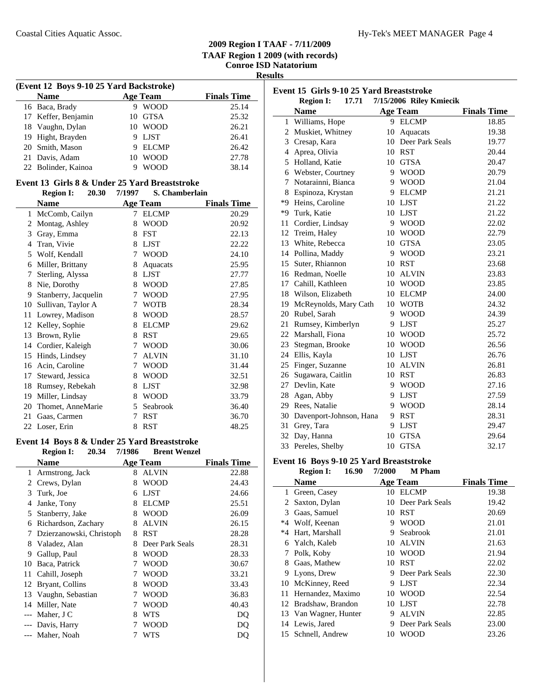| esun<br>к |
|-----------|
|-----------|

l.

| (Event 12 Boys 9-10 25 Yard Backstroke) |  |                 |                    |  |  |
|-----------------------------------------|--|-----------------|--------------------|--|--|
| <b>Name</b>                             |  | <b>Age Team</b> | <b>Finals Time</b> |  |  |
| 16 Baca, Brady                          |  | <b>WOOD</b>     | 25.14              |  |  |
| 17 Keffer, Benjamin                     |  | 10 GTSA         | 25.32              |  |  |
| 18 Vaughn, Dylan                        |  | 10 WOOD         | 26.21              |  |  |
| 19 Hight, Brayden                       |  | LJST            | 26.41              |  |  |
| 20 Smith, Mason                         |  | <b>ELCMP</b>    | 26.42              |  |  |
| 21 Davis, Adam                          |  | 10 WOOD         | 27.78              |  |  |
| 22 Bolinder, Kainoa                     |  | <b>WOOD</b>     | 38.14              |  |  |

### **Event 13 Girls 8 & Under 25 Yard Breaststroke**

|    | 20.30<br><b>Region I:</b> | 7/1997 | S. Chamberlain  |                    |
|----|---------------------------|--------|-----------------|--------------------|
|    | <b>Name</b>               |        | <b>Age Team</b> | <b>Finals Time</b> |
| 1  | McComb, Cailyn            | 7      | <b>ELCMP</b>    | 20.29              |
| 2  | Montag, Ashley            | 8      | <b>WOOD</b>     | 20.92              |
| 3  | Gray, Emma                | 8      | <b>FST</b>      | 22.13              |
| 4  | Tran, Vivie               | 8      | <b>LJST</b>     | 22.22              |
| 5  | Wolf, Kendall             | 7      | <b>WOOD</b>     | 24.10              |
| 6  | Miller, Brittany          | 8      | Aquacats        | 25.95              |
| 7  | Sterling, Alyssa          | 8      | <b>LJST</b>     | 27.77              |
| 8  | Nie, Dorothy              | 8      | <b>WOOD</b>     | 27.85              |
| 9  | Stanberry, Jacquelin      | 7      | <b>WOOD</b>     | 27.95              |
| 10 | Sullivan, Taylor A        | 7      | <b>WOTB</b>     | 28.34              |
| 11 | Lowrey, Madison           | 8      | <b>WOOD</b>     | 28.57              |
| 12 | Kelley, Sophie            | 8      | <b>ELCMP</b>    | 29.62              |
| 13 | Brown, Rylie              | 8      | <b>RST</b>      | 29.65              |
| 14 | Cordier, Kaleigh          | 7      | <b>WOOD</b>     | 30.06              |
| 15 | Hinds, Lindsey            | 7      | <b>ALVIN</b>    | 31.10              |
| 16 | Acin, Caroline            | 7      | <b>WOOD</b>     | 31.44              |
| 17 | Steward, Jessica          | 8      | <b>WOOD</b>     | 32.51              |
| 18 | Rumsey, Rebekah           | 8      | <b>LJST</b>     | 32.98              |
| 19 | Miller, Lindsay           | 8      | <b>WOOD</b>     | 33.79              |
| 20 | Thomet, AnneMarie         | 5      | Seabrook        | 36.40              |
| 21 | Gaas, Carmen              | 7      | <b>RST</b>      | 36.70              |
| 22 | Loser, Erin               | 8      | <b>RST</b>      | 48.25              |

### **Event 14 Boys 8 & Under 25 Yard Breaststroke**

|    | 20.34<br><b>Region I:</b> | 7/1986 | <b>Brent Wenzel</b> |                    |
|----|---------------------------|--------|---------------------|--------------------|
|    | Name                      |        | <b>Age Team</b>     | <b>Finals Time</b> |
| 1  | Armstrong, Jack           | 8      | <b>ALVIN</b>        | 22.88              |
| 2  | Crews, Dylan              | 8      | WOOD                | 24.43              |
| 3  | Turk, Joe                 | 6      | <b>LJST</b>         | 24.66              |
| 4  | Janke, Tony               | 8      | <b>ELCMP</b>        | 25.51              |
| 5  | Stanberry, Jake           | 8      | WOOD                | 26.09              |
| 6  | Richardson, Zachary       | 8      | <b>ALVIN</b>        | 26.15              |
| 7  | Dzierzanowski, Christoph  | 8      | <b>RST</b>          | 28.28              |
| 8  | Valadez, Alan             | 8      | Deer Park Seals     | 28.31              |
| 9  | Gallup, Paul              | 8      | WOOD                | 28.33              |
| 10 | Baca, Patrick             | 7      | WOOD                | 30.67              |
| 11 | Cahill, Joseph            | 7      | WOOD                | 33.21              |
| 12 | Bryant, Collins           | 8      | WOOD                | 33.43              |
| 13 | Vaughn, Sebastian         | 7      | WOOD                | 36.83              |
| 14 | Miller, Nate              | 7      | WOOD                | 40.43              |
|    | Maher, J C                | 8      | WTS                 | DQ                 |
|    | Davis, Harry              | 7      | WOOD                | DO                 |
|    | Maher, Noah               | 7      | WTS                 | DQ                 |

| Event 15 Girls 9-10 25 Yard Breaststroke |                            |    |                         |                    |
|------------------------------------------|----------------------------|----|-------------------------|--------------------|
|                                          | <b>Region I:</b><br>17.71  |    | 7/15/2006 Riley Kmiecik |                    |
|                                          | <b>Name</b>                |    | <b>Age Team</b>         | <b>Finals Time</b> |
| 1                                        | Williams, Hope             | 9. | <b>ELCMP</b>            | 18.85              |
|                                          | 2 Muskiet, Whitney         | 10 | Aquacats                | 19.38              |
|                                          | 3 Cresap, Kara             | 10 | Deer Park Seals         | 19.77              |
| $\overline{4}$                           | Aprea, Olivia              | 10 | <b>RST</b>              | 20.44              |
|                                          | 5 Holland, Katie           | 10 | <b>GTSA</b>             | 20.47              |
|                                          | 6 Webster, Courtney        | 9  | <b>WOOD</b>             | 20.79              |
| 7                                        | Notarainni, Bianca         | 9  | <b>WOOD</b>             | 21.04              |
| 8                                        | Espinoza, Krystan          | 9  | <b>ELCMP</b>            | 21.21              |
| *9                                       | Heins, Caroline            | 10 | <b>LJST</b>             | 21.22              |
| $*9$                                     | Turk, Katie                | 10 | <b>LJST</b>             | 21.22              |
| 11                                       | Cordier, Lindsay           | 9  | <b>WOOD</b>             | 22.02              |
| 12                                       | Treim, Haley               | 10 | <b>WOOD</b>             | 22.79              |
| 13                                       | White, Rebecca             | 10 | <b>GTSA</b>             | 23.05              |
| 14                                       | Pollina, Maddy             | 9  | <b>WOOD</b>             | 23.21              |
| 15                                       | Suter, Rhiannon            | 10 | <b>RST</b>              | 23.68              |
|                                          | 16 Redman, Noelle          | 10 | <b>ALVIN</b>            | 23.83              |
|                                          | 17 Cahill, Kathleen        | 10 | <b>WOOD</b>             | 23.85              |
| 18                                       | Wilson, Elizabeth          | 10 | <b>ELCMP</b>            | 24.00              |
| 19                                       | McReynolds, Mary Cath      |    | 10 WOTB                 | 24.32              |
| 20                                       | Rubel, Sarah               | 9  | <b>WOOD</b>             | 24.39              |
| 21                                       | Rumsey, Kimberlyn          | 9  | <b>LJST</b>             | 25.27              |
| 22                                       | Marshall, Fiona            | 10 | <b>WOOD</b>             | 25.72              |
| 23                                       | Stegman, Brooke            | 10 | <b>WOOD</b>             | 26.56              |
| 24                                       | Ellis, Kayla               | 10 | <b>LJST</b>             | 26.76              |
| 25                                       | Finger, Suzanne            | 10 | <b>ALVIN</b>            | 26.81              |
| 26                                       | Sugawara, Caitlin          | 10 | <b>RST</b>              | 26.83              |
| 27                                       | Devlin, Kate               | 9  | <b>WOOD</b>             | 27.16              |
|                                          | 28 Agan, Abby              | 9  | <b>LJST</b>             | 27.59              |
|                                          | 29 Rees, Natalie           | 9  | <b>WOOD</b>             | 28.14              |
|                                          | 30 Davenport-Johnson, Hana | 9  | <b>RST</b>              | 28.31              |
| 31                                       | Grey, Tara                 | 9  | <b>LJST</b>             | 29.47              |
| 32                                       | Day, Hanna                 | 10 | <b>GTSA</b>             | 29.64              |
| 33                                       | Pereles, Shelby            | 10 | <b>GTSA</b>             | 32.17              |

# **Event 16 Boys 9-10 25 Yard Breaststroke**<br>Region I: 16.90 7/2000 M Pham

|      | 16.90<br><b>Region I:</b> | 7/2000 | <b>M</b> Pham   |                    |
|------|---------------------------|--------|-----------------|--------------------|
|      | <b>Name</b>               |        | <b>Age Team</b> | <b>Finals Time</b> |
| 1    | Green, Casey              | 10     | <b>ELCMP</b>    | 19.38              |
| 2    | Saxton, Dylan             | 10     | Deer Park Seals | 19.42              |
| 3    | Gaas, Samuel              | 10     | RST             | 20.69              |
| $*4$ | Wolf, Keenan              | 9      | <b>WOOD</b>     | 21.01              |
| *4   | Hart, Marshall            | 9      | Seabrook        | 21.01              |
| 6    | Yalch, Kaleb              | 10     | <b>ALVIN</b>    | 21.63              |
| 7    | Polk, Koby                | 10     | <b>WOOD</b>     | 21.94              |
| 8    | Gaas, Mathew              | 10     | <b>RST</b>      | 22.02              |
| 9    | Lyons, Drew               | 9      | Deer Park Seals | 22.30              |
| 10   | McKinney, Reed            | 9      | LJST            | 22.34              |
| 11   | Hernandez, Maximo         |        | 10 WOOD         | 22.54              |
|      | 12 Bradshaw, Brandon      | 10     | <b>LJST</b>     | 22.78              |
|      | 13 Van Wagner, Hunter     | 9      | <b>ALVIN</b>    | 22.85              |
|      | 14 Lewis, Jared           | 9      | Deer Park Seals | 23.00              |
|      | 15 Schnell, Andrew        | 10     | WOOD            | 23.26              |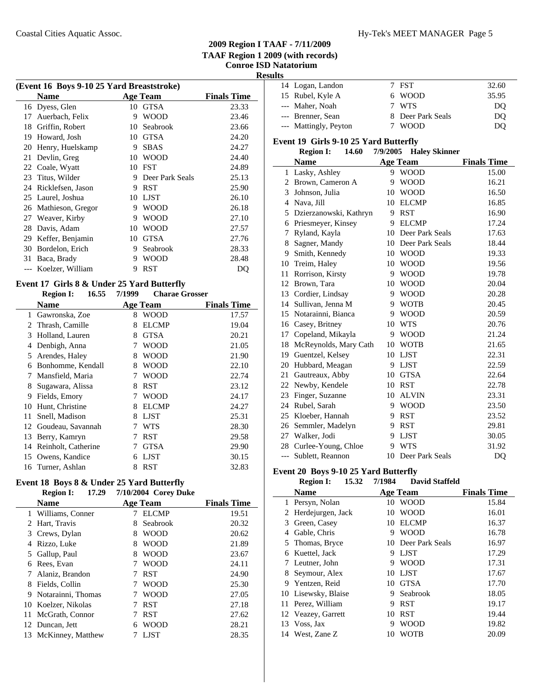### Coastal Cities Aquatic Assoc. The Coastal Cities Aquatic Assoc. The Coastal Cities Aquatic Assoc.

# **2009 Region I TAAF - 7/11/2009 TAAF Region 1 2009 (with records) Conroe ISD Natatorium**

**Results**

| (Event 16 Boys 9-10 25 Yard Breaststroke) |                   |    |                 |                    |
|-------------------------------------------|-------------------|----|-----------------|--------------------|
|                                           | <b>Name</b>       |    | <b>Age Team</b> | <b>Finals Time</b> |
|                                           | 16 Dyess, Glen    | 10 | <b>GTSA</b>     | 23.33              |
| 17                                        | Auerbach, Felix   | 9  | <b>WOOD</b>     | 23.46              |
| 18                                        | Griffin, Robert   | 10 | Seabrook        | 23.66              |
| 19                                        | Howard, Josh      | 10 | <b>GTSA</b>     | 24.20              |
| 20                                        | Henry, Huelskamp  | 9  | <b>SBAS</b>     | 24.27              |
| 21                                        | Devlin, Greg      | 10 | <b>WOOD</b>     | 24.40              |
| 22                                        | Coale, Wyatt      | 10 | <b>FST</b>      | 24.89              |
| 23                                        | Titus, Wilder     | 9  | Deer Park Seals | 25.13              |
| 24                                        | Ricklefsen, Jason | 9  | <b>RST</b>      | 25.90              |
| 25                                        | Laurel, Joshua    | 10 | <b>LJST</b>     | 26.10              |
| 26                                        | Mathieson, Gregor | 9  | WOOD            | 26.18              |
| 27                                        | Weaver, Kirby     | 9  | <b>WOOD</b>     | 27.10              |
| 28                                        | Davis, Adam       | 10 | <b>WOOD</b>     | 27.57              |
| 29                                        | Keffer, Benjamin  | 10 | <b>GTSA</b>     | 27.76              |
| 30                                        | Bordelon, Erich   | 9  | Seabrook        | 28.33              |
| 31                                        | Baca, Brady       | 9  | WOOD            | 28.48              |
|                                           | Koelzer, William  | 9  | <b>RST</b>      | DO                 |

### **Event 17 Girls 8 & Under 25 Yard Butterfly**

|    | 16.55<br><b>Region I:</b> | 7/1999 | <b>Charae Grosser</b> |                    |
|----|---------------------------|--------|-----------------------|--------------------|
|    | <b>Name</b>               |        | Age Team              | <b>Finals Time</b> |
| 1  | Gawronska, Zoe            | 8      | <b>WOOD</b>           | 17.57              |
| 2  | Thrash, Camille           | 8      | <b>ELCMP</b>          | 19.04              |
| 3  | Holland, Lauren           | 8      | <b>GTSA</b>           | 20.21              |
| 4  | Denbigh, Anna             | 7      | WOOD                  | 21.05              |
| 5  | Arendes, Haley            | 8      | WOOD                  | 21.90              |
| 6  | Bonhomme, Kendall         | 8      | WOOD                  | 22.10              |
| 7  | Mansfield, Maria          | 7      | <b>WOOD</b>           | 22.74              |
| 8  | Sugawara, Alissa          | 8      | <b>RST</b>            | 23.12              |
| 9  | Fields, Emory             |        | <b>WOOD</b>           | 24.17              |
| 10 | Hunt, Christine           | 8      | <b>ELCMP</b>          | 24.27              |
| 11 | Snell, Madison            | 8      | <b>LJST</b>           | 25.31              |
| 12 | Goudeau, Savannah         |        | WTS                   | 28.30              |
| 13 | Berry, Kamryn             |        | RST                   | 29.58              |
| 14 | Reinholt, Catherine       |        | <b>GTSA</b>           | 29.90              |
| 15 | Owens, Kandice            | 6      | <b>LJST</b>           | 30.15              |
|    | 16 Turner, Ashlan         | 8      | <b>RST</b>            | 32.83              |

### **Event 18 Boys 8 & Under 25 Yard Butterfly Region I:** 17.29 7/10/2004 Corey Duke

|     |                      | $1.201 - 0.01$ |                 |                    |
|-----|----------------------|----------------|-----------------|--------------------|
|     | <b>Name</b>          |                | <b>Age Team</b> | <b>Finals Time</b> |
|     | 1 Williams, Conner   |                | <b>ELCMP</b>    | 19.51              |
|     | Hart, Travis         | 8              | Seabrook        | 20.32              |
|     | 3 Crews, Dylan       | 8              | <b>WOOD</b>     | 20.62              |
|     | Rizzo, Luke          | 8              | <b>WOOD</b>     | 21.89              |
|     | 5 Gallup, Paul       | 8              | <b>WOOD</b>     | 23.67              |
| 6   | Rees, Evan           | 7              | <b>WOOD</b>     | 24.11              |
|     | 7 Alaniz, Brandon    |                | <b>RST</b>      | 24.90              |
| 8   | Fields, Collin       | 7              | <b>WOOD</b>     | 25.30              |
|     | 9 Notarainni, Thomas |                | <b>WOOD</b>     | 27.05              |
|     | 10 Koelzer, Nikolas  |                | <b>RST</b>      | 27.18              |
| 11. | McGrath, Connor      |                | <b>RST</b>      | 27.62              |
|     | 12 Duncan, Jett      | 6              | <b>WOOD</b>     | 28.21              |
|     | 13 McKinney, Matthew |                | <b>LIST</b>     | 28.35              |

| . . |                       |                   |       |
|-----|-----------------------|-------------------|-------|
|     | 14 Logan, Landon      | 7 FST             | 32.60 |
|     | 15 Rubel, Kyle A      | 6 WOOD            | 35.95 |
|     | --- Maher, Noah       | 7 WTS             | DO    |
|     | --- Brenner, Sean     | 8 Deer Park Seals | DO    |
|     | --- Mattingly, Peyton | <b>WOOD</b>       | DO    |

### **Event 19 Girls 9-10 25 Yard Butterfly**

### **Region I:** 14.60 7/9/2005 **Haley Skinner**

|                | <b>Name</b>            |    | <b>Age Team</b> | <b>Finals Time</b> |
|----------------|------------------------|----|-----------------|--------------------|
| 1              | Lasky, Ashley          | 9  | <b>WOOD</b>     | 15.00              |
| 2              | Brown, Cameron A       | 9  | <b>WOOD</b>     | 16.21              |
| 3              | Johnson, Julia         | 10 | <b>WOOD</b>     | 16.50              |
| $\overline{4}$ | Nava, Jill             | 10 | <b>ELCMP</b>    | 16.85              |
| 5              | Dzierzanowski, Kathryn | 9  | <b>RST</b>      | 16.90              |
| 6              | Priesmeyer, Kinsey     | 9  | <b>ELCMP</b>    | 17.24              |
| 7              | Ryland, Kayla          | 10 | Deer Park Seals | 17.63              |
| 8              | Sagner, Mandy          | 10 | Deer Park Seals | 18.44              |
| 9              | Smith, Kennedy         | 10 | <b>WOOD</b>     | 19.33              |
| 10             | Treim, Haley           | 10 | <b>WOOD</b>     | 19.56              |
| 11             | Rorrison, Kirsty       | 9  | <b>WOOD</b>     | 19.78              |
| 12             | Brown, Tara            | 10 | <b>WOOD</b>     | 20.04              |
| 13             | Cordier, Lindsay       | 9  | <b>WOOD</b>     | 20.28              |
| 14             | Sullivan, Jenna M      | 9  | <b>WOTB</b>     | 20.45              |
| 15             | Notarainni, Bianca     | 9  | <b>WOOD</b>     | 20.59              |
| 16             | Casey, Britney         | 10 | <b>WTS</b>      | 20.76              |
| 17             | Copeland, Mikayla      | 9  | <b>WOOD</b>     | 21.24              |
| 18             | McReynolds, Mary Cath  | 10 | <b>WOTB</b>     | 21.65              |
| 19             | Guentzel, Kelsey       | 10 | <b>LJST</b>     | 22.31              |
| 20             | Hubbard, Meagan        | 9  | <b>LJST</b>     | 22.59              |
| 21             | Gautreaux, Abby        | 10 | <b>GTSA</b>     | 22.64              |
| 22             | Newby, Kendele         | 10 | <b>RST</b>      | 22.78              |
| 23             | Finger, Suzanne        | 10 | <b>ALVIN</b>    | 23.31              |
| 24             | Rubel, Sarah           | 9  | <b>WOOD</b>     | 23.50              |
| 25             | Kloeber, Hannah        | 9  | <b>RST</b>      | 23.52              |
| 26             | Semmler, Madelyn       | 9  | <b>RST</b>      | 29.81              |
| 27             | Walker, Jodi           | 9  | <b>LJST</b>     | 30.05              |
| 28             | Curlee-Young, Chloe    | 9  | <b>WTS</b>      | 31.92              |
| $---$          | Sublett, Reannon       | 10 | Deer Park Seals | D <sub>O</sub>     |

### **Event 20 Boys 9-10 25 Yard Butterfly**

|    | <b>Region I:</b>    | 15.32 | 7/1984 | <b>David Staffeld</b> |                    |
|----|---------------------|-------|--------|-----------------------|--------------------|
|    | <b>Name</b>         |       |        | <b>Age Team</b>       | <b>Finals Time</b> |
| 1  | Persyn, Nolan       |       | 10     | <b>WOOD</b>           | 15.84              |
| 2  | Herdejurgen, Jack   |       | 10     | <b>WOOD</b>           | 16.01              |
| 3  | Green, Casey        |       | 10     | <b>ELCMP</b>          | 16.37              |
| 4  | Gable, Chris        |       | 9      | <b>WOOD</b>           | 16.78              |
| 5  | Thomas, Bryce       |       | 10     | Deer Park Seals       | 16.97              |
| 6  | Kuettel, Jack       |       | 9      | <b>LJST</b>           | 17.29              |
|    | Leutner, John       |       | 9      | <b>WOOD</b>           | 17.31              |
| 8  | Seymour, Alex       |       | 10     | <b>LJST</b>           | 17.67              |
| 9  | Yentzen, Reid       |       | 10     | <b>GTSA</b>           | 17.70              |
|    | 10 Lisewsky, Blaise |       | 9      | Seabrook              | 18.05              |
| 11 | Perez, William      |       | 9      | <b>RST</b>            | 19.17              |
|    | 12 Veazey, Garrett  |       | 10     | <b>RST</b>            | 19.44              |
| 13 | Voss, Jax           |       | 9      | <b>WOOD</b>           | 19.82              |
|    | 14 West, Zane Z     |       | 10     | WOTB                  | 20.09              |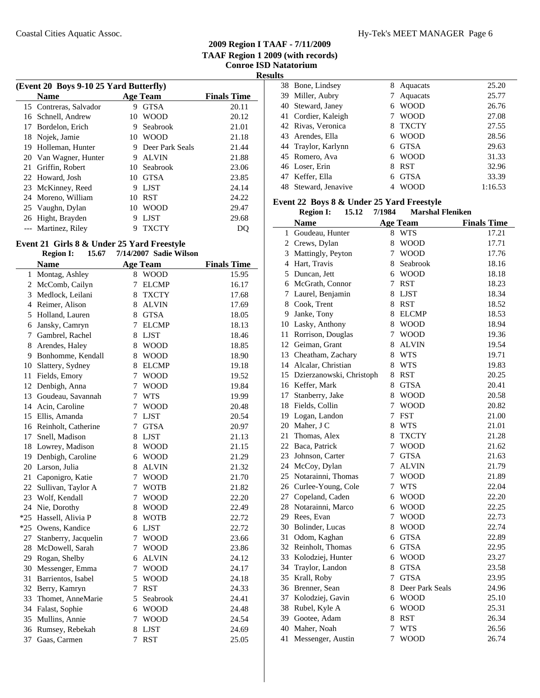|    | (Event 20 Boys 9-10 25 Yard Butterfly) |    |                 |                    |  |  |
|----|----------------------------------------|----|-----------------|--------------------|--|--|
|    | <b>Name</b>                            |    | <b>Age Team</b> | <b>Finals Time</b> |  |  |
|    | 15 Contreras, Salvador                 | 9  | <b>GTSA</b>     | 20.11              |  |  |
|    | 16 Schnell, Andrew                     | 10 | <b>WOOD</b>     | 20.12              |  |  |
| 17 | Bordelon, Erich                        | 9  | Seabrook        | 21.01              |  |  |
| 18 | Nojek, Jamie                           | 10 | <b>WOOD</b>     | 21.18              |  |  |
| 19 | Holleman, Hunter                       | 9  | Deer Park Seals | 21.44              |  |  |
|    | 20 Van Wagner, Hunter                  | 9  | <b>ALVIN</b>    | 21.88              |  |  |
| 21 | Griffin, Robert                        |    | 10 Seabrook     | 23.06              |  |  |
|    | 22 Howard, Josh                        | 10 | GTSA            | 23.85              |  |  |
|    | 23 McKinney, Reed                      | 9  | <b>LIST</b>     | 24.14              |  |  |
|    | 24 Moreno, William                     | 10 | <b>RST</b>      | 24.22              |  |  |
|    | 25 Vaughn, Dylan                       | 10 | <b>WOOD</b>     | 29.47              |  |  |
|    | 26 Hight, Brayden                      | 9  | <b>LIST</b>     | 29.68              |  |  |
|    | --- Martinez, Riley                    | 9  | <b>TXCTY</b>    | DO                 |  |  |

#### **Event 21 Girls 8 & Under 25 Yard Freestyle Region I:** 15.67 7/14/2007 Sadie Wilson

|                | кедіон 1;<br>15.07    | $1/14/200$ adder Wilson       |                    |
|----------------|-----------------------|-------------------------------|--------------------|
|                | <b>Name</b>           | <b>Age Team</b>               | <b>Finals Time</b> |
| $\mathbf{1}$   | Montag, Ashley        | <b>WOOD</b><br>8              | 15.95              |
| $\overline{2}$ | McComb, Cailyn        | 7<br><b>ELCMP</b>             | 16.17              |
|                | 3 Medlock, Leilani    | 8<br><b>TXCTY</b>             | 17.68              |
|                | 4 Reimer, Alison      | 8 ALVIN                       | 17.69              |
| 5              | Holland, Lauren       | 8 GTSA                        | 18.05              |
| 6              | Jansky, Camryn        | 7<br><b>ELCMP</b>             | 18.13              |
| $\tau$         | Gambrel, Rachel       | 8 LJST                        | 18.46              |
| 8              | Arendes, Haley        | 8<br><b>WOOD</b>              | 18.85              |
| 9              | Bonhomme, Kendall     | 8<br><b>WOOD</b>              | 18.90              |
| 10             | Slattery, Sydney      | <b>ELCMP</b><br>8             | 19.18              |
| 11             | Fields, Emory         | $\overline{7}$<br><b>WOOD</b> | 19.52              |
| 12             | Denbigh, Anna         | 7<br><b>WOOD</b>              | 19.84              |
| 13             | Goudeau, Savannah     | $\overline{7}$<br><b>WTS</b>  | 19.99              |
| 14             | Acin, Caroline        | $\overline{7}$<br><b>WOOD</b> | 20.48              |
| 15             | Ellis, Amanda         | 7<br><b>LJST</b>              | 20.54              |
| 16             | Reinholt, Catherine   | 7<br><b>GTSA</b>              | 20.97              |
| 17             | Snell, Madison        | 8<br><b>LJST</b>              | 21.13              |
|                | 18 Lowrey, Madison    | 8<br><b>WOOD</b>              | 21.15              |
|                | 19 Denbigh, Caroline  | 6 WOOD                        | 21.29              |
|                | 20 Larson, Julia      | 8<br><b>ALVIN</b>             | 21.32              |
|                | 21 Caponigro, Katie   | $\overline{7}$<br><b>WOOD</b> | 21.70              |
|                | 22 Sullivan, Taylor A | $\overline{7}$<br><b>WOTB</b> | 21.82              |
| 23             | Wolf, Kendall         | $\tau$<br><b>WOOD</b>         | 22.20              |
| 24             | Nie, Dorothy          | 8<br><b>WOOD</b>              | 22.49              |
|                | *25 Hassell, Alivia P | 8<br><b>WOTB</b>              | 22.72              |
| $*25$          | Owens, Kandice        | 6<br><b>LJST</b>              | 22.72              |
| 27             | Stanberry, Jacquelin  | $\overline{7}$<br><b>WOOD</b> | 23.66              |
| 28             | McDowell, Sarah       | $\overline{7}$<br><b>WOOD</b> | 23.86              |
| 29             | Rogan, Shelby         | <b>ALVIN</b><br>6             | 24.12              |
| 30             | Messenger, Emma       | $\overline{7}$<br><b>WOOD</b> | 24.17              |
| 31             | Barrientos, Isabel    | <b>WOOD</b><br>5              | 24.18              |
| 32             | Berry, Kamryn         | $\overline{7}$<br><b>RST</b>  | 24.33              |
| 33             | Thomet, AnneMarie     | 5<br>Seabrook                 | 24.41              |
| 34             | Falast, Sophie        | 6 WOOD                        | 24.48              |
| 35             | Mullins, Annie        | 7<br><b>WOOD</b>              | 24.54              |
|                | 36 Rumsey, Rebekah    | <b>LJST</b><br>8              | 24.69              |
| 37             | Gaas, Carmen          | 7<br><b>RST</b>               | 25.05              |

| 38 Bone, Lindsey     | 8 | Aquacats     | 25.20   |
|----------------------|---|--------------|---------|
| 39 Miller, Aubry     |   | Aquacats     | 25.77   |
| 40 Steward, Janey    | 6 | <b>WOOD</b>  | 26.76   |
| 41 Cordier, Kaleigh  |   | <b>WOOD</b>  | 27.08   |
| 42 Rivas, Veronica   | 8 | <b>TXCTY</b> | 27.55   |
| 43 Arendes, Ella     | 6 | <b>WOOD</b>  | 28.56   |
| 44 Traylor, Karlynn  | 6 | <b>GTSA</b>  | 29.63   |
| 45 Romero, Ava       | 6 | <b>WOOD</b>  | 31.33   |
| 46 Loser, Erin       | 8 | <b>RST</b>   | 32.96   |
| 47 Keffer, Ella      | 6 | <b>GTSA</b>  | 33.39   |
| 48 Steward, Jenavive |   | WOOD         | 1:16.53 |

## **Event 22 Boys 8 & Under 25 Yard Freestyle**

|    | <b>Region I:</b><br>15.12   | 7/1984         | <b>Marshal Fleniken</b> |                    |
|----|-----------------------------|----------------|-------------------------|--------------------|
|    | <b>Name</b>                 |                | <b>Age Team</b>         | <b>Finals Time</b> |
| 1  | Goudeau, Hunter             | 8              | <b>WTS</b>              | 17.21              |
|    | 2 Crews, Dylan              | 8              | <b>WOOD</b>             | 17.71              |
|    | 3 Mattingly, Peyton         | 7              | <b>WOOD</b>             | 17.76              |
|    | 4 Hart, Travis              | 8              | Seabrook                | 18.16              |
|    | 5 Duncan, Jett              | 6              | <b>WOOD</b>             | 18.18              |
|    | 6 McGrath, Connor           | $\overline{7}$ | <b>RST</b>              | 18.23              |
| 7  | Laurel, Benjamin            | 8              | <b>LJST</b>             | 18.34              |
| 8  | Cook, Trent                 | 8              | <b>RST</b>              | 18.52              |
| 9. | Janke, Tony                 | 8              | <b>ELCMP</b>            | 18.53              |
|    | 10 Lasky, Anthony           | 8              | <b>WOOD</b>             | 18.94              |
| 11 | Rorrison, Douglas           | $\overline{7}$ | <b>WOOD</b>             | 19.36              |
|    | 12 Geiman, Grant            | 8              | <b>ALVIN</b>            | 19.54              |
|    | 13 Cheatham, Zachary        | 8              | <b>WTS</b>              | 19.71              |
|    | 14 Alcalar, Christian       | 8              | <b>WTS</b>              | 19.83              |
|    | 15 Dzierzanowski, Christoph | 8              | <b>RST</b>              | 20.25              |
|    | 16 Keffer, Mark             | 8              | <b>GTSA</b>             | 20.41              |
|    | 17 Stanberry, Jake          | 8              | <b>WOOD</b>             | 20.58              |
|    | 18 Fields, Collin           | 7              | <b>WOOD</b>             | 20.82              |
|    | 19 Logan, Landon            | 7              | <b>FST</b>              | 21.00              |
|    | 20 Maher, J C               | 8              | <b>WTS</b>              | 21.01              |
| 21 | Thomas, Alex                | 8              | <b>TXCTY</b>            | 21.28              |
|    | 22 Baca, Patrick            | $\tau$         | <b>WOOD</b>             | 21.62              |
|    | 23 Johnson, Carter          | $\tau$         | <b>GTSA</b>             | 21.63              |
|    | 24 McCoy, Dylan             | 7              | <b>ALVIN</b>            | 21.79              |
|    | 25 Notarainni, Thomas       | $\overline{7}$ | <b>WOOD</b>             | 21.89              |
|    | 26 Curlee-Young, Cole       | 7              | <b>WTS</b>              | 22.04              |
|    | 27 Copeland, Caden          | 6              | <b>WOOD</b>             | 22.20              |
|    | 28 Notarainni, Marco        | 6              | <b>WOOD</b>             | 22.25              |
|    | 29 Rees, Evan               | 7              | <b>WOOD</b>             | 22.73              |
|    | 30 Bolinder, Lucas          | 8              | <b>WOOD</b>             | 22.74              |
| 31 | Odom, Kaghan                | 6              | <b>GTSA</b>             | 22.89              |
|    | 32 Reinholt, Thomas         | 6              | <b>GTSA</b>             | 22.95              |
|    | 33 Kolodziej, Hunter        | 6              | <b>WOOD</b>             | 23.27              |
|    | 34 Traylor, Landon          | 8              | <b>GTSA</b>             | 23.58              |
|    | 35 Krall, Roby              | 7              | <b>GTSA</b>             | 23.95              |
|    | 36 Brenner, Sean            | 8              | Deer Park Seals         | 24.96              |
|    | 37 Kolodziej, Gavin         | 6              | <b>WOOD</b>             | 25.10              |
|    | 38 Rubel, Kyle A            | 6              | <b>WOOD</b>             | 25.31              |
|    | 39 Gootee, Adam             | 8              | <b>RST</b>              | 26.34              |
|    | 40 Maher, Noah              | 7              | <b>WTS</b>              | 26.56              |
| 41 | Messenger, Austin           | 7              | <b>WOOD</b>             | 26.74              |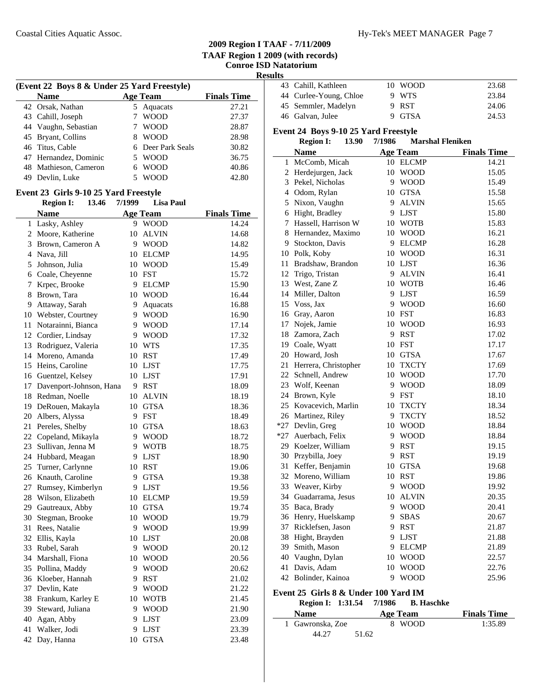**Results**

| (Event 22 Boys 8 & Under 25 Yard Freestyle) |                       |   |                   |                    |  |  |
|---------------------------------------------|-----------------------|---|-------------------|--------------------|--|--|
|                                             | Name                  |   | <b>Age Team</b>   | <b>Finals Time</b> |  |  |
|                                             | 42 Orsak, Nathan      |   | 5 Aquacats        | 27.21              |  |  |
|                                             | 43 Cahill, Joseph     |   | <b>WOOD</b>       | 27.37              |  |  |
|                                             | 44 Vaughn, Sebastian  |   | <b>WOOD</b>       | 28.87              |  |  |
|                                             | 45 Bryant, Collins    |   | <b>WOOD</b>       | 28.98              |  |  |
|                                             | 46 Titus, Cable       |   | 6 Deer Park Seals | 30.82              |  |  |
|                                             | 47 Hernandez, Dominic |   | <b>WOOD</b>       | 36.75              |  |  |
|                                             | 48 Mathieson, Cameron | 6 | <b>WOOD</b>       | 40.86              |  |  |
| 49                                          | Devlin, Luke          |   | <b>WOOD</b>       | 42.80              |  |  |
|                                             |                       |   |                   |                    |  |  |

### **Event 23 Girls 9-10 25 Yard Freestyle**

|    | <b>Region I:</b><br>13.46  | 7/1999 | <b>Lisa Paul</b> |                    |
|----|----------------------------|--------|------------------|--------------------|
|    | <b>Name</b>                |        | <b>Age Team</b>  | <b>Finals Time</b> |
| 1  | Lasky, Ashley              | 9      | <b>WOOD</b>      | 14.24              |
| 2  | Moore, Katherine           | 10     | <b>ALVIN</b>     | 14.68              |
| 3  | Brown, Cameron A           | 9      | <b>WOOD</b>      | 14.82              |
|    | 4 Nava, Jill               | 10     | <b>ELCMP</b>     | 14.95              |
| 5  | Johnson, Julia             | 10     | <b>WOOD</b>      | 15.49              |
|    | 6 Coale, Cheyenne          | 10     | <b>FST</b>       | 15.72              |
| 7  | Krpec, Brooke              | 9      | <b>ELCMP</b>     | 15.90              |
|    | 8 Brown, Tara              | 10     | <b>WOOD</b>      | 16.44              |
| 9  | Attaway, Sarah             | 9      | Aquacats         | 16.88              |
| 10 | Webster, Courtney          | 9      | <b>WOOD</b>      | 16.90              |
| 11 | Notarainni, Bianca         | 9      | <b>WOOD</b>      | 17.14              |
|    | 12 Cordier, Lindsay        | 9      | <b>WOOD</b>      | 17.32              |
|    | 13 Rodriguez, Valeria      | 10     | <b>WTS</b>       | 17.35              |
|    | 14 Moreno, Amanda          | 10     | <b>RST</b>       | 17.49              |
|    | 15 Heins, Caroline         | 10     | LJST             | 17.75              |
|    | 16 Guentzel, Kelsey        | 10     | <b>LJST</b>      | 17.91              |
|    | 17 Davenport-Johnson, Hana | 9      | <b>RST</b>       | 18.09              |
|    | 18 Redman, Noelle          | 10     | <b>ALVIN</b>     | 18.19              |
|    | 19 DeRouen, Makayla        | 10     | <b>GTSA</b>      | 18.36              |
|    | 20 Albers, Alyssa          | 9      | <b>FST</b>       | 18.49              |
|    | 21 Pereles, Shelby         | 10     | <b>GTSA</b>      | 18.63              |
|    | 22 Copeland, Mikayla       | 9      | <b>WOOD</b>      | 18.72              |
| 23 | Sullivan, Jenna M          | 9      | <b>WOTB</b>      | 18.75              |
|    | 24 Hubbard, Meagan         | 9      | <b>LJST</b>      | 18.90              |
|    | 25 Turner, Carlynne        | 10     | <b>RST</b>       | 19.06              |
|    | 26 Knauth, Caroline        | 9      | <b>GTSA</b>      | 19.38              |
|    | 27 Rumsey, Kimberlyn       | 9      | <b>LJST</b>      | 19.56              |
|    | 28 Wilson, Elizabeth       | 10     | <b>ELCMP</b>     | 19.59              |
|    | 29 Gautreaux, Abby         | 10     | <b>GTSA</b>      | 19.74              |
|    | 30 Stegman, Brooke         | 10     | <b>WOOD</b>      | 19.79              |
|    | 31 Rees, Natalie           | 9      | <b>WOOD</b>      | 19.99              |
|    | 32 Ellis, Kayla            | 10     | LJST             | 20.08              |
|    | 33 Rubel, Sarah            | 9      | <b>WOOD</b>      | 20.12              |
|    | 34 Marshall, Fiona         | 10     | <b>WOOD</b>      | 20.56              |
|    | 35 Pollina, Maddy          | 9      | <b>WOOD</b>      | 20.62              |
| 36 | Kloeber, Hannah            | 9      | <b>RST</b>       | 21.02              |
|    | 37 Devlin, Kate            | 9      | <b>WOOD</b>      | 21.22              |
|    | 38 Frankum, Karley E       | 10     | <b>WOTB</b>      | 21.45              |
|    | 39 Steward, Juliana        | 9      | <b>WOOD</b>      | 21.90              |
|    | 40 Agan, Abby              | 9      | <b>LJST</b>      | 23.09              |
| 41 | Walker, Jodi               | 9      | <b>LJST</b>      | 23.39              |
| 42 | Day, Hanna                 | 10     | <b>GTSA</b>      | 23.48              |
|    |                            |        |                  |                    |

| 43 Cahill, Kathleen    |  | 23.68                               |
|------------------------|--|-------------------------------------|
| 44 Curlee-Young, Chloe |  | 23.84                               |
| 45 Semmler, Madelyn    |  | 24.06                               |
| 46 Galvan, Julee       |  | 24.53                               |
|                        |  | 10 WOOD<br>9 WTS<br>9 RST<br>9 GTSA |

### **Event 24 Boys 9-10 25 Yard Freestyle**

#### **Region I:** 13.90 7/1986 Marshal Fleniken

|    | Region 1:<br>19.YV      | 77200 | <b>MATSHAI FIEIHREIL</b> |                    |
|----|-------------------------|-------|--------------------------|--------------------|
|    | <b>Name</b>             |       | <b>Age Team</b>          | <b>Finals Time</b> |
| 1  | McComb, Micah           |       | 10 ELCMP                 | 14.21              |
| 2  | Herdejurgen, Jack       |       | 10 WOOD                  | 15.05              |
|    | 3 Pekel, Nicholas       |       | 9 WOOD                   | 15.49              |
|    | 4 Odom, Rylan           |       | 10 GTSA                  | 15.58              |
| 5  | Nixon, Vaughn           | 9     | <b>ALVIN</b>             | 15.65              |
|    | 6 Hight, Bradley        |       | 9 LJST                   | 15.80              |
| 7  | Hassell, Harrison W     |       | 10 WOTB                  | 15.83              |
| 8  | Hernandez, Maximo       | 10    | <b>WOOD</b>              | 16.21              |
|    | 9 Stockton, Davis       | 9.    | <b>ELCMP</b>             | 16.28              |
|    | 10 Polk, Koby           |       | 10 WOOD                  | 16.31              |
|    | 11 Bradshaw, Brandon    |       | 10 LJST                  | 16.36              |
|    | 12 Trigo, Tristan       | 9     | <b>ALVIN</b>             | 16.41              |
|    | 13 West, Zane Z         |       | 10 WOTB                  | 16.46              |
|    | 14 Miller, Dalton       |       | 9 LJST                   | 16.59              |
|    | 15 Voss, Jax            | 9     | <b>WOOD</b>              | 16.60              |
|    | 16 Gray, Aaron          |       | 10 FST                   | 16.83              |
|    | 17 Nojek, Jamie         |       | 10 WOOD                  | 16.93              |
|    | 18 Zamora, Zach         | 9     | <b>RST</b>               | 17.02              |
|    | 19 Coale, Wyatt         |       | 10 FST                   | 17.17              |
|    | 20 Howard, Josh         |       | 10 GTSA                  | 17.67              |
|    | 21 Herrera, Christopher |       | 10 TXCTY                 | 17.69              |
|    | 22 Schnell, Andrew      |       | 10 WOOD                  | 17.70              |
|    | 23 Wolf, Keenan         | 9     | <b>WOOD</b>              | 18.09              |
|    | 24 Brown, Kyle          | 9     | <b>FST</b>               | 18.10              |
|    | 25 Kovacevich, Marlin   | 10    | <b>TXCTY</b>             | 18.34              |
|    | 26 Martinez, Riley      | 9     | <b>TXCTY</b>             | 18.52              |
|    | *27 Devlin, Greg        |       | 10 WOOD                  | 18.84              |
|    | *27 Auerbach, Felix     |       | 9 WOOD                   | 18.84              |
|    | 29 Koelzer, William     | 9     | <b>RST</b>               | 19.15              |
|    | 30 Przybilla, Joey      | 9     | <b>RST</b>               | 19.19              |
| 31 | Keffer, Benjamin        | 10    | <b>GTSA</b>              | 19.68              |
|    | 32 Moreno, William      |       | 10 RST                   | 19.86              |
|    | 33 Weaver, Kirby        | 9.    | <b>WOOD</b>              | 19.92              |
|    | 34 Guadarrama, Jesus    | 10    | <b>ALVIN</b>             | 20.35              |
|    | 35 Baca, Brady          |       | 9 WOOD                   | 20.41              |
|    | 36 Henry, Huelskamp     | 9     | <b>SBAS</b>              | 20.67              |
|    | 37 Ricklefsen, Jason    | 9     | <b>RST</b>               | 21.87              |
| 38 | Hight, Brayden          | 9     | <b>LJST</b>              | 21.88              |
|    | 39 Smith, Mason         |       | 9 ELCMP                  | 21.89              |
|    | 40 Vaughn, Dylan        |       | 10 WOOD                  | 22.57              |
| 41 | Davis, Adam             | 10    | <b>WOOD</b>              | 22.76              |
| 42 | Bolinder, Kainoa        | 9     | <b>WOOD</b>              | 25.96              |

### **Event 25 Girls 8 & Under 100 Yard IM**

| Region I: 1:31.54 7/1986 |  | <b>B. Haschke</b> |
|--------------------------|--|-------------------|
|                          |  |                   |

| <b>Name</b>      | Age Team | <b>Finals Time</b> |
|------------------|----------|--------------------|
| 1 Gawronska, Zoe | 8 WOOD   | 1:35.89            |
| 44.27            | 51.62    |                    |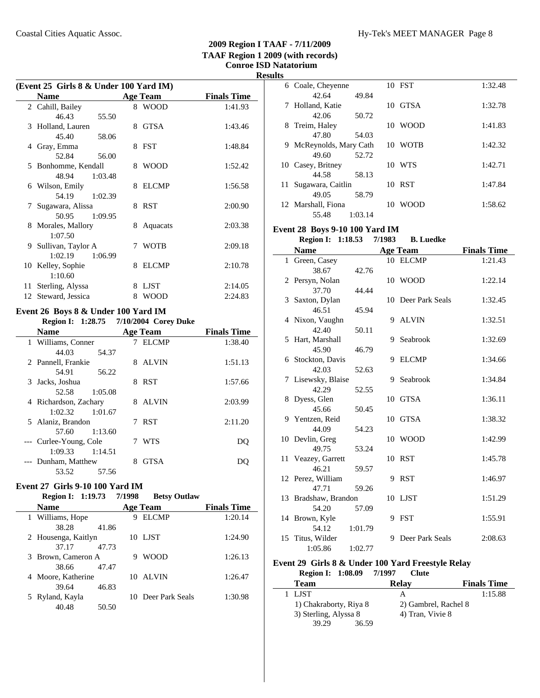|    | (Event 25 Girls 8 & Under 100 Yard IM) |         |    |                 |                    |  |
|----|----------------------------------------|---------|----|-----------------|--------------------|--|
|    | <b>Name</b>                            |         |    | <b>Age Team</b> | <b>Finals Time</b> |  |
|    | 2 Cahill, Bailey                       |         |    | 8 WOOD          | 1:41.93            |  |
|    | 46.43                                  | 55.50   |    |                 |                    |  |
|    | 3 Holland, Lauren                      |         | 8  | <b>GTSA</b>     | 1:43.46            |  |
|    | 45.40                                  | 58.06   |    |                 |                    |  |
| 4  | Gray, Emma                             |         |    | 8 FST           | 1:48.84            |  |
|    | 52.84                                  | 56.00   |    |                 |                    |  |
|    | 5 Bonhomme, Kendall                    |         | 8  | <b>WOOD</b>     | 1:52.42            |  |
|    | 48.94                                  | 1:03.48 |    |                 |                    |  |
| 6  | Wilson, Emily                          |         | 8  | <b>ELCMP</b>    | 1:56.58            |  |
|    | 54.19                                  | 1:02.39 |    |                 |                    |  |
| 7  | Sugawara, Alissa                       |         |    | 8 RST           | 2:00.90            |  |
|    | 50.95                                  | 1:09.95 |    |                 |                    |  |
| 8. | Morales, Mallory                       |         | 8. | Aquacats        | 2:03.38            |  |
|    | 1:07.50                                |         |    |                 |                    |  |
| 9  | Sullivan, Taylor A                     |         | 7  | <b>WOTB</b>     | 2:09.18            |  |
|    | 1:02.19                                | 1:06.99 |    |                 |                    |  |
|    | 10 Kelley, Sophie                      |         | 8  | <b>ELCMP</b>    | 2:10.78            |  |
|    | 1:10.60                                |         |    |                 |                    |  |
| 11 | Sterling, Alyssa                       |         | 8  | <b>LJST</b>     | 2:14.05            |  |
|    | 12 Steward, Jessica                    |         | 8  | <b>WOOD</b>     | 2:24.83            |  |
|    |                                        |         |    |                 |                    |  |

### **Event 26 Boys 8 & Under 100 Yard IM**

|                        |         |    | Region I: 1:28.75 7/10/2004 Corey Duke |                    |
|------------------------|---------|----|----------------------------------------|--------------------|
| <b>Name</b>            |         |    | <b>Age Team</b>                        | <b>Finals Time</b> |
| 1 Williams, Conner     |         |    | 7 ELCMP                                | 1:38.40            |
| 44.03                  | 54.37   |    |                                        |                    |
| 2 Pannell, Frankie     |         | 8  | <b>ALVIN</b>                           | 1:51.13            |
| 54.91                  | 56.22   |    |                                        |                    |
| 3 Jacks, Joshua        |         | 8  | <b>RST</b>                             | 1:57.66            |
| 52.58                  | 1:05.08 |    |                                        |                    |
| 4 Richardson, Zachary  |         | 8. | ALVIN                                  | 2:03.99            |
| 1:02.32                | 1:01.67 |    |                                        |                    |
| 5 Alaniz, Brandon      |         |    | 7 RST                                  | 2:11.20            |
| 57.60                  | 1:13.60 |    |                                        |                    |
| --- Curlee-Young, Cole |         |    | WTS                                    | DO                 |
| 1:09.33                | 1:14.51 |    |                                        |                    |
| --- Dunham, Matthew    |         | 8  | <b>GTSA</b>                            |                    |
| 53.52                  | 57.56   |    |                                        |                    |

|    | Event 27 Girls 9-10 100 Yard IM<br>Region I: 1:19.73 7/1998 |       | <b>Betsy Outlaw</b> |                    |
|----|-------------------------------------------------------------|-------|---------------------|--------------------|
|    | <b>Name</b>                                                 |       | Age Team            | <b>Finals Time</b> |
|    | 1 Williams, Hope                                            |       | <b>ELCMP</b>        | 1:20.14            |
|    | 38.28                                                       | 41.86 |                     |                    |
|    | 2 Housenga, Kaitlyn                                         |       | 10 LJST             | 1:24.90            |
|    | 37.17                                                       | 47.73 |                     |                    |
| 3  | Brown, Cameron A                                            |       | <b>WOOD</b>         | 1:26.13            |
|    | 38.66                                                       | 47.47 |                     |                    |
| 4  | Moore, Katherine                                            |       | 10 ALVIN            | 1:26.47            |
|    | 39.64                                                       | 46.83 |                     |                    |
| 5. | Ryland, Kayla                                               |       | 10 Deer Park Seals  | 1:30.98            |
|    | 40.48                                                       | 50.50 |                     |                    |

| <b>Results</b> |                         |         |             |         |
|----------------|-------------------------|---------|-------------|---------|
|                | 6 Coale, Cheyenne       |         | 10 FST      | 1:32.48 |
|                | 42.64                   | 49.84   |             |         |
|                | 7 Holland, Katie        |         | 10 GTSA     | 1:32.78 |
|                | 42.06                   | 50.72   |             |         |
|                | 8 Treim, Haley          |         | 10 WOOD     | 1:41.83 |
|                | 47.80                   | 54.03   |             |         |
|                | 9 McReynolds, Mary Cath |         | 10 WOTB     | 1:42.32 |
|                | 49.60                   | 52.72   |             |         |
|                | 10 Casey, Britney       |         | 10 WTS      | 1:42.71 |
|                | 44.58                   | 58.13   |             |         |
|                | 11 Sugawara, Caitlin    |         | 10 RST      | 1:47.84 |
|                | 49.05                   | 58.79   |             |         |
|                | 12 Marshall, Fiona      | 10      | <b>WOOD</b> | 1:58.62 |
|                | 55.48                   | 1:03.14 |             |         |

# **Event 28 Boys 9-10 100 Yard IM**

### **Region I: 1:18.53 7/1983 B. Luedke<br>
<b>Name Age Team Name Finals Time Age Team**

| Name                 |         |   | Age ream           | rinais lime |
|----------------------|---------|---|--------------------|-------------|
| 1 Green, Casey       |         |   | 10 ELCMP           | 1:21.43     |
| 38.67                | 42.76   |   |                    |             |
| 2 Persyn, Nolan      |         |   | 10 WOOD            | 1:22.14     |
| 37.70                | 44.44   |   |                    |             |
| 3 Saxton, Dylan      |         |   | 10 Deer Park Seals | 1:32.45     |
| 46.51                | 45.94   |   |                    |             |
| 4 Nixon, Vaughn      |         |   | 9 ALVIN            | 1:32.51     |
| 42.40                | 50.11   |   |                    |             |
| 5 Hart, Marshall     |         | 9 | Seabrook           | 1:32.69     |
| 45.90                | 46.79   |   |                    |             |
| 6 Stockton, Davis    |         | 9 | <b>ELCMP</b>       | 1:34.66     |
| 42.03                | 52.63   |   |                    |             |
| 7 Lisewsky, Blaise   |         | 9 | Seabrook           | 1:34.84     |
| 42.29                | 52.55   |   |                    |             |
| 8 Dyess, Glen        |         |   | 10 GTSA            | 1:36.11     |
| 45.66                | 50.45   |   |                    |             |
| 9 Yentzen, Reid      |         |   | 10 GTSA            | 1:38.32     |
| 44.09                | 54.23   |   |                    |             |
| 10 Devlin, Greg      |         |   | 10 WOOD            | 1:42.99     |
| 49.75                | 53.24   |   |                    |             |
| 11 Veazey, Garrett   |         |   | 10 RST             | 1:45.78     |
| 46.21                | 59.57   |   |                    |             |
| 12 Perez, William    |         |   | 9 RST              | 1:46.97     |
| 47.71                | 59.26   |   |                    |             |
| 13 Bradshaw, Brandon |         |   | 10 LJST            | 1:51.29     |
| 54.20                | 57.09   |   |                    |             |
| 14 Brown, Kyle       |         |   | 9 FST              | 1:55.91     |
| 54.12                | 1:01.79 |   |                    |             |
| 15 Titus, Wilder     |         | 9 | Deer Park Seals    | 2:08.63     |
| 1:05.86              | 1:02.77 |   |                    |             |

### **Event 29 Girls 8 & Under 100 Yard Freestyle Relay Region I: 1:08.09 Clute 7/1997**

| Team                   | Relav                | <b>Finals Time</b> |
|------------------------|----------------------|--------------------|
| 1 LIST                 |                      | 1:15.88            |
| 1) Chakraborty, Riya 8 | 2) Gambrel, Rachel 8 |                    |
| 3) Sterling, Alyssa 8  | 4) Tran, Vivie 8     |                    |
| 39.29<br>36.59         |                      |                    |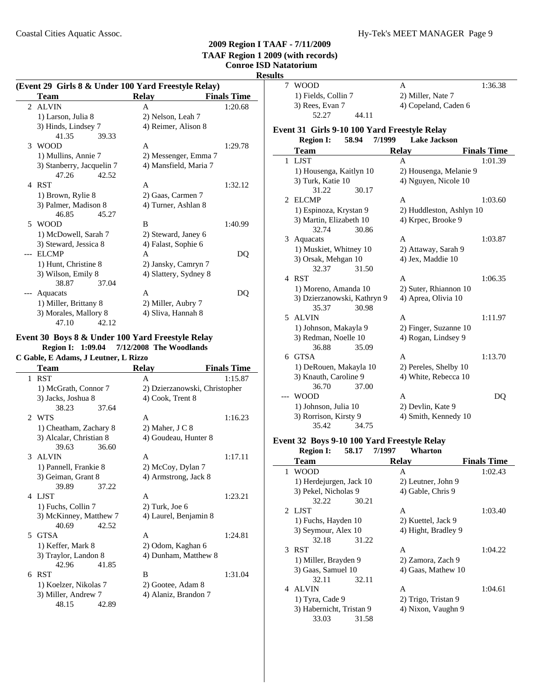# **Resul**

|                | (Event 29 Girls 8 & Under 100 Yard Freestyle Relay) |                       |                    |  |  |
|----------------|-----------------------------------------------------|-----------------------|--------------------|--|--|
|                | Team                                                | Relay                 | <b>Finals Time</b> |  |  |
|                | 2 ALVIN                                             | A                     | 1:20.68            |  |  |
|                | 1) Larson, Julia 8                                  | 2) Nelson, Leah 7     |                    |  |  |
|                | 3) Hinds, Lindsey 7                                 | 4) Reimer, Alison 8   |                    |  |  |
|                | 41.35<br>39.33                                      |                       |                    |  |  |
| $\mathcal{E}$  | <b>WOOD</b>                                         | A                     | 1:29.78            |  |  |
|                | 1) Mullins, Annie 7                                 | 2) Messenger, Emma 7  |                    |  |  |
|                | 3) Stanberry, Jacquelin 7                           | 4) Mansfield, Maria 7 |                    |  |  |
|                | 47.26<br>42.52                                      |                       |                    |  |  |
| $\overline{4}$ | <b>RST</b>                                          | A                     | 1:32.12            |  |  |
|                | 1) Brown, Rylie 8                                   | 2) Gaas, Carmen 7     |                    |  |  |
|                | 3) Palmer, Madison 8                                | 4) Turner, Ashlan 8   |                    |  |  |
|                | 46.85<br>45.27                                      |                       |                    |  |  |
|                | 5 WOOD                                              | B                     | 1:40.99            |  |  |
|                | 1) McDowell, Sarah 7                                | 2) Steward, Janey 6   |                    |  |  |
|                | 3) Steward, Jessica 8                               | 4) Falast, Sophie 6   |                    |  |  |
|                | EL CMP                                              | A                     | DQ                 |  |  |
|                | 1) Hunt, Christine 8                                | 2) Jansky, Camryn 7   |                    |  |  |
|                | 3) Wilson, Emily 8                                  | 4) Slattery, Sydney 8 |                    |  |  |
|                | 38.87<br>37.04                                      |                       |                    |  |  |
|                | Aquacats                                            | A                     | DO                 |  |  |
|                | 1) Miller, Brittany 8                               | 2) Miller, Aubry 7    |                    |  |  |
|                | 3) Morales, Mallory 8                               | 4) Sliva, Hannah 8    |                    |  |  |
|                | 47.10<br>42.12                                      |                       |                    |  |  |

## **Event 30 Boys 8 & Under 100 Yard Freestyle Relay Region I: 1:09.04 7/12/2008 The Woodlands**

**C Gable, E Adams, J Leutner, L Rizzo**

|   | Team                    | <b>Relay</b>                  | <b>Finals Time</b> |
|---|-------------------------|-------------------------------|--------------------|
| 1 | <b>RST</b>              | A                             | 1:15.87            |
|   | 1) McGrath, Connor 7    | 2) Dzierzanowski, Christopher |                    |
|   | 3) Jacks, Joshua 8      | 4) Cook, Trent 8              |                    |
|   | 38.23<br>37.64          |                               |                    |
|   | 2 WTS                   | A                             | 1:16.23            |
|   | 1) Cheatham, Zachary 8  | 2) Maher, $J \, C \, 8$       |                    |
|   | 3) Alcalar, Christian 8 | 4) Goudeau, Hunter 8          |                    |
|   | 39.63<br>36.60          |                               |                    |
|   | 3 ALVIN                 | A                             | 1:17.11            |
|   | 1) Pannell, Frankie 8   | 2) McCoy, Dylan 7             |                    |
|   | 3) Geiman, Grant 8      | 4) Armstrong, Jack 8          |                    |
|   | 39.89<br>37.22          |                               |                    |
|   | 4 LJST                  | A                             | 1:23.21            |
|   | 1) Fuchs, Collin 7      | $2)$ Turk, Joe $6$            |                    |
|   | 3) McKinney, Matthew 7  | 4) Laurel, Benjamin 8         |                    |
|   | 40.69<br>42.52          |                               |                    |
|   | 5 GTSA                  | A                             | 1:24.81            |
|   | 1) Keffer, Mark 8       | 2) Odom, Kaghan 6             |                    |
|   | 3) Traylor, Landon 8    | 4) Dunham, Matthew 8          |                    |
|   | 42.96<br>41.85          |                               |                    |
|   | 6 RST                   | B                             | 1:31.04            |
|   | 1) Koelzer, Nikolas 7   | 2) Gootee, Adam 8             |                    |
|   | 3) Miller, Andrew 7     | 4) Alaniz, Brandon 7          |                    |
|   | 48.15<br>42.89          |                               |                    |

| ults        |                                                 |        |                          |                    |
|-------------|-------------------------------------------------|--------|--------------------------|--------------------|
| $7^{\circ}$ | <b>WOOD</b>                                     |        | A                        | 1:36.38            |
|             | 1) Fields, Collin 7                             |        | 2) Miller, Nate 7        |                    |
|             | 3) Rees, Evan 7                                 |        | 4) Copeland, Caden 6     |                    |
|             | 52.27                                           | 44.11  |                          |                    |
|             | Event 31 Girls 9-10 100 Yard Freestyle Relay    |        |                          |                    |
|             | 58.94<br><b>Region I:</b>                       | 7/1999 | <b>Lake Jackson</b>      |                    |
|             | Team                                            |        | <b>Relay</b>             | <b>Finals Time</b> |
|             | 1 LJST                                          |        | A                        | 1:01.39            |
|             | 1) Housenga, Kaitlyn 10                         |        | 2) Housenga, Melanie 9   |                    |
|             | 3) Turk, Katie 10                               |        | 4) Nguyen, Nicole 10     |                    |
|             | 31.22                                           | 30.17  |                          |                    |
| 2           | <b>ELCMP</b>                                    |        | A                        | 1:03.60            |
|             | 1) Espinoza, Krystan 9                          |        | 2) Huddleston, Ashlyn 10 |                    |
|             | 3) Martin, Elizabeth 10                         |        | 4) Krpec, Brooke 9       |                    |
|             | 32.74                                           | 30.86  |                          |                    |
|             | 3 Aquacats                                      |        | A                        | 1:03.87            |
|             | 1) Muskiet, Whitney 10                          |        | 2) Attaway, Sarah 9      |                    |
|             | 3) Orsak, Mehgan 10                             |        | 4) Jex, Maddie 10        |                    |
|             | 32.37                                           | 31.50  |                          |                    |
|             | 4 RST                                           |        | A                        | 1:06.35            |
|             | 1) Moreno, Amanda 10                            |        | 2) Suter, Rhiannon 10    |                    |
|             | 3) Dzierzanowski, Kathryn 9                     |        | 4) Aprea, Olivia 10      |                    |
|             | 35.37                                           | 30.98  |                          |                    |
|             | 5 ALVIN                                         |        | A                        | 1:11.97            |
|             | 1) Johnson, Makayla 9                           |        | 2) Finger, Suzanne 10    |                    |
|             | 3) Redman, Noelle 10                            |        | 4) Rogan, Lindsey 9      |                    |
|             | 36.88<br>6 GTSA                                 | 35.09  | A                        | 1:13.70            |
|             |                                                 |        | 2) Pereles, Shelby 10    |                    |
|             | 1) DeRouen, Makayla 10<br>3) Knauth, Caroline 9 |        | 4) White, Rebecca 10     |                    |
|             | 36.70                                           | 37.00  |                          |                    |
|             | <b>WOOD</b>                                     |        | А                        | DO                 |
|             | 1) Johnson, Julia 10                            |        | 2) Devlin, Kate 9        |                    |
|             | 3) Rorrison, Kirsty 9                           |        | 4) Smith, Kennedy 10     |                    |
|             | 35.42                                           | 34.75  |                          |                    |

# **Event 32 Boys 9-10 100 Yard Freestyle Relay**

|   | <b>Region I:</b>         | 58.17 | 7/1997 | Wharton             |                    |
|---|--------------------------|-------|--------|---------------------|--------------------|
|   | Team                     |       |        | <b>Relay</b>        | <b>Finals Time</b> |
| 1 | <b>WOOD</b>              |       |        | A                   | 1:02.43            |
|   | 1) Herdejurgen, Jack 10  |       |        | 2) Leutner, John 9  |                    |
|   | 3) Pekel, Nicholas 9     |       |        | 4) Gable, Chris 9   |                    |
|   | 32.22                    | 30.21 |        |                     |                    |
|   | 2 LIST                   |       |        | A                   | 1:03.40            |
|   | 1) Fuchs, Hayden 10      |       |        | 2) Kuettel, Jack 9  |                    |
|   | 3) Seymour, Alex 10      |       |        | 4) Hight, Bradley 9 |                    |
|   | 32.18                    | 31.22 |        |                     |                    |
|   | 3 RST                    |       |        | A                   | 1:04.22            |
|   | 1) Miller, Brayden 9     |       |        | 2) Zamora, Zach 9   |                    |
|   | 3) Gaas, Samuel 10       |       |        | 4) Gaas, Mathew 10  |                    |
|   | 32.11                    | 32.11 |        |                     |                    |
| 4 | ALVIN                    |       |        | A                   | 1:04.61            |
|   | 1) Tyra, Cade 9          |       |        | 2) Trigo, Tristan 9 |                    |
|   | 3) Habernicht, Tristan 9 |       |        | 4) Nixon, Vaughn 9  |                    |
|   | 33.03                    | 31.58 |        |                     |                    |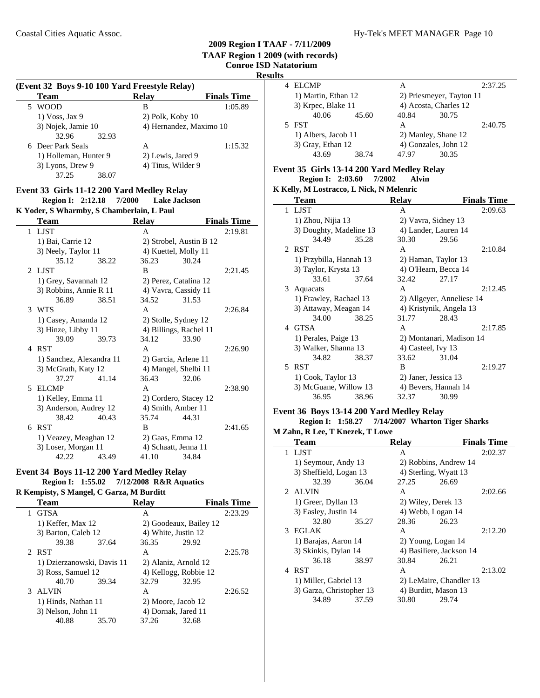## **Results**

÷.

 $\mathbb{R}^2$ 

| (Event 32 Boys 9-10 100 Yard Freestyle Relay) |                    |                         |  |  |  |  |  |
|-----------------------------------------------|--------------------|-------------------------|--|--|--|--|--|
| <b>Team</b>                                   | <b>Relay</b>       | <b>Finals Time</b>      |  |  |  |  |  |
| <b>WOOD</b>                                   | в                  | 1:05.89                 |  |  |  |  |  |
| $1) V$ Oss, Jax 9                             | $2)$ Polk, Koby 10 |                         |  |  |  |  |  |
| 3) Nojek, Jamie 10                            |                    | 4) Hernandez, Maximo 10 |  |  |  |  |  |
| 32.96<br>32.93                                |                    |                         |  |  |  |  |  |
| 6 Deer Park Seals                             | А                  | 1:15.32                 |  |  |  |  |  |
| 1) Holleman, Hunter 9                         | 2) Lewis, Jared 9  |                         |  |  |  |  |  |
| 3) Lyons, Drew 9                              | 4) Titus, Wilder 9 |                         |  |  |  |  |  |
| 37.25<br>38.07                                |                    |                         |  |  |  |  |  |

# **Event 33 Girls 11-12 200 Yard Medley Relay**

**Region I: 2:12.18 7/2000 Lake Jackson K Yoder, S Wharmby, S Chamberlain, L Paul**

|   | <b>Team</b>              |       | Relay            |                         | <b>Finals Time</b> |
|---|--------------------------|-------|------------------|-------------------------|--------------------|
| 1 | LJST                     |       | A                |                         | 2:19.81            |
|   | 1) Bai, Carrie 12        |       |                  | 2) Strobel, Austin B 12 |                    |
|   | 3) Neely, Taylor 11      |       |                  | 4) Kuettel, Molly 11    |                    |
|   | 35.12                    | 38.22 | 36.23            | 30.24                   |                    |
|   | 2 LIST                   |       | B                |                         | 2:21.45            |
|   | 1) Grey, Savannah 12     |       |                  | 2) Perez, Catalina 12   |                    |
|   | 3) Robbins, Annie R 11   |       |                  | 4) Vavra, Cassidy 11    |                    |
|   | 36.89                    | 38.51 | 34.52            | 31.53                   |                    |
|   | 3 WTS                    |       | A                |                         | 2:26.84            |
|   | 1) Casey, Amanda 12      |       |                  | 2) Stolle, Sydney 12    |                    |
|   | 3) Hinze, Libby 11       |       |                  | 4) Billings, Rachel 11  |                    |
|   | 39.09                    | 39.73 | 34.12            | 33.90                   |                    |
| 4 | <b>RST</b>               |       | A                |                         | 2:26.90            |
|   | 1) Sanchez, Alexandra 11 |       |                  | 2) Garcia, Arlene 11    |                    |
|   | 3) McGrath, Katy 12      |       |                  | 4) Mangel, Shelbi 11    |                    |
|   | 37.27                    | 41.14 | 36.43            | 32.06                   |                    |
| 5 | <b>ELCMP</b>             |       | A                |                         | 2:38.90            |
|   | 1) Kelley, Emma 11       |       |                  | 2) Cordero, Stacey 12   |                    |
|   | 3) Anderson, Audrey 12   |       |                  | 4) Smith, Amber 11      |                    |
|   | 38.42                    | 40.43 | 35.74            | 44.31                   |                    |
| 6 | <b>RST</b>               |       | B                |                         | 2:41.65            |
|   | 1) Veazey, Meaghan 12    |       | 2) Gaas, Emma 12 |                         |                    |
|   | 3) Loser, Morgan 11      |       |                  | 4) Schaatt, Jenna 11    |                    |
|   | 42.22                    | 43.49 | 41.10            | 34.84                   |                    |

# **Event 34 Boys 11-12 200 Yard Medley Relay**

# **Region I: 1:55.02 7/12/2008 R&R Aquatics**

**R Kempisty, S Mangel, C Garza, M Burditt**

|   | <b>Team</b>                |       | <b>Relay</b> |                        | <b>Finals Time</b> |
|---|----------------------------|-------|--------------|------------------------|--------------------|
| 1 | <b>GTSA</b>                |       | А            |                        | 2:23.29            |
|   | 1) Keffer, Max 12          |       |              | 2) Goodeaux, Bailey 12 |                    |
|   | 3) Barton, Caleb 12        |       |              | 4) White, Justin 12    |                    |
|   | 39.38                      | 37.64 | 36.35        | 29.92                  |                    |
|   | 2 RST                      |       | A            |                        | 2:25.78            |
|   | 1) Dzierzanowski, Davis 11 |       |              | 2) Alaniz, Arnold 12   |                    |
|   | 3) Ross, Samuel 12         |       |              | 4) Kellogg, Robbie 12  |                    |
|   | 40.70                      | 39.34 | 32.79        | 32.95                  |                    |
|   | 3 ALVIN                    |       | A            |                        | 2:26.52            |
|   | 1) Hinds, Nathan 11        |       |              | 2) Moore, Jacob 12     |                    |
|   | 3) Nelson, John 11         |       |              | 4) Dornak, Jared 11    |                    |
|   | 40.88                      | 35.70 | 37.26        | 32.68                  |                    |
|   |                            |       |              |                        |                    |

| 4 ELCMP             |       | А                        |                      | 2:37.25 |
|---------------------|-------|--------------------------|----------------------|---------|
| 1) Martin, Ethan 12 |       | 2) Priesmeyer, Tayton 11 |                      |         |
| 3) Krpec, Blake 11  |       | 4) Acosta, Charles 12    |                      |         |
| 40.06               | 45.60 | 40.84                    | 30.75                |         |
| 5 FST               |       | А                        |                      | 2:40.75 |
| 1) Albers, Jacob 11 |       | 2) Manley, Shane 12      |                      |         |
| 3) Gray, Ethan 12   |       |                          | 4) Gonzales, John 12 |         |
| 43.69               | 38.74 | 47.97                    | 30.35                |         |

### **Event 35 Girls 13-14 200 Yard Medley Relay**

**Region I: 2:03.60 7/2002 Alvin** 

|    | K Kelly, M Lostracco, L Nick, N Melenric |       |                          |                           |                    |  |  |  |  |
|----|------------------------------------------|-------|--------------------------|---------------------------|--------------------|--|--|--|--|
|    | <b>Team</b>                              |       | <b>Relay</b>             |                           | <b>Finals Time</b> |  |  |  |  |
|    | 1 LJST                                   |       | A                        |                           | 2:09.63            |  |  |  |  |
|    | 1) Zhou, Nijia 13                        |       |                          | 2) Vavra, Sidney 13       |                    |  |  |  |  |
|    | 3) Doughty, Madeline 13                  |       |                          | 4) Lander, Lauren 14      |                    |  |  |  |  |
|    | 34.49                                    | 35.28 | 30.30                    | 29.56                     |                    |  |  |  |  |
|    | 2 RST                                    |       | A                        |                           | 2:10.84            |  |  |  |  |
|    | 1) Przybilla, Hannah 13                  |       |                          | 2) Haman, Taylor 13       |                    |  |  |  |  |
|    | 3) Taylor, Krysta 13                     |       |                          | 4) O'Hearn, Becca 14      |                    |  |  |  |  |
|    | 33.61                                    | 37.64 | 32.42                    | 27.17                     |                    |  |  |  |  |
| 3  | Aquacats                                 |       | A                        |                           | 2:12.45            |  |  |  |  |
|    | 1) Frawley, Rachael 13                   |       |                          | 2) Allgeyer, Anneliese 14 |                    |  |  |  |  |
|    | 3) Attaway, Meagan 14                    |       | 4) Kristynik, Angela 13  |                           |                    |  |  |  |  |
|    | 34.00                                    | 38.25 | 31.77                    | 28.43                     |                    |  |  |  |  |
|    | 4 GTSA                                   |       | A                        |                           | 2:17.85            |  |  |  |  |
|    | 1) Perales, Paige 13                     |       | 2) Montanari, Madison 14 |                           |                    |  |  |  |  |
|    | 3) Walker, Shanna 13                     |       |                          | 4) Casteel, Ivy 13        |                    |  |  |  |  |
|    | 34.82                                    | 38.37 | 33.62                    | 31.04                     |                    |  |  |  |  |
| 5. | <b>RST</b>                               |       | B                        |                           | 2:19.27            |  |  |  |  |
|    | 1) Cook, Taylor 13                       |       |                          | 2) Janer, Jessica 13      |                    |  |  |  |  |
|    | 3) McGuane, Willow 13                    |       |                          | 4) Bevers, Hannah 14      |                    |  |  |  |  |
|    | 36.95                                    | 38.96 | 32.37                    | 30.99                     |                    |  |  |  |  |

# **Event 36 Boys 13-14 200 Yard Medley Relay**

**Region I: 1:58.27 7/14/2007** Wharton Tiger Sharks **M Zahn, R Lee, T Knezek, T Lowe**

| 1 Zanii, ix Lee, 1 Ixiiczek, 1 Lowe |                                                   |       |                          |                         |                    |  |  |  |
|-------------------------------------|---------------------------------------------------|-------|--------------------------|-------------------------|--------------------|--|--|--|
|                                     | <b>Team</b>                                       |       | <b>Relay</b>             |                         | <b>Finals Time</b> |  |  |  |
|                                     | 1 LJST                                            |       | A                        |                         | 2:02.37            |  |  |  |
|                                     | 1) Seymour, Andy 13                               |       |                          | 2) Robbins, Andrew 14   |                    |  |  |  |
|                                     | 3) Sheffield, Logan 13                            |       |                          | 4) Sterling, Wyatt 13   |                    |  |  |  |
|                                     | 32.39                                             | 36.04 | 27.25                    | 26.69                   |                    |  |  |  |
|                                     | 2 ALVIN                                           |       | A                        |                         | 2:02.66            |  |  |  |
|                                     | 1) Greer, Dyllan 13                               |       | 2) Wiley, Derek 13       |                         |                    |  |  |  |
|                                     | 3) Easley, Justin 14                              |       |                          | 4) Webb, Logan 14       |                    |  |  |  |
|                                     | 32.80                                             | 35.27 | 28.36                    | 26.23                   |                    |  |  |  |
|                                     | 3 EGLAK                                           |       | A                        |                         | 2:12.20            |  |  |  |
|                                     | 1) Barajas, Aaron 14                              |       | 2) Young, Logan 14       |                         |                    |  |  |  |
|                                     | 3) Skinkis, Dylan 14                              |       | 4) Basiliere, Jackson 14 |                         |                    |  |  |  |
|                                     | 36.18                                             | 38.97 | 30.84                    | 26.21                   |                    |  |  |  |
|                                     | 4 RST                                             |       | A                        |                         | 2:13.02            |  |  |  |
|                                     | 1) Miller, Gabriel 13<br>3) Garza, Christopher 13 |       |                          | 2) LeMaire, Chandler 13 |                    |  |  |  |
|                                     |                                                   |       |                          | 4) Burditt, Mason 13    |                    |  |  |  |
|                                     | 34.89                                             | 37.59 | 30.80                    | 29.74                   |                    |  |  |  |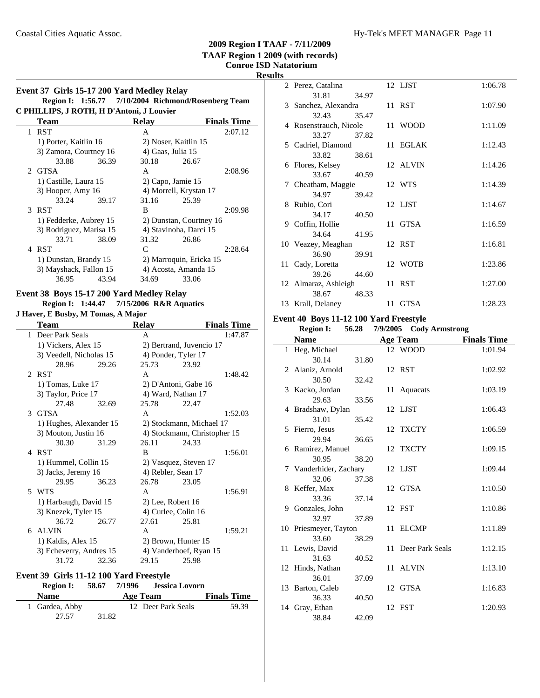# **Results**

÷

|   | Event 37 Girls 15-17 200 Yard Medley Relay<br>Region I: 1:56.77 7/10/2004 Richmond/Rosenberg Team |       |                        |                          |                    |
|---|---------------------------------------------------------------------------------------------------|-------|------------------------|--------------------------|--------------------|
|   | C PHILLIPS, J ROTH, H D'Antoni, J Louvier                                                         |       |                        |                          |                    |
|   | <b>Team</b>                                                                                       |       | <b>Relay</b>           |                          | <b>Finals Time</b> |
|   | 1 RST                                                                                             |       | A                      |                          | 2:07.12            |
|   | 1) Porter, Kaitlin 16                                                                             |       |                        | 2) Noser, Kaitlin 15     |                    |
|   | 3) Zamora, Courtney 16                                                                            |       | 4) Gaas, Julia 15      |                          |                    |
|   | 33.88                                                                                             | 36.39 | 30.18                  | 26.67                    |                    |
|   | 2 GTSA                                                                                            |       | A                      |                          | 2:08.96            |
|   | 1) Castille, Laura 15                                                                             |       | 2) Capo, Jamie 15      |                          |                    |
|   | 3) Hooper, Amy 16                                                                                 |       | 4) Morrell, Krystan 17 |                          |                    |
|   | 33.24                                                                                             | 39.17 | 31.16                  | 25.39                    |                    |
|   | 3 RST                                                                                             |       | B                      |                          | 2:09.98            |
|   | 1) Fedderke, Aubrey 15                                                                            |       |                        | 2) Dunstan, Courtney 16  |                    |
|   | 3) Rodriguez, Marisa 15                                                                           |       | 4) Stavinoha, Darci 15 |                          |                    |
|   | 33.71                                                                                             | 38.09 | 31.32                  | 26.86                    |                    |
| 4 | <b>RST</b>                                                                                        |       | $\mathsf{C}$           |                          | 2:28.64            |
|   | 1) Dunstan, Brandy 15                                                                             |       |                        | 2) Marroquin, Ericka 15  |                    |
|   | 3) Mayshack, Fallon 15                                                                            |       |                        | 4) Acosta, Amanda 15     |                    |
|   | 36.95                                                                                             | 43.94 | 34.69                  | 33.06                    |                    |
|   | Event 38 Boys 15-17 200 Yard Medley Relay                                                         |       |                        |                          |                    |
|   | Region I: 1:44.47 7/15/2006 R&R Aquatics                                                          |       |                        |                          |                    |
|   | J Haver, E Busby, M Tomas, A Major                                                                |       |                        |                          |                    |
|   | Team                                                                                              |       | <b>Relay</b>           |                          | <b>Finals Time</b> |
|   | 1 Deer Park Seals                                                                                 |       | A                      |                          | 1:47.87            |
|   | 1) Vickers, Alex 15                                                                               |       |                        | 2) Bertrand, Juvencio 17 |                    |
|   |                                                                                                   |       |                        |                          |                    |

|             | DUU 1 ah duus           |       | л                        |                              | 1.77.07 |
|-------------|-------------------------|-------|--------------------------|------------------------------|---------|
|             | 1) Vickers, Alex 15     |       | 2) Bertrand, Juvencio 17 |                              |         |
|             | 3) Veedell, Nicholas 15 |       | 4) Ponder, Tyler 17      |                              |         |
|             | 28.96                   | 29.26 | 25.73                    | 23.92                        |         |
| $2^{\circ}$ | <b>RST</b>              |       | A                        |                              | 1:48.42 |
|             | 1) Tomas, Luke 17       |       |                          | 2) D'Antoni, Gabe 16         |         |
|             | 3) Taylor, Price 17     |       | 4) Ward, Nathan 17       |                              |         |
|             | 27.48                   | 32.69 | 25.78                    | 22.47                        |         |
|             | 3 GTSA                  |       | A                        |                              | 1:52.03 |
|             | 1) Hughes, Alexander 15 |       |                          | 2) Stockmann, Michael 17     |         |
|             | 3) Mouton, Justin 16    |       |                          | 4) Stockmann, Christopher 15 |         |
|             | 30.30                   | 31.29 | 26.11                    | 24.33                        |         |
| 4           | <b>RST</b>              |       | B                        |                              | 1:56.01 |
|             | 1) Hummel, Collin 15    |       |                          | 2) Vasquez, Steven 17        |         |
|             | 3) Jacks, Jeremy 16     |       | 4) Rebler, Sean 17       |                              |         |
|             | 29.95                   | 36.23 | 26.78                    | 23.05                        |         |
|             | 5 WTS                   |       | A                        |                              | 1:56.91 |
|             | 1) Harbaugh, David 15   |       | $2)$ Lee, Robert 16      |                              |         |
|             | 3) Knezek, Tyler 15     |       | 4) Curlee, Colin 16      |                              |         |
|             | 36.72                   | 26.77 | 27.61                    | 25.81                        |         |
| 6.          | <b>ALVIN</b>            |       | A                        |                              | 1:59.21 |
|             | 1) Kaldis, Alex 15      |       | 2) Brown, Hunter 15      |                              |         |
|             | 3) Echeverry, Andres 15 |       |                          | 4) Vanderhoef, Ryan 15       |         |
|             | 31.72                   | 32.36 | 29.15                    | 25.98                        |         |

### **Event 39 Girls 11-12 100 Yard Freestyle**

| <b>Region I:</b> | 58.67 |          | 7/1996 Jessica Lovorn |                    |
|------------------|-------|----------|-----------------------|--------------------|
| <b>Name</b>      |       | Age Team |                       | <b>Finals Time</b> |
| 1 Gardea, Abby   |       |          | 12 Deer Park Seals    | 59.39              |
| 27.57            | 31.82 |          |                       |                    |

| ື |                        |       |      |             |         |
|---|------------------------|-------|------|-------------|---------|
|   | 2 Perez, Catalina      |       |      | 12 LJST     | 1:06.78 |
|   | 31.81                  | 34.97 |      |             |         |
|   | 3 Sanchez, Alexandra   |       |      | 11 RST      | 1:07.90 |
|   | 32.43                  | 35.47 |      |             |         |
|   | 4 Rosenstrauch, Nicole |       |      | 11 WOOD     | 1:11.09 |
|   | 33.27                  | 37.82 |      |             |         |
|   | 5 Cadriel, Diamond     |       |      | 11 EGLAK    | 1:12.43 |
|   | 33.82                  | 38.61 |      |             |         |
|   | 6 Flores, Kelsey       |       |      | 12 ALVIN    | 1:14.26 |
|   | 33.67                  | 40.59 |      |             |         |
|   | 7 Cheatham, Maggie     |       |      | 12 WTS      | 1:14.39 |
|   | 34.97                  | 39.42 |      |             |         |
|   | 8 Rubio, Cori          |       |      | 12 LJST     | 1:14.67 |
|   | 34.17                  | 40.50 |      |             |         |
|   | 9 Coffin, Hollie       |       |      | 11 GTSA     | 1:16.59 |
|   | 34.64                  | 41.95 |      |             |         |
|   | 10 Veazey, Meaghan     |       |      | 12 RST      | 1:16.81 |
|   | 36.90                  | 39.91 |      |             |         |
|   | 11 Cady, Loretta       |       |      | 12 WOTB     | 1:23.86 |
|   | 39.26                  | 44.60 |      |             |         |
|   | 12 Almaraz, Ashleigh   |       |      | 11 RST      | 1:27.00 |
|   | 38.67                  | 48.33 |      |             |         |
|   | 13 Krall, Delaney      |       | 11 - | <b>GTSA</b> | 1:28.23 |

### **Event 40 Boys 11-12 100 Yard Freestyle**

| <b>Region I:</b>       |       |    | 56.28 7/9/2005 Cody Armstrong |                    |
|------------------------|-------|----|-------------------------------|--------------------|
| <b>Name</b>            |       |    | <b>Age Team</b>               | <b>Finals Time</b> |
| 1 Heg, Michael         |       |    | 12 WOOD                       | 1:01.94            |
| 30.14                  | 31.80 |    |                               |                    |
| 2 Alaniz, Arnold       |       |    | 12 RST                        | 1:02.92            |
| 30.50                  | 32.42 |    |                               |                    |
| 3 Kacko, Jordan        |       |    | 11 Aquacats                   | 1:03.19            |
| 29.63                  | 33.56 |    |                               |                    |
| 4 Bradshaw, Dylan      |       |    | 12 LJST                       | 1:06.43            |
| 31.01                  | 35.42 |    |                               |                    |
| 5 Fierro, Jesus        |       |    | 12 TXCTY                      | 1:06.59            |
| 29.94                  | 36.65 |    |                               |                    |
| 6 Ramirez, Manuel      |       |    | 12 TXCTY                      | 1:09.15            |
| 30.95                  | 38.20 |    |                               |                    |
| 7 Vanderhider, Zachary |       |    | 12 LJST                       | 1:09.44            |
| 32.06                  | 37.38 |    |                               |                    |
| 8 Keffer, Max          |       |    | 12 GTSA                       | 1:10.50            |
| 33.36                  | 37.14 |    |                               |                    |
| 9 Gonzales, John       |       |    | 12 FST                        | 1:10.86            |
| 32.97                  | 37.89 |    |                               |                    |
| 10 Priesmeyer, Tayton  |       |    | 11 ELCMP                      | 1:11.89            |
| 33.60                  | 38.29 |    |                               |                    |
| 11 Lewis, David        |       | 11 | Deer Park Seals               | 1:12.15            |
| 31.63                  | 40.52 |    |                               |                    |
| 12 Hinds, Nathan       |       |    | 11 ALVIN                      | 1:13.10            |
| 36.01                  | 37.09 |    |                               |                    |
| 13 Barton, Caleb       |       |    | 12 GTSA                       | 1:16.83            |
| 36.33                  | 40.50 |    |                               |                    |
| 14 Gray, Ethan         |       |    | 12 FST                        | 1:20.93            |
| 38.84                  | 42.09 |    |                               |                    |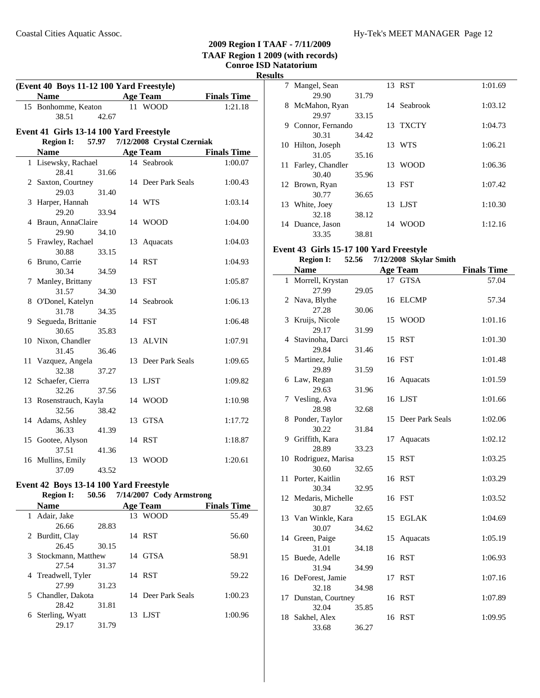### **TAAF Region 1 2009 (with records) Conroe ISD Natatorium Result (Event 40 Boys 11-12 100 Yard Freestyle) Name Age Team Finals Time**<br>Bonhomme, Keaton **11 WOOD 1:21.18** 15 Bonhomme, Keaton 38.51 42.67 **Event 41 Girls 13-14 100 Yard Freestyle Region I: 57.97 7/12/2008 Crystal Czerniak Name Age Team Finals Time** 1 1:00.07 Lisewsky, Rachael 14 Seabrook 28.41 31.66 2 Saxton, Courtney 14 Deer Park Seals 1:00.43 29.03 31.40 3 1:03.14 Harper, Hannah 14 WTS 29.20 33.94 4 1:04.00 Braun, AnnaClaire 14 WOOD 29.90 34.10 5 Frawley, Rachael 13 Aquacats 1:04.03 30.88 33.15 6 1:04.93 Bruno, Carrie 14 RST 30.34 34.59 7 1:05.87 Manley, Brittany 13 FST 31.57 34.30 8 1:06.13 O'Donel, Katelyn 14 Seabrook 31.78 34.35 9 1:06.48 Segueda, Brittanie 14 FST 30.65 35.83 10 Nixon, Chandler 13 ALVIN 1:07.91 31.45 36.46 11 Vazquez, Angela 13 Deer Park Seals 1:09.65 32.38 37.27 12 Schaefer, Cierra 13 LJST 1:09.82 32.26 37.56 13 Rosenstrauch, Kayla 14 WOOD 1:10.98 32.56 38.42 14 Adams, Ashley 13 GTSA 1:17.72 36.33 41.39 15 Gootee, Alyson 14 RST 1:18.87 37.51 41.36 16 Mullins, Emily 13 WOOD 1:20.61 37.09 43.52

#### **Event 42 Boys 13-14 100 Yard Freestyle<br>Region I: 50.56 7/14/2007 Cody Region I: 50.56 Cody Armstrong 7/14/2007**

|    |                      |       | $11.4 \text{ m} = 001.$ Court $1.1 \text{ m} = 0.1$ |                    |
|----|----------------------|-------|-----------------------------------------------------|--------------------|
|    | <b>Name</b>          |       | <b>Age Team</b>                                     | <b>Finals Time</b> |
|    | 1 Adair, Jake        |       | 13 WOOD                                             | 55.49              |
|    | 26.66                | 28.83 |                                                     |                    |
|    | 2 Burditt, Clay      |       | 14 RST                                              | 56.60              |
|    | 26.45                | 30.15 |                                                     |                    |
|    | 3 Stockmann, Matthew |       | 14 GTSA                                             | 58.91              |
|    | 27.54                | 31.37 |                                                     |                    |
|    | 4 Treadwell, Tyler   |       | 14 RST                                              | 59.22              |
|    | 27.99                | 31.23 |                                                     |                    |
|    | 5 Chandler, Dakota   |       | 14 Deer Park Seals                                  | 1:00.23            |
|    | 28.42                | 31.81 |                                                     |                    |
| 6. | Sterling, Wyatt      |       | 13 LJST                                             | 1:00.96            |
|    | 29.17                | 31.79 |                                                     |                    |
|    |                      |       |                                                     |                    |

| ts  |                   |       |    |             |         |
|-----|-------------------|-------|----|-------------|---------|
|     | 7 Mangel, Sean    |       |    | 13 RST      | 1:01.69 |
|     | 29.90             | 31.79 |    |             |         |
|     | 8 McMahon, Ryan   |       |    | 14 Seabrook | 1:03.12 |
|     | 29.97             | 33.15 |    |             |         |
| 9   | Connor, Fernando  |       |    | 13 TXCTY    | 1:04.73 |
|     | 30.31             | 34.42 |    |             |         |
|     | 10 Hilton, Joseph |       |    | 13 WTS      | 1:06.21 |
|     | 31.05             | 35.16 |    |             |         |
| 11. | Farley, Chandler  |       |    | 13 WOOD     | 1:06.36 |
|     | 30.40             | 35.96 |    |             |         |
|     | 12 Brown, Ryan    |       |    | 13 FST      | 1:07.42 |
|     | 30.77             | 36.65 |    |             |         |
| 13  | White, Joey       |       |    | 13 LJST     | 1:10.30 |
|     | 32.18             | 38.12 |    |             |         |
| 14  | Duance, Jason     |       | 14 | <b>WOOD</b> | 1:12.16 |
|     | 33.35             | 38.81 |    |             |         |

#### **Event 43 Girls 15-17 100 Yard Freestyle Region I:** 52.56 7/12/2008 Skylar Smith

**2009 Region I TAAF - 7/11/2009**

|              | <b>Name</b>              |       |    | <b>Age Team</b>    | <b>Finals Time</b> |
|--------------|--------------------------|-------|----|--------------------|--------------------|
| $\mathbf{1}$ | Morrell, Krystan         |       |    | 17 GTSA            | 57.04              |
|              | 27.99                    | 29.05 |    |                    |                    |
| 2            | Nava, Blythe             |       |    | 16 ELCMP           | 57.34              |
|              | 27.28                    | 30.06 |    |                    |                    |
| 3            | Kruijs, Nicole           |       | 15 | WOOD               | 1:01.16            |
|              | 29.17                    | 31.99 |    |                    |                    |
| 4            | Stavinoha, Darci         |       |    | 15 RST             | 1:01.30            |
|              | 29.84                    | 31.46 |    |                    |                    |
| 5            | Martinez, Julie          |       |    | 16 FST             | 1:01.48            |
|              | 29.89                    | 31.59 |    |                    |                    |
|              | 6 Law, Regan             |       |    | 16 Aquacats        | 1:01.59            |
|              | 29.63                    | 31.96 |    |                    |                    |
| 7            | Vesling, Ava             |       |    | 16 LJST            | 1:01.66            |
|              | 28.98                    | 32.68 |    |                    |                    |
| 8            | Ponder, Taylor           |       |    | 15 Deer Park Seals | 1:02.06            |
|              | 30.22                    | 31.84 |    |                    |                    |
| 9            | Griffith, Kara           |       | 17 | Aquacats           | 1:02.12            |
|              | 28.89                    | 33.23 |    |                    |                    |
| 10           | Rodriguez, Marisa        |       |    | 15 RST             | 1:03.25            |
| 11           | 30.60                    | 32.65 |    | 16 RST             |                    |
|              | Porter, Kaitlin<br>30.34 |       |    |                    | 1:03.29            |
|              | 12 Medaris, Michelle     | 32.95 |    | 16 FST             | 1:03.52            |
|              | 30.87                    | 32.65 |    |                    |                    |
|              | 13 Van Winkle, Kara      |       | 15 | <b>EGLAK</b>       | 1:04.69            |
|              | 30.07                    | 34.62 |    |                    |                    |
| 14           | Green, Paige             |       | 15 | Aquacats           | 1:05.19            |
|              | 31.01                    | 34.18 |    |                    |                    |
| 15           | Buede, Adelle            |       |    | 16 RST             | 1:06.93            |
|              | 31.94                    | 34.99 |    |                    |                    |
|              | 16 DeForest, Jamie       |       |    | 17 RST             | 1:07.16            |
|              | 32.18                    | 34.98 |    |                    |                    |
| 17           | Dunstan, Courtney        |       |    | 16 RST             | 1:07.89            |
|              | 32.04                    | 35.85 |    |                    |                    |
| 18           | Sakhel, Alex             |       |    | 16 RST             | 1:09.95            |
|              | 33.68                    | 36.27 |    |                    |                    |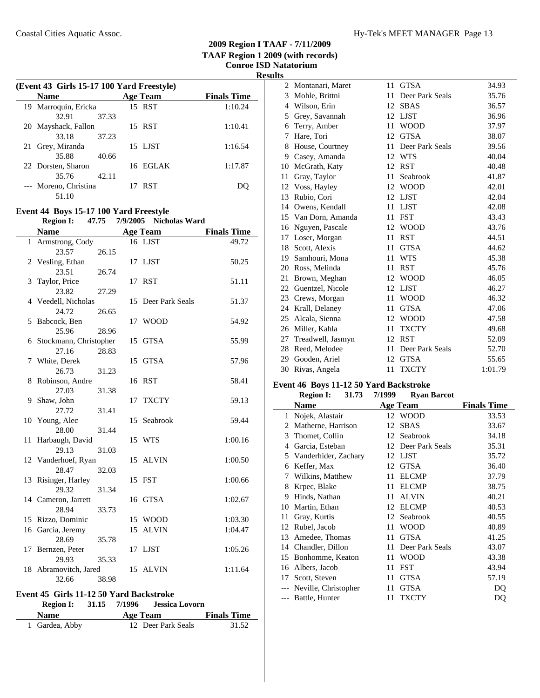$\overline{\phantom{a}}$ 

|    | (Event 43 Girls 15-17 100 Yard Freestyle) |       |                 |                    |
|----|-------------------------------------------|-------|-----------------|--------------------|
|    | <b>Name</b>                               |       | <b>Age Team</b> | <b>Finals Time</b> |
|    | 19 Marroquin, Ericka                      |       | 15 RST          | 1:10.24            |
|    | 32.91                                     | 37.33 |                 |                    |
|    | 20 Mayshack, Fallon                       |       | 15 RST          | 1:10.41            |
|    | 33.18                                     | 37.23 |                 |                    |
| 21 | Grey, Miranda                             |       | 15 LJST         | 1:16.54            |
|    | 35.88                                     | 40.66 |                 |                    |
|    | 22 Dorsten, Sharon                        |       | 16 EGLAK        | 1:17.87            |
|    | 35.76                                     | 42.11 |                 |                    |
|    | --- Moreno, Christina                     |       | 17 RST          |                    |
|    | 51.10                                     |       |                 |                    |

# **Event 44 Boys 15-17 100 Yard Freestyle**

|              | <b>Region I:</b>         | 47.75 | 7/9/2005 | <b>Nicholas Ward</b> |                    |
|--------------|--------------------------|-------|----------|----------------------|--------------------|
|              | <b>Name</b>              |       |          | <b>Age Team</b>      | <b>Finals Time</b> |
| $\mathbf{1}$ | Armstrong, Cody          |       |          | 16 LJST              | 49.72              |
|              | 23.57                    | 26.15 |          |                      |                    |
|              | 2 Vesling, Ethan         |       |          | 17 LJST              | 50.25              |
|              | 23.51                    | 26.74 |          |                      |                    |
|              | 3 Taylor, Price          |       |          | 17 RST               | 51.11              |
|              | 23.82                    | 27.29 |          |                      |                    |
|              | 4 Veedell, Nicholas      |       |          | 15 Deer Park Seals   | 51.37              |
|              | 24.72                    | 26.65 |          |                      |                    |
|              | 5 Babcock, Ben           |       | 17       | <b>WOOD</b>          | 54.92              |
|              | 25.96                    | 28.96 |          |                      |                    |
|              | 6 Stockmann, Christopher |       |          | 15 GTSA              | 55.99              |
|              | 27.16                    | 28.83 |          |                      |                    |
|              | 7 White, Derek           |       |          | 15 GTSA              | 57.96              |
|              | 26.73                    | 31.23 |          |                      |                    |
| 8            | Robinson, Andre          |       |          | 16 RST               | 58.41              |
|              | 27.03                    | 31.38 |          |                      |                    |
|              | 9 Shaw, John             |       | 17       | <b>TXCTY</b>         | 59.13              |
|              | 27.72                    | 31.41 |          |                      |                    |
|              | 10 Young, Alec           |       |          | 15 Seabrook          | 59.44              |
|              | 28.00                    | 31.44 |          |                      |                    |
| 11           | Harbaugh, David          |       |          | 15 WTS               | 1:00.16            |
|              | 29.13                    | 31.03 |          |                      |                    |
|              | 12 Vanderhoef, Ryan      |       |          | 15 ALVIN             | 1:00.50            |
|              | 28.47                    | 32.03 |          |                      |                    |
|              | 13 Risinger, Harley      |       |          | 15 FST               | 1:00.66            |
|              | 29.32                    | 31.34 |          |                      |                    |
|              | 14 Cameron, Jarrett      |       |          | 16 GTSA              | 1:02.67            |
|              | 28.94                    | 33.73 |          |                      |                    |
|              | 15 Rizzo, Dominic        |       |          | 15 WOOD              | 1:03.30            |
|              | 16 Garcia, Jeremy        |       | 15       | <b>ALVIN</b>         | 1:04.47            |
|              | 28.69                    | 35.78 |          |                      |                    |
| 17           | Bernzen, Peter           |       | 17       | LJST                 | 1:05.26            |
|              | 29.93                    | 35.33 |          |                      |                    |
| 18           | Abramovitch, Jared       |       |          | 15 ALVIN             | 1:11.64            |
|              | 32.66                    | 38.98 |          |                      |                    |

### **Event 45 Girls 11-12 50 Yard Backstroke Region I:** 31.15 7/1996 **Jessica Lovorn**

|                | -----<br>.         |                    |
|----------------|--------------------|--------------------|
| <b>Name</b>    | Age Team           | <b>Finals Time</b> |
| 1 Gardea, Abby | 12 Deer Park Seals | 31.52              |

| 115 |                     |    |                 |         |
|-----|---------------------|----|-----------------|---------|
| 2   | Montanari, Maret    | 11 | <b>GTSA</b>     | 34.93   |
| 3   | Mohle, Brittni      | 11 | Deer Park Seals | 35.76   |
| 4   | Wilson, Erin        | 12 | <b>SBAS</b>     | 36.57   |
| 5   | Grey, Savannah      | 12 | <b>LJST</b>     | 36.96   |
| 6   | Terry, Amber        | 11 | <b>WOOD</b>     | 37.97   |
| 7   | Hare, Tori          | 12 | <b>GTSA</b>     | 38.07   |
| 8   | House, Courtney     | 11 | Deer Park Seals | 39.56   |
| 9   | Casey, Amanda       | 12 | <b>WTS</b>      | 40.04   |
| 10  | McGrath, Katy       | 12 | <b>RST</b>      | 40.48   |
| 11  | Gray, Taylor        | 11 | Seabrook        | 41.87   |
| 12  | Voss, Hayley        | 12 | <b>WOOD</b>     | 42.01   |
| 13  | Rubio, Cori         | 12 | <b>LJST</b>     | 42.04   |
| 14  | Owens, Kendall      | 11 | <b>LJST</b>     | 42.08   |
| 15  | Van Dorn, Amanda    | 11 | <b>FST</b>      | 43.43   |
| 16  | Nguyen, Pascale     | 12 | <b>WOOD</b>     | 43.76   |
| 17  | Loser, Morgan       | 11 | <b>RST</b>      | 44.51   |
| 18  | Scott, Alexis       | 11 | <b>GTSA</b>     | 44.62   |
| 19  | Samhouri, Mona      | 11 | <b>WTS</b>      | 45.38   |
| 20  | Ross, Melinda       | 11 | <b>RST</b>      | 45.76   |
| 21  | Brown, Meghan       | 12 | <b>WOOD</b>     | 46.05   |
|     | 22 Guentzel, Nicole | 12 | <b>LJST</b>     | 46.27   |
| 23  | Crews, Morgan       | 11 | <b>WOOD</b>     | 46.32   |
| 24  | Krall, Delaney      | 11 | <b>GTSA</b>     | 47.06   |
| 25  | Alcala, Sienna      | 12 | <b>WOOD</b>     | 47.58   |
| 26  | Miller, Kahla       | 11 | <b>TXCTY</b>    | 49.68   |
| 27  | Treadwell, Jasmyn   | 12 | <b>RST</b>      | 52.09   |
| 28  | Reed, Melodee       | 11 | Deer Park Seals | 52.70   |
| 29  | Gooden, Ariel       | 12 | <b>GTSA</b>     | 55.65   |
| 30  | Rivas, Angela       | 11 | <b>TXCTY</b>    | 1:01.79 |
|     |                     |    |                 |         |

## **Event 46 Boys 11-12 50 Yard Backstroke**

|    | <b>Region I:</b><br>31.73 | 7/1999 | <b>Ryan Barcot</b> |                    |
|----|---------------------------|--------|--------------------|--------------------|
|    | Name                      |        | <b>Age Team</b>    | <b>Finals Time</b> |
| 1  | Nojek, Alastair           |        | 12 WOOD            | 33.53              |
| 2  | Matherne, Harrison        | 12     | <b>SBAS</b>        | 33.67              |
| 3  | Thomet, Collin            | 12     | Seabrook           | 34.18              |
| 4  | Garcia, Esteban           | 12     | Deer Park Seals    | 35.31              |
| 5  | Vanderhider, Zachary      | 12     | LJST               | 35.72              |
| 6  | Keffer, Max               | 12     | <b>GTSA</b>        | 36.40              |
| 7  | Wilkins, Matthew          | 11     | <b>ELCMP</b>       | 37.79              |
| 8  | Krpec, Blake              | 11     | <b>ELCMP</b>       | 38.75              |
| 9  | Hinds, Nathan             | 11     | <b>ALVIN</b>       | 40.21              |
| 10 | Martin, Ethan             | 12     | <b>ELCMP</b>       | 40.53              |
| 11 | Gray, Kurtis              | 12     | Seabrook           | 40.55              |
| 12 | Rubel, Jacob              | 11     | WOOD               | 40.89              |
| 13 | Amedee, Thomas            | 11     | <b>GTSA</b>        | 41.25              |
| 14 | Chandler, Dillon          | 11     | Deer Park Seals    | 43.07              |
| 15 | Bonhomme, Keaton          | 11     | WOOD               | 43.38              |
| 16 | Albers, Jacob             | 11     | <b>FST</b>         | 43.94              |
| 17 | Scott, Steven             | 11     | <b>GTSA</b>        | 57.19              |
|    | Neville, Christopher      | 11     | <b>GTSA</b>        | DQ                 |
|    | --- Battle, Hunter        | 11     | <b>TXCTY</b>       | DO                 |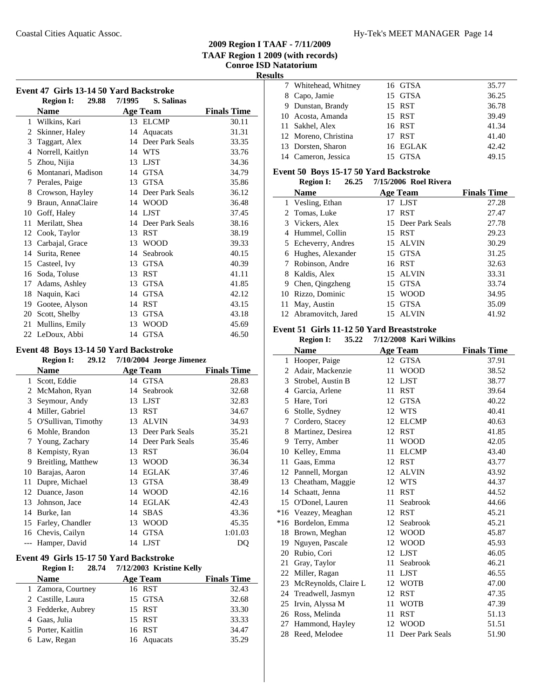**Results**

 $\overline{\phantom{0}}$ 

| Event 47 Girls 13-14 50 Yard Backstroke |                           |        |                 |                    |
|-----------------------------------------|---------------------------|--------|-----------------|--------------------|
|                                         | <b>Region I:</b><br>29.88 | 7/1995 | S. Salinas      |                    |
|                                         | <b>Name</b>               |        | <b>Age Team</b> | <b>Finals Time</b> |
| 1                                       | Wilkins, Kari             |        | 13 ELCMP        | 30.11              |
| 2                                       | Skinner, Haley            | 14     | Aquacats        | 31.31              |
| 3                                       | Taggart, Alex             | 14     | Deer Park Seals | 33.35              |
| 4                                       | Norrell, Kaitlyn          |        | 14 WTS          | 33.76              |
| 5                                       | Zhou, Nijia               | 13     | <b>LJST</b>     | 34.36              |
| 6                                       | Montanari, Madison        | 14     | <b>GTSA</b>     | 34.79              |
| 7                                       | Perales, Paige            | 13     | <b>GTSA</b>     | 35.86              |
| 8                                       | Crowson, Hayley           | 14     | Deer Park Seals | 36.12              |
| 9                                       | Braun, AnnaClaire         |        | 14 WOOD         | 36.48              |
| 10                                      | Goff, Haley               |        | 14 LJST         | 37.45              |
| 11                                      | Merilatt, Shea            | 14     | Deer Park Seals | 38.16              |
| 12                                      | Cook, Taylor              | 13     | <b>RST</b>      | 38.19              |
| 13                                      | Carbajal, Grace           | 13     | <b>WOOD</b>     | 39.33              |
| 14                                      | Surita, Renee             | 14     | Seabrook        | 40.15              |
| 15                                      | Casteel, Ivy              | 13     | <b>GTSA</b>     | 40.39              |
| 16                                      | Soda, Toluse              | 13     | <b>RST</b>      | 41.11              |
| 17                                      | Adams, Ashley             | 13     | <b>GTSA</b>     | 41.85              |
| 18                                      | Naquin, Kaci              | 14     | <b>GTSA</b>     | 42.12              |
| 19                                      | Gootee, Alyson            | 14     | <b>RST</b>      | 43.15              |
| 20                                      | Scott, Shelby             | 13     | <b>GTSA</b>     | 43.18              |
| 21                                      | Mullins, Emily            | 13     | <b>WOOD</b>     | 45.69              |
| 22                                      | LeDoux, Abbi              | 14     | <b>GTSA</b>     | 46.50              |

# **Event 48 Boys 13-14 50 Yard Backstroke**

# **Region I:** 29.12 7/10/2004 Jeorge Jimenez

|    | <b>Name</b>         |    | <b>Age Team</b>    | <b>Finals Time</b> |
|----|---------------------|----|--------------------|--------------------|
| 1  | Scott, Eddie        |    | 14 GTSA            | 28.83              |
| 2  | McMahon, Ryan       | 14 | Seabrook           | 32.68              |
| 3  | Seymour, Andy       | 13 | <b>LJST</b>        | 32.83              |
| 4  | Miller, Gabriel     | 13 | <b>RST</b>         | 34.67              |
| 5  | O'Sullivan, Timothy | 13 | <b>ALVIN</b>       | 34.93              |
| 6  | Mohle, Brandon      | 13 | Deer Park Seals    | 35.21              |
| 7  | Young, Zachary      |    | 14 Deer Park Seals | 35.46              |
| 8  | Kempisty, Ryan      | 13 | <b>RST</b>         | 36.04              |
| 9  | Breitling, Matthew  | 13 | <b>WOOD</b>        | 36.34              |
| 10 | Barajas, Aaron      | 14 | <b>EGLAK</b>       | 37.46              |
| 11 | Dupre, Michael      | 13 | <b>GTSA</b>        | 38.49              |
| 12 | Duance, Jason       | 14 | <b>WOOD</b>        | 42.16              |
| 13 | Johnson, Jace       | 14 | <b>EGLAK</b>       | 42.43              |
| 14 | Burke, Ian          | 14 | <b>SBAS</b>        | 43.36              |
| 15 | Farley, Chandler    | 13 | <b>WOOD</b>        | 45.35              |
| 16 | Chevis, Cailyn      | 14 | <b>GTSA</b>        | 1:01.03            |
|    | Hamper, David       |    | 14 LJST            | DQ                 |

## **Event 49 Girls 15-17 50 Yard Backstroke**

| <b>Region I:</b>   | 28.74 7/12/2003 Kristine Kelly |                    |
|--------------------|--------------------------------|--------------------|
| <b>Name</b>        | <b>Age Team</b>                | <b>Finals Time</b> |
| 1 Zamora, Courtney | 16 RST                         | 32.43              |
| 2 Castille, Laura  | 15 GTSA                        | 32.68              |
| 3 Fedderke, Aubrey | 15 RST                         | 33.30              |
| 4 Gaas, Julia      | 15 RST                         | 33.33              |
| 5 Porter, Kaitlin  | 16 RST                         | 34.47              |
| 6 Law, Regan       | 16 Aquacats                    | 35.29              |
|                    |                                |                    |

| ັ |                      |          |       |
|---|----------------------|----------|-------|
|   | 7 Whitehead, Whitney | 16 GTSA  | 35.77 |
|   | 8 Capo, Jamie        | 15 GTSA  | 36.25 |
|   | 9 Dunstan, Brandy    | 15 RST   | 36.78 |
|   | 10 Acosta, Amanda    | 15 RST   | 39.49 |
|   | 11 Sakhel, Alex      | 16 RST   | 41.34 |
|   | 12 Moreno, Christina | 17 RST   | 41.40 |
|   | 13 Dorsten, Sharon   | 16 EGLAK | 42.42 |
|   | 14 Cameron, Jessica  | 15 GTSA  | 49.15 |

### **Event 50 Boys 15-17 50 Yard Backstroke**

| 26.25<br><b>Region I:</b> | 7/15/2006 Roel Rivera |                    |
|---------------------------|-----------------------|--------------------|
| <b>Name</b>               | <b>Age Team</b>       | <b>Finals Time</b> |
| 1 Vesling, Ethan          | 17 LJST               | 27.28              |
| 2 Tomas, Luke             | <b>RST</b><br>17      | 27.47              |
| 3 Vickers, Alex           | 15 Deer Park Seals    | 27.78              |
| 4 Hummel, Collin          | 15 RST                | 29.23              |
| 5 Echeverry, Andres       | 15 ALVIN              | 30.29              |
| 6 Hughes, Alexander       | 15 GTSA               | 31.25              |
| 7 Robinson, Andre         | 16 RST                | 32.63              |
| 8 Kaldis, Alex            | 15 ALVIN              | 33.31              |
| 9 Chen, Qingzheng         | 15 GTSA               | 33.74              |
| 10 Rizzo, Dominic         | 15 WOOD               | 34.95              |
| 11 May, Austin            | GTSA<br>15            | 35.09              |
| 12 Abramovitch, Jared     | <b>ALVIN</b><br>15    | 41.92              |

### **Event 51 Girls 11-12 50 Yard Breaststroke**

|       | <b>Region I:</b><br>35.22 | 7/12/2008 Kari Wilkins |                    |
|-------|---------------------------|------------------------|--------------------|
|       | <b>Name</b>               | <b>Age Team</b>        | <b>Finals Time</b> |
| 1     | Hooper, Paige             | 12<br><b>GTSA</b>      | 37.91              |
| 2     | Adair, Mackenzie          | <b>WOOD</b><br>11      | 38.52              |
| 3     | Strobel, Austin B         | <b>LJST</b><br>12      | 38.77              |
| 4     | Garcia, Arlene            | 11<br><b>RST</b>       | 39.64              |
| 5     | Hare, Tori                | 12<br><b>GTSA</b>      | 40.22              |
| 6     | Stolle, Sydney            | 12<br><b>WTS</b>       | 40.41              |
| 7     | Cordero, Stacey           | 12<br><b>ELCMP</b>     | 40.63              |
| 8     | Martinez, Desirea         | <b>RST</b><br>12       | 41.85              |
| 9     | Terry, Amber              | 11<br><b>WOOD</b>      | 42.05              |
| 10    | Kelley, Emma              | <b>ELCMP</b><br>11     | 43.40              |
| 11    | Gaas, Emma                | 12<br><b>RST</b>       | 43.77              |
| 12    | Pannell, Morgan           | <b>ALVIN</b><br>12     | 43.92              |
| 13    | Cheatham, Maggie          | 12<br><b>WTS</b>       | 44.37              |
| 14    | Schaatt, Jenna            | 11<br><b>RST</b>       | 44.52              |
| 15    | O'Donel, Lauren           | 11<br>Seabrook         | 44.66              |
| $*16$ | Veazey, Meaghan           | <b>RST</b><br>12       | 45.21              |
| $*16$ | Bordelon, Emma            | 12<br>Seabrook         | 45.21              |
| 18    | Brown, Meghan             | <b>WOOD</b><br>12      | 45.87              |
| 19    | Nguyen, Pascale           | <b>WOOD</b><br>12      | 45.93              |
| 20    | Rubio, Cori               | <b>LJST</b><br>12      | 46.05              |
| 21    | Gray, Taylor              | 11<br>Seabrook         | 46.21              |
| 22    | Miller, Ragan             | <b>LJST</b><br>11      | 46.55              |
| 23    | McReynolds, Claire L      | <b>WOTB</b><br>12      | 47.00              |
| 24    | Treadwell, Jasmyn         | <b>RST</b><br>12       | 47.35              |
| 25    | Irvin, Alyssa M           | 11<br><b>WOTB</b>      | 47.39              |
| 26    | Ross, Melinda             | <b>RST</b><br>11       | 51.13              |
| 27    | Hammond, Hayley           | <b>WOOD</b><br>12      | 51.51              |
| 28    | Reed, Melodee             | Deer Park Seals<br>11  | 51.90              |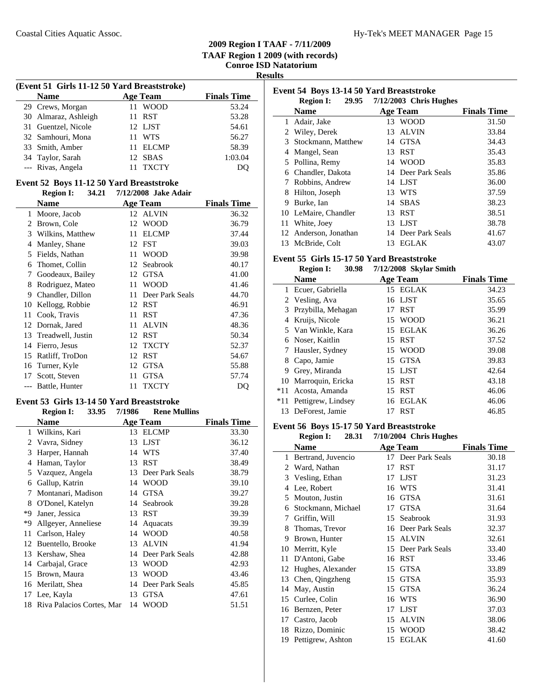**Results**

| (Event 51 Girls 11-12 50 Yard Breaststroke) |     |                 |                    |  |  |
|---------------------------------------------|-----|-----------------|--------------------|--|--|
| <b>Name</b>                                 |     | <b>Age Team</b> | <b>Finals Time</b> |  |  |
| 29 Crews, Morgan                            |     | 11 WOOD         | 53.24              |  |  |
| 30 Almaraz, Ashleigh                        |     | 11 RST          | 53.28              |  |  |
| 31 Guentzel, Nicole                         |     | 12 LJST         | 54.61              |  |  |
| 32 Samhouri, Mona                           |     | 11 WTS          | 56.27              |  |  |
| 33 Smith, Amber                             | 11. | <b>ELCMP</b>    | 58.39              |  |  |
| 34 Taylor, Sarah                            |     | 12 SBAS         | 1:03.04            |  |  |
| --- Rivas, Angela                           |     | <b>TXCTY</b>    | DO                 |  |  |

### **Event 52 Boys 11-12 50 Yard Breaststroke**

|    | 34.21<br><b>Region I:</b> | 7/12/2008 Jake Adair  |                    |
|----|---------------------------|-----------------------|--------------------|
|    | Name                      | <b>Age Team</b>       | <b>Finals Time</b> |
| 1  | Moore, Jacob              | <b>ALVIN</b><br>12    | 36.32              |
| 2  | Brown, Cole               | <b>WOOD</b><br>12     | 36.79              |
| 3  | Wilkins, Matthew          | <b>ELCMP</b><br>11    | 37.44              |
| 4  | Manley, Shane             | <b>FST</b><br>12      | 39.03              |
| 5  | Fields, Nathan            | <b>WOOD</b><br>11     | 39.98              |
| 6  | Thomet, Collin            | Seabrook<br>12        | 40.17              |
| 7  | Goodeaux, Bailey          | <b>GTSA</b><br>12     | 41.00              |
| 8  | Rodriguez, Mateo          | <b>WOOD</b><br>11     | 41.46              |
| 9  | Chandler, Dillon          | Deer Park Seals<br>11 | 44.70              |
| 10 | Kellogg, Robbie           | <b>RST</b><br>12      | 46.91              |
| 11 | Cook, Travis              | <b>RST</b><br>11      | 47.36              |
| 12 | Dornak, Jared             | <b>ALVIN</b><br>11    | 48.36              |
| 13 | Treadwell, Justin         | <b>RST</b><br>12      | 50.34              |
| 14 | Fierro, Jesus             | <b>TXCTY</b><br>12    | 52.37              |
| 15 | Ratliff, TroDon           | <b>RST</b><br>12      | 54.67              |
| 16 | Turner, Kyle              | <b>GTSA</b><br>12     | 55.88              |
| 17 | Scott, Steven             | <b>GTSA</b><br>11     | 57.74              |
|    | Battle, Hunter            | <b>TXCTY</b><br>11    | DQ                 |
|    |                           |                       |                    |

# **Event 53 Girls 13-14 50 Yard Breaststroke**<br>**Region L. 33.95 7/1986** Rone Mulli

|    | 33.95<br><b>Region I:</b>    | 7/1986 | <b>Rene Mullins</b> |                    |
|----|------------------------------|--------|---------------------|--------------------|
|    | Name                         |        | Age Team            | <b>Finals Time</b> |
| 1  | Wilkins, Kari                | 13     | <b>ELCMP</b>        | 33.30              |
| 2  | Vavra, Sidney                | 13     | <b>LJST</b>         | 36.12              |
| 3  | Harper, Hannah               | 14     | <b>WTS</b>          | 37.40              |
| 4  | Haman, Taylor                | 13     | <b>RST</b>          | 38.49              |
| 5  | Vazquez, Angela              | 13     | Deer Park Seals     | 38.79              |
| 6  | Gallup, Katrin               | 14     | <b>WOOD</b>         | 39.10              |
| 7  | Montanari, Madison           | 14     | <b>GTSA</b>         | 39.27              |
| 8  | O'Donel, Katelyn             | 14     | Seabrook            | 39.28              |
| *Q | Janer, Jessica               | 13     | <b>RST</b>          | 39.39              |
| *9 | Allgeyer, Anneliese          | 14     | Aquacats            | 39.39              |
| 11 | Carlson, Haley               | 14     | <b>WOOD</b>         | 40.58              |
| 12 | Buentello, Brooke            | 13     | <b>ALVIN</b>        | 41.94              |
| 13 | Kershaw, Shea                | 14     | Deer Park Seals     | 42.88              |
| 14 | Carbajal, Grace              | 13     | <b>WOOD</b>         | 42.93              |
| 15 | Brown, Maura                 | 13     | WOOD                | 43.46              |
| 16 | Merilatt, Shea               | 14     | Deer Park Seals     | 45.85              |
| 17 | Lee, Kayla                   | 13     | <b>GTSA</b>         | 47.61              |
|    | 18 Riva Palacios Cortes, Mar | 14     | WOOD                | 51.51              |

| Event 54 Boys 13-14 50 Yard Breaststroke |                      |     |                              |                    |
|------------------------------------------|----------------------|-----|------------------------------|--------------------|
|                                          | <b>Region I:</b>     |     | 29.95 7/12/2003 Chris Hughes |                    |
|                                          | <b>Name</b>          |     | <b>Age Team</b>              | <b>Finals Time</b> |
| 1                                        | Adair, Jake          |     | 13 WOOD                      | 31.50              |
|                                          | 2 Wiley, Derek       | 13. | ALVIN                        | 33.84              |
|                                          | 3 Stockmann, Matthew |     | 14 GTSA                      | 34.43              |
| 4                                        | Mangel, Sean         | 13. | <b>RST</b>                   | 35.43              |
|                                          | 5 Pollina, Remy      |     | 14 WOOD                      | 35.83              |
| 6                                        | Chandler, Dakota     |     | 14 Deer Park Seals           | 35.86              |
| 7                                        | Robbins, Andrew      |     | 14 LJST                      | 36.00              |
| 8                                        | Hilton, Joseph       |     | 13 WTS                       | 37.59              |
| 9                                        | Burke, Ian           | 14  | <b>SBAS</b>                  | 38.23              |
|                                          | 10 LeMaire, Chandler | 13  | RST                          | 38.51              |
|                                          | 11 White, Joey       |     | 13 LJST                      | 38.78              |
| 12                                       | Anderson, Jonathan   | 14  | Deer Park Seals              | 41.67              |
|                                          | 13 McBride, Colt     | 13. | EGLAK                        | 43.07              |

### **Event 55 Girls 15-17 50 Yard Breaststroke**

|       | 30.98<br><b>Region I:</b> | 7/12/2008 Skylar Smith |                    |
|-------|---------------------------|------------------------|--------------------|
|       | <b>Name</b>               | <b>Age Team</b>        | <b>Finals Time</b> |
| 1     | Ecuer, Gabriella          | 15 EGLAK               | 34.23              |
|       | 2 Vesling, Ava            | 16 LJST                | 35.65              |
| 3     | Przybilla, Mehagan        | <b>RST</b><br>17       | 35.99              |
| 4     | Kruijs, Nicole            | 15 WOOD                | 36.21              |
|       | 5 Van Winkle, Kara        | <b>EGLAK</b><br>15     | 36.26              |
| 6     | Noser, Kaitlin            | <b>RST</b><br>15       | 37.52              |
|       | Hausler, Sydney           | 15 WOOD                | 39.08              |
| 8     | Capo, Jamie               | 15 GTSA                | 39.83              |
| 9     | Grey, Miranda             | 15 LJST                | 42.64              |
|       | 10 Marroquin, Ericka      | 15 RST                 | 43.18              |
| $*11$ | Acosta, Amanda            | <b>RST</b><br>15       | 46.06              |
| $*11$ | Pettigrew, Lindsey        | 16 EGLAK               | 46.06              |
| 13    | DeForest, Jamie           | <b>RST</b><br>17       | 46.85              |

### **Event 56 Boys 15-17 50 Yard Breaststroke**

**Region I: 28.31 7/10/2004** Chris Hughes

|    | Name               | <b>Age Team</b>       | <b>Finals Time</b> |
|----|--------------------|-----------------------|--------------------|
| 1  | Bertrand, Juvencio | 17 Deer Park Seals    | 30.18              |
| 2  | Ward, Nathan       | <b>RST</b><br>17      | 31.17              |
| 3  | Vesling, Ethan     | <b>LJST</b><br>17     | 31.23              |
| 4  | Lee, Robert        | <b>WTS</b><br>16      | 31.41              |
| 5  | Mouton, Justin     | <b>GTSA</b><br>16     | 31.61              |
| 6  | Stockmann, Michael | <b>GTSA</b><br>17     | 31.64              |
| 7  | Griffin, Will      | Seabrook<br>15        | 31.93              |
| 8  | Thomas, Trevor     | Deer Park Seals<br>16 | 32.37              |
| 9  | Brown, Hunter      | <b>ALVIN</b><br>15    | 32.61              |
| 10 | Merritt, Kyle      | Deer Park Seals<br>15 | 33.40              |
| 11 | D'Antoni, Gabe     | <b>RST</b><br>16      | 33.46              |
| 12 | Hughes, Alexander  | <b>GTSA</b><br>15     | 33.89              |
| 13 | Chen, Qingzheng    | <b>GTSA</b><br>15     | 35.93              |
| 14 | May, Austin        | <b>GTSA</b><br>15     | 36.24              |
| 15 | Curlee, Colin      | <b>WTS</b><br>16      | 36.90              |
| 16 | Bernzen, Peter     | <b>LJST</b><br>17     | 37.03              |
| 17 | Castro, Jacob      | <b>ALVIN</b><br>15    | 38.06              |
| 18 | Rizzo, Dominic     | <b>WOOD</b><br>15     | 38.42              |
| 19 | Pettigrew, Ashton  | <b>EGLAK</b><br>15    | 41.60              |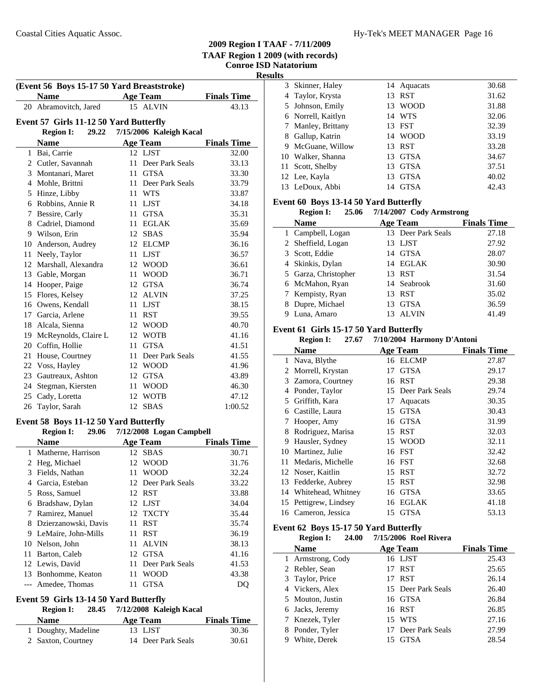$\overline{\phantom{a}}$ 

**Results**

| (Event 56 Boys 15-17 50 Yard Breaststroke) |                                        |    |                          |                    |
|--------------------------------------------|----------------------------------------|----|--------------------------|--------------------|
|                                            | <b>Name</b>                            |    | <b>Age Team</b>          | <b>Finals Time</b> |
|                                            | 20 Abramovitch, Jared                  |    | 15 ALVIN                 | 43.13              |
|                                            | Event 57 Girls 11-12 50 Yard Butterfly |    |                          |                    |
|                                            | <b>Region I:</b><br>29.22              |    | 7/15/2006 Kaleigh Kacal  |                    |
|                                            | <b>Name</b>                            |    | <b>Age Team</b>          | <b>Finals Time</b> |
|                                            | 1 Bai, Carrie                          |    | 12 LJST                  | 32.00              |
|                                            | 2 Cutler, Savannah                     |    | 11 Deer Park Seals       | 33.13              |
|                                            | 3 Montanari, Maret                     |    | 11 GTSA                  | 33.30              |
|                                            | 4 Mohle, Brittni                       | 11 | Deer Park Seals          | 33.79              |
|                                            | 5 Hinze, Libby                         | 11 | <b>WTS</b>               | 33.87              |
|                                            | 6 Robbins, Annie R                     |    | 11 LJST                  | 34.18              |
|                                            | 7 Bessire, Carly                       |    | 11 GTSA                  | 35.31              |
|                                            | 8 Cadriel, Diamond                     |    | 11 EGLAK                 | 35.69              |
|                                            | 9 Wilson, Erin                         |    | 12 SBAS                  | 35.94              |
|                                            | 10 Anderson, Audrey                    |    | 12 ELCMP                 | 36.16              |
| 11                                         | Neely, Taylor                          | 11 | LJST                     | 36.57              |
|                                            | 12 Marshall, Alexandra                 | 12 | <b>WOOD</b>              | 36.61              |
| 13                                         | Gable, Morgan                          | 11 | <b>WOOD</b>              | 36.71              |
|                                            | 14 Hooper, Paige                       | 12 | <b>GTSA</b>              | 36.74              |
|                                            | 15 Flores, Kelsey                      | 12 | <b>ALVIN</b>             | 37.25              |
|                                            | 16 Owens, Kendall                      |    | 11 LJST                  | 38.15              |
|                                            | 17 Garcia, Arlene                      |    | 11 RST                   | 39.55              |
|                                            | 18 Alcala, Sienna                      |    | 12 WOOD                  | 40.70              |
| 19                                         | McReynolds, Claire L                   |    | 12 WOTB                  | 41.16              |
| 20                                         | Coffin, Hollie                         | 11 | <b>GTSA</b>              | 41.51              |
| 21                                         | House, Courtney                        | 11 | Deer Park Seals          | 41.55              |
| 22                                         | Voss, Hayley                           |    | 12 WOOD                  | 41.96              |
| 23                                         | Gautreaux, Ashton                      |    | 12 GTSA                  | 43.89              |
| 24                                         | Stegman, Kiersten                      |    | 11 WOOD                  | 46.30              |
|                                            | 25 Cady, Loretta                       | 12 | <b>WOTB</b>              | 47.12              |
| 26                                         | Taylor, Sarah                          | 12 | <b>SBAS</b>              | 1:00.52            |
|                                            | Event 58 Boys 11-12 50 Yard Butterfly  |    |                          |                    |
|                                            | <b>Region I:</b><br>29.06              |    | 7/12/2008 Logan Campbell |                    |
|                                            |                                        |    |                          |                    |

| <b>Name</b>           | Age Team              | <b>Finals Time</b> |
|-----------------------|-----------------------|--------------------|
| 1 Matherne, Harrison  | 12 SBAS               | 30.71              |
| 2 Heg, Michael        | 12 WOOD               | 31.76              |
| Fields, Nathan        | <b>WOOD</b><br>11     | 32.24              |
| Garcia, Esteban       | 12 Deer Park Seals    | 33.22              |
| 5 Ross, Samuel        | 12 RST                | 33.88              |
| Bradshaw, Dylan       | 12 LJST               | 34.04              |
| Ramirez, Manuel       | 12 TXCTY              | 35.44              |
| Dzierzanowski, Davis  | <b>RST</b><br>11      | 35.74              |
| 9 LeMaire, John-Mills | <b>RST</b><br>11      | 36.19              |
| 10 Nelson, John       | <b>ALVIN</b><br>11    | 38.13              |
| Barton, Caleb         | GTSA<br>12            | 41.16              |
| 12 Lewis, David       | Deer Park Seals<br>11 | 41.53              |
| 13 Bonhomme, Keaton   | <b>WOOD</b><br>11     | 43.38              |
| Amedee, Thomas        | <b>GTSA</b><br>11     | DO                 |
|                       |                       |                    |

# **Event 59 Girls 13-14 50 Yard Butterfly**

**Region I:** 28.45 7/12/2008 Kaleigh Kacal

| <b>Name</b>         | Age Team           | <b>Finals Time</b> |
|---------------------|--------------------|--------------------|
| 1 Doughty, Madeline | 13 LJST            | 30.36              |
| 2 Saxton, Courtney  | 14 Deer Park Seals | 30.61              |

| ື |                    |     |             |       |
|---|--------------------|-----|-------------|-------|
|   | 3 Skinner, Haley   |     | 14 Aquacats | 30.68 |
|   | 4 Taylor, Krysta   | 13. | <b>RST</b>  | 31.62 |
|   | 5 Johnson, Emily   | 13  | <b>WOOD</b> | 31.88 |
|   | 6 Norrell, Kaitlyn |     | 14 WTS      | 32.06 |
|   | 7 Manley, Brittany |     | 13 FST      | 32.39 |
| 8 | Gallup, Katrin     |     | 14 WOOD     | 33.19 |
| 9 | McGuane, Willow    | 13  | <b>RST</b>  | 33.28 |
|   | 10 Walker, Shanna  | 13  | <b>GTSA</b> | 34.67 |
|   | 11 Scott, Shelby   | 13  | GTSA        | 37.51 |
|   | 12 Lee, Kayla      | 13  | <b>GTSA</b> | 40.02 |
|   | 13 LeDoux, Abbi    | 14  | <b>GTSA</b> | 42.43 |
|   |                    |     |             |       |

### **Event 60 Boys 13-14 50 Yard Butterfly**

|   | <b>Region I:</b><br>25.06 | 7/14/2007 Cody Armstrong |                    |
|---|---------------------------|--------------------------|--------------------|
|   | <b>Name</b>               | <b>Age Team</b>          | <b>Finals Time</b> |
|   | 1 Campbell, Logan         | 13 Deer Park Seals       | 27.18              |
|   | 2 Sheffield, Logan        | 13 LJST                  | 27.92              |
|   | 3 Scott, Eddie            | 14 GTSA                  | 28.07              |
|   | 4 Skinkis, Dylan          | 14 EGLAK                 | 30.90              |
|   | 5 Garza, Christopher      | 13 RST                   | 31.54              |
|   | 6 McMahon, Ryan           | 14 Seabrook              | 31.60              |
|   | 7 Kempisty, Ryan          | <b>RST</b><br>13         | 35.02              |
|   | Dupre, Michael            | <b>GTSA</b><br>13        | 36.59              |
| Q | Luna, Amaro               | <b>ALVIN</b>             | 41.49              |
|   |                           |                          |                    |

### **Event 61 Girls 15-17 50 Yard Butterfly**

|    | <b>Region I:</b><br>27.67 | 7/10/2004 Harmony D'Antoni |                    |  |
|----|---------------------------|----------------------------|--------------------|--|
|    | <b>Name</b>               | <b>Age Team</b>            | <b>Finals Time</b> |  |
| 1  | Nava, Blythe              | 16 ELCMP                   | 27.87              |  |
| 2  | Morrell, Krystan          | <b>GTSA</b><br>17          | 29.17              |  |
| 3  | Zamora, Courtney          | <b>RST</b><br>16           | 29.38              |  |
| 4  | Ponder, Taylor            | 15 Deer Park Seals         | 29.74              |  |
| 5  | Griffith, Kara            | 17<br>Aquacats             | 30.35              |  |
| 6  | Castille, Laura           | <b>GTSA</b><br>15          | 30.43              |  |
| 7  | Hooper, Amy               | <b>GTSA</b><br>16          | 31.99              |  |
| 8  | Rodriguez, Marisa         | <b>RST</b><br>15           | 32.03              |  |
| 9  | Hausler, Sydney           | <b>WOOD</b><br>15          | 32.11              |  |
| 10 | Martinez, Julie           | <b>FST</b><br>16           | 32.42              |  |
| 11 | Medaris, Michelle         | <b>FST</b><br>16           | 32.68              |  |
|    | 12 Noser, Kaitlin         | <b>RST</b><br>15           | 32.72              |  |
| 13 | Fedderke, Aubrey          | <b>RST</b><br>15           | 32.98              |  |
| 14 | Whitehead, Whitney        | <b>GTSA</b><br>16          | 33.65              |  |
| 15 | Pettigrew, Lindsey        | <b>EGLAK</b><br>16         | 41.18              |  |
|    | 16 Cameron, Jessica       | <b>GTSA</b><br>15          | 53.13              |  |

### **Event 62 Boys 15-17 50 Yard Butterfly**

|             | <b>Region I:</b>  | 24.00 |    | 7/15/2006 Roel Rivera |                    |
|-------------|-------------------|-------|----|-----------------------|--------------------|
| <b>Name</b> |                   |       |    | Age Team              | <b>Finals Time</b> |
|             | 1 Armstrong, Cody |       |    | 16 LJST               | 25.43              |
|             | 2 Rebler, Sean    |       |    | 17 RST                | 25.65              |
|             | 3 Taylor, Price   |       | 17 | RST                   | 26.14              |
|             | 4 Vickers, Alex   |       |    | 15 Deer Park Seals    | 26.40              |
|             | 5 Mouton, Justin  |       |    | 16 GTSA               | 26.84              |
|             | 6 Jacks, Jeremy   |       |    | 16 RST                | 26.85              |
|             | 7 Knezek, Tyler   |       |    | 15 WTS                | 27.16              |
|             | 8 Ponder, Tyler   |       |    | 17 Deer Park Seals    | 27.99              |
| 9           | White, Derek      |       | 15 | <b>GTSA</b>           | 28.54              |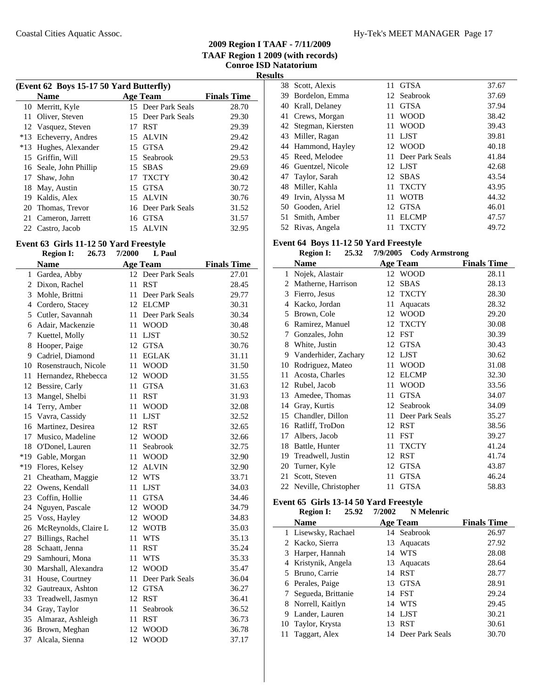|       | (Event 62 Boys 15-17 50 Yard Butterfly) |                    |                    |       |  |  |
|-------|-----------------------------------------|--------------------|--------------------|-------|--|--|
|       | <b>Name</b>                             | <b>Finals Time</b> |                    |       |  |  |
|       | 10 Merritt, Kyle                        |                    | 15 Deer Park Seals | 28.70 |  |  |
|       | 11 Oliver, Steven                       |                    | 15 Deer Park Seals | 29.30 |  |  |
|       | 12 Vasquez, Steven                      | 17                 | <b>RST</b>         | 29.39 |  |  |
|       | *13 Echeverry, Andres                   | 15.                | ALVIN              | 29.42 |  |  |
| $*13$ | Hughes, Alexander                       |                    | 15 GTSA            | 29.42 |  |  |
| 15    | Griffin, Will                           | 15                 | Seabrook           | 29.53 |  |  |
|       | 16 Seale, John Phillip                  | 15                 | <b>SBAS</b>        | 29.69 |  |  |
| 17    | Shaw, John                              | 17                 | <b>TXCTY</b>       | 30.42 |  |  |
| 18    | May, Austin                             |                    | 15 GTSA            | 30.72 |  |  |
| 19    | Kaldis, Alex                            |                    | 15 ALVIN           | 30.76 |  |  |
| 20    | Thomas, Trevor                          |                    | 16 Deer Park Seals | 31.52 |  |  |
| 21    | Cameron, Jarrett                        | 16                 | GTSA               | 31.57 |  |  |
|       | 22 Castro, Jacob                        | 15                 | <b>ALVIN</b>       | 32.95 |  |  |

### **Event 63 Girls 11-12 50 Yard Freestyle**

|                | <b>Region I:</b>     | 26.73 | 7/2000 | L Paul             |                    |
|----------------|----------------------|-------|--------|--------------------|--------------------|
|                | <b>Name</b>          |       |        | <b>Age Team</b>    | <b>Finals Time</b> |
| 1              | Gardea, Abby         |       |        | 12 Deer Park Seals | 27.01              |
| $\overline{2}$ | Dixon, Rachel        |       | 11     | <b>RST</b>         | 28.45              |
| 3              | Mohle, Brittni       |       | 11     | Deer Park Seals    | 29.77              |
| 4              | Cordero, Stacey      |       | 12     | <b>ELCMP</b>       | 30.31              |
| 5              | Cutler, Savannah     |       | 11     | Deer Park Seals    | 30.34              |
| 6              | Adair, Mackenzie     |       | 11     | <b>WOOD</b>        | 30.48              |
| 7              | Kuettel, Molly       |       | 11     | <b>LJST</b>        | 30.52              |
| 8              | Hooper, Paige        |       | 12     | <b>GTSA</b>        | 30.76              |
| 9              | Cadriel, Diamond     |       | 11     | <b>EGLAK</b>       | 31.11              |
| 10             | Rosenstrauch, Nicole |       | 11     | <b>WOOD</b>        | 31.50              |
| 11             | Hernandez, Rhebecca  |       | 12     | <b>WOOD</b>        | 31.55              |
| 12             | Bessire, Carly       |       | 11     | <b>GTSA</b>        | 31.63              |
| 13             | Mangel, Shelbi       |       | 11     | <b>RST</b>         | 31.93              |
| 14             | Terry, Amber         |       | 11     | <b>WOOD</b>        | 32.08              |
| 15             | Vavra, Cassidy       |       | 11     | <b>LJST</b>        | 32.52              |
| 16             | Martinez, Desirea    |       | 12     | <b>RST</b>         | 32.65              |
| 17             | Musico, Madeline     |       | 12     | <b>WOOD</b>        | 32.66              |
| 18             | O'Donel, Lauren      |       | 11     | Seabrook           | 32.75              |
| $*19$          | Gable, Morgan        |       | 11     | <b>WOOD</b>        | 32.90              |
| $*19$          | Flores, Kelsey       |       | 12     | <b>ALVIN</b>       | 32.90              |
| 21             | Cheatham, Maggie     |       | 12     | <b>WTS</b>         | 33.71              |
| 22             | Owens, Kendall       |       | 11     | <b>LJST</b>        | 34.03              |
| 23             | Coffin, Hollie       |       | 11     | <b>GTSA</b>        | 34.46              |
| 24             | Nguyen, Pascale      |       | 12     | <b>WOOD</b>        | 34.79              |
| 25             | Voss, Hayley         |       | 12     | <b>WOOD</b>        | 34.83              |
| 26             | McReynolds, Claire L |       | 12     | <b>WOTB</b>        | 35.03              |
| 27             | Billings, Rachel     |       | 11     | <b>WTS</b>         | 35.13              |
| 28             | Schaatt, Jenna       |       | 11     | <b>RST</b>         | 35.24              |
| 29             | Samhouri, Mona       |       | 11     | <b>WTS</b>         | 35.33              |
| 30             | Marshall, Alexandra  |       | 12     | <b>WOOD</b>        | 35.47              |
| 31             | House, Courtney      |       | 11     | Deer Park Seals    | 36.04              |
| 32             | Gautreaux, Ashton    |       | 12     | <b>GTSA</b>        | 36.27              |
| 33             | Treadwell, Jasmyn    |       | 12     | <b>RST</b>         | 36.41              |
| 34             | Gray, Taylor         |       | 11     | Seabrook           | 36.52              |
| 35             | Almaraz, Ashleigh    |       | 11     | <b>RST</b>         | 36.73              |
| 36             | Brown, Meghan        |       | 12     | <b>WOOD</b>        | 36.78              |
| 37             | Alcala, Sienna       |       | 12     | <b>WOOD</b>        | 37.17              |

| 38. | Scott, Alexis        | 11  | <b>GTSA</b>     | 37.67 |
|-----|----------------------|-----|-----------------|-------|
| 39  | Bordelon, Emma       |     | 12 Seabrook     | 37.69 |
| 40  | Krall, Delaney       | 11  | <b>GTSA</b>     | 37.94 |
|     | 41 Crews, Morgan     | 11  | <b>WOOD</b>     | 38.42 |
|     | 42 Stegman, Kiersten | 11  | <b>WOOD</b>     | 39.43 |
|     | 43 Miller, Ragan     | 11  | <b>LJST</b>     | 39.81 |
|     | 44 Hammond, Hayley   |     | 12 WOOD         | 40.18 |
|     | 45 Reed, Melodee     | 11. | Deer Park Seals | 41.84 |
|     | 46 Guentzel, Nicole  |     | 12 LJST         | 42.68 |
|     | 47 Taylor, Sarah     | 12  | <b>SBAS</b>     | 43.54 |
|     | 48 Miller, Kahla     | 11  | <b>TXCTY</b>    | 43.95 |
|     | 49 Irvin, Alyssa M   | 11  | <b>WOTB</b>     | 44.32 |
|     | 50 Gooden, Ariel     | 12  | <b>GTSA</b>     | 46.01 |
| 51  | Smith, Amber         | 11  | <b>ELCMP</b>    | 47.57 |
| 52  | Rivas, Angela        | 11  | <b>TXCTY</b>    | 49.72 |
|     |                      |     |                 |       |

## **Event 64 Boys 11-12 50 Yard Freestyle**

|    | <b>Region I:</b><br>25.32 | 7/9/2005<br><b>Cody Armstrong</b> |                    |
|----|---------------------------|-----------------------------------|--------------------|
|    | Name                      | <b>Age Team</b>                   | <b>Finals Time</b> |
| 1  | Nojek, Alastair           | 12 WOOD                           | 28.11              |
| 2  | Matherne, Harrison        | <b>SBAS</b><br>12                 | 28.13              |
| 3  | Fierro, Jesus             | <b>TXCTY</b><br>12                | 28.30              |
| 4  | Kacko, Jordan             | 11<br>Aquacats                    | 28.32              |
| 5  | Brown, Cole               | <b>WOOD</b><br>12                 | 29.20              |
| 6  | Ramirez, Manuel           | <b>TXCTY</b><br>12                | 30.08              |
| 7  | Gonzales, John            | <b>FST</b><br>12                  | 30.39              |
| 8  | White, Justin             | <b>GTSA</b><br>12                 | 30.43              |
| 9  | Vanderhider, Zachary      | 12 LJST                           | 30.62              |
| 10 | Rodriguez, Mateo          | <b>WOOD</b><br>11                 | 31.08              |
| 11 | Acosta, Charles           | <b>ELCMP</b><br>12                | 32.30              |
| 12 | Rubel, Jacob              | <b>WOOD</b><br>11                 | 33.56              |
| 13 | Amedee, Thomas            | <b>GTSA</b><br>11                 | 34.07              |
| 14 | Gray, Kurtis              | 12 Seabrook                       | 34.09              |
|    | 15 Chandler, Dillon       | Deer Park Seals<br>11             | 35.27              |
| 16 | Ratliff, TroDon           | <b>RST</b><br>12                  | 38.56              |
| 17 | Albers, Jacob             | <b>FST</b><br>11                  | 39.27              |
| 18 | Battle, Hunter            | <b>TXCTY</b><br>11                | 41.24              |
| 19 | Treadwell, Justin         | <b>RST</b><br>12                  | 41.74              |
| 20 | Turner, Kyle              | <b>GTSA</b><br>12                 | 43.87              |
| 21 | Scott, Steven             | <b>GTSA</b><br>11                 | 46.24              |
|    | 22 Neville, Christopher   | <b>GTSA</b><br>11                 | 58.83              |
|    |                           |                                   |                    |

## **Event 65 Girls 13-14 50 Yard Freestyle**

|    | <b>Region I:</b>     | 25.92 | 7/2002 | <b>N</b> Melenric  |                    |
|----|----------------------|-------|--------|--------------------|--------------------|
|    | <b>Name</b>          |       |        | <b>Age Team</b>    | <b>Finals Time</b> |
|    | 1 Lisewsky, Rachael  |       |        | 14 Seabrook        | 26.97              |
|    | 2 Kacko, Sierra      |       | 13     | Aquacats           | 27.92              |
|    | 3 Harper, Hannah     |       |        | 14 WTS             | 28.08              |
|    | 4 Kristynik, Angela  |       |        | 13 Aquacats        | 28.64              |
|    | 5 Bruno, Carrie      |       | 14     | <b>RST</b>         | 28.77              |
|    | 6 Perales, Paige     |       | 13     | <b>GTSA</b>        | 28.91              |
|    | 7 Segueda, Brittanie |       |        | 14 FST             | 29.24              |
|    | 8 Norrell, Kaitlyn   |       |        | 14 WTS             | 29.45              |
| 9. | Lander, Lauren       |       |        | 14 LJST            | 30.21              |
|    | 10 Taylor, Krysta    |       | 13     | <b>RST</b>         | 30.61              |
|    | Taggart, Alex        |       |        | 14 Deer Park Seals | 30.70              |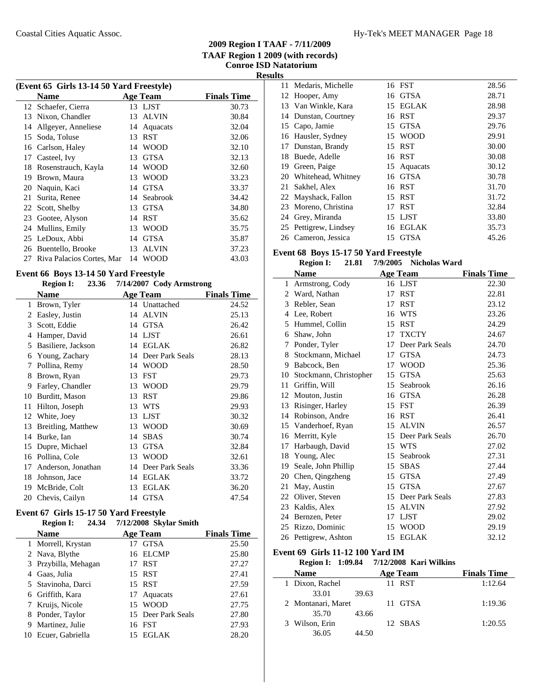j.

| (Event 65 Girls 13-14 50 Yard Freestyle) |                    |                                              |  |  |  |
|------------------------------------------|--------------------|----------------------------------------------|--|--|--|
| <b>Name</b>                              |                    | <b>Finals Time</b>                           |  |  |  |
| 12 Schaefer, Cierra                      | 13 LJST            | 30.73                                        |  |  |  |
| Nixon, Chandler                          | <b>ALVIN</b><br>13 | 30.84                                        |  |  |  |
| Allgeyer, Anneliese                      | Aquacats<br>14     | 32.04                                        |  |  |  |
| Soda, Toluse                             | <b>RST</b><br>13   | 32.06                                        |  |  |  |
| Carlson, Haley                           | <b>WOOD</b><br>14  | 32.10                                        |  |  |  |
| Casteel, Ivy                             | <b>GTSA</b><br>13  | 32.13                                        |  |  |  |
| Rosenstrauch, Kayla                      | <b>WOOD</b><br>14  | 32.60                                        |  |  |  |
| Brown, Maura                             | <b>WOOD</b><br>13  | 33.23                                        |  |  |  |
| Naquin, Kaci                             | <b>GTSA</b><br>14  | 33.37                                        |  |  |  |
| Surita, Renee                            | 14 Seabrook        | 34.42                                        |  |  |  |
| 22 Scott, Shelby                         | <b>GTSA</b><br>13  | 34.80                                        |  |  |  |
| Gootee, Alyson                           | 14 RST             | 35.62                                        |  |  |  |
| Mullins, Emily                           | <b>WOOD</b><br>13  | 35.75                                        |  |  |  |
| LeDoux, Abbi                             | <b>GTSA</b><br>14  | 35.87                                        |  |  |  |
| Buentello, Brooke                        | <b>ALVIN</b><br>13 | 37.23                                        |  |  |  |
|                                          | <b>WOOD</b><br>14  | 43.03                                        |  |  |  |
|                                          |                    | <b>Age Team</b><br>Riva Palacios Cortes, Mar |  |  |  |

### **Event 66 Boys 13-14 50 Yard Freestyle**

### **Region I: 23.36 7/14/2007** Cody Armstrong

|    | Name               |    | <b>Age Team</b> | <b>Finals Time</b> |
|----|--------------------|----|-----------------|--------------------|
| 1  | Brown, Tyler       |    | 14 Unattached   | 24.52              |
| 2  | Easley, Justin     | 14 | <b>ALVIN</b>    | 25.13              |
| 3  | Scott, Eddie       | 14 | <b>GTSA</b>     | 26.42              |
| 4  | Hamper, David      | 14 | <b>LJST</b>     | 26.61              |
| 5  | Basiliere, Jackson | 14 | <b>EGLAK</b>    | 26.82              |
| 6  | Young, Zachary     | 14 | Deer Park Seals | 28.13              |
| 7  | Pollina, Remy      | 14 | <b>WOOD</b>     | 28.50              |
| 8  | Brown, Ryan        | 13 | <b>FST</b>      | 29.73              |
| 9  | Farley, Chandler   | 13 | <b>WOOD</b>     | 29.79              |
| 10 | Burditt, Mason     | 13 | RST             | 29.86              |
| 11 | Hilton, Joseph     | 13 | <b>WTS</b>      | 29.93              |
| 12 | White, Joey        | 13 | <b>LJST</b>     | 30.32              |
| 13 | Breitling, Matthew | 13 | <b>WOOD</b>     | 30.69              |
| 14 | Burke, Ian         | 14 | <b>SBAS</b>     | 30.74              |
| 15 | Dupre, Michael     | 13 | <b>GTSA</b>     | 32.84              |
| 16 | Pollina, Cole      | 13 | WOOD            | 32.61              |
| 17 | Anderson, Jonathan | 14 | Deer Park Seals | 33.36              |
| 18 | Johnson, Jace      | 14 | <b>EGLAK</b>    | 33.72              |
| 19 | McBride, Colt      | 13 | <b>EGLAK</b>    | 36.20              |
| 20 | Chevis, Cailyn     | 14 | <b>GTSA</b>     | 47.54              |
|    |                    |    |                 |                    |

#### **Event 67 Girls 15-17 50 Yard Freestyle Region I: 24.34 Skylar Smith 7/12/2008**

|   | INCEIVIL 1.<br>----  |     | $11242000$ Dryial Dilliul |                    |
|---|----------------------|-----|---------------------------|--------------------|
|   | <b>Name</b>          |     | <b>Age Team</b>           | <b>Finals Time</b> |
|   | 1 Morrell, Krystan   | 17  | <b>GTSA</b>               | 25.50              |
|   | 2 Nava, Blythe       |     | 16 ELCMP                  | 25.80              |
|   | 3 Przybilla, Mehagan | 17  | <b>RST</b>                | 27.27              |
|   | 4 Gaas, Julia        |     | 15 RST                    | 27.41              |
|   | 5 Stavinoha, Darci   |     | 15 RST                    | 27.59              |
|   | 6 Griffith, Kara     |     | 17 Aquacats               | 27.61              |
|   | 7 Kruijs, Nicole     |     | 15 WOOD                   | 27.75              |
|   | 8 Ponder, Taylor     |     | 15 Deer Park Seals        | 27.80              |
| 9 | Martinez, Julie      |     | 16 FST                    | 27.93              |
|   | Ecuer, Gabriella     | 15. | <b>EGLAK</b>              | 28.20              |
|   |                      |     |                           |                    |

| ILS |                       |    |              |       |
|-----|-----------------------|----|--------------|-------|
|     | 11 Medaris, Michelle  |    | 16 FST       | 28.56 |
| 12  | Hooper, Amy           | 16 | <b>GTSA</b>  | 28.71 |
|     | 13 Van Winkle, Kara   |    | 15 EGLAK     | 28.98 |
|     | 14 Dunstan, Courtney  | 16 | <b>RST</b>   | 29.37 |
|     | 15 Capo, Jamie        | 15 | <b>GTSA</b>  | 29.76 |
|     | 16 Hausler, Sydney    |    | 15 WOOD      | 29.91 |
| 17  | Dunstan, Brandy       |    | 15 RST       | 30.00 |
| 18  | Buede, Adelle         |    | 16 RST       | 30.08 |
| 19  | Green, Paige          |    | 15 Aquacats  | 30.12 |
|     | 20 Whitehead, Whitney | 16 | GTSA         | 30.78 |
| 21  | Sakhel, Alex          | 16 | <b>RST</b>   | 31.70 |
|     | 22 Mayshack, Fallon   |    | 15 RST       | 31.72 |
|     | 23 Moreno, Christina  | 17 | <b>RST</b>   | 32.84 |
| 24  | Grey, Miranda         |    | 15 LJST      | 33.80 |
|     | 25 Pettigrew, Lindsey | 16 | <b>EGLAK</b> | 35.73 |
|     | 26 Cameron, Jessica   | 15 | <b>GTSA</b>  | 45.26 |

### **Event 68 Boys 15-17 50 Yard Freestyle**

|    | <b>Region I:</b><br>21.81 | 7/9/2005 | <b>Nicholas Ward</b> |                    |
|----|---------------------------|----------|----------------------|--------------------|
|    | <b>Name</b>               |          | <b>Age Team</b>      | <b>Finals Time</b> |
| 1  | Armstrong, Cody           |          | 16 LJST              | 22.30              |
| 2  | Ward, Nathan              | 17       | <b>RST</b>           | 22.81              |
| 3  | Rebler, Sean              | 17       | RST                  | 23.12              |
| 4  | Lee, Robert               | 16       | <b>WTS</b>           | 23.26              |
| 5  | Hummel, Collin            | 15       | <b>RST</b>           | 24.29              |
| 6  | Shaw, John                | 17       | <b>TXCTY</b>         | 24.67              |
| 7  | Ponder, Tyler             | 17       | Deer Park Seals      | 24.70              |
| 8  | Stockmann, Michael        | 17       | <b>GTSA</b>          | 24.73              |
| 9  | Babcock, Ben              | 17       | <b>WOOD</b>          | 25.36              |
| 10 | Stockmann, Christopher    | 15       | <b>GTSA</b>          | 25.63              |
| 11 | Griffin, Will             | 15       | Seabrook             | 26.16              |
| 12 | Mouton, Justin            | 16       | <b>GTSA</b>          | 26.28              |
| 13 | Risinger, Harley          | 15       | <b>FST</b>           | 26.39              |
| 14 | Robinson, Andre           | 16       | <b>RST</b>           | 26.41              |
|    | 15 Vanderhoef, Ryan       | 15       | <b>ALVIN</b>         | 26.57              |
| 16 | Merritt, Kyle             | 15       | Deer Park Seals      | 26.70              |
| 17 | Harbaugh, David           |          | 15 WTS               | 27.02              |
| 18 | Young, Alec               | 15       | Seabrook             | 27.31              |
| 19 | Seale, John Phillip       | 15       | <b>SBAS</b>          | 27.44              |
| 20 | Chen, Qingzheng           | 15       | <b>GTSA</b>          | 27.49              |
| 21 | May, Austin               | 15       | <b>GTSA</b>          | 27.67              |
| 22 | Oliver, Steven            | 15       | Deer Park Seals      | 27.83              |
| 23 | Kaldis, Alex              | 15       | <b>ALVIN</b>         | 27.92              |
| 24 | Bernzen, Peter            | 17       | <b>LJST</b>          | 29.02              |
| 25 | Rizzo, Dominic            | 15       | <b>WOOD</b>          | 29.19              |
| 26 | Pettigrew, Ashton         | 15       | <b>EGLAK</b>         | 32.12              |

## **Event 69 Girls 11-12 100 Yard IM**

|                    | Region I: 1:09.84 7/12/2008 Kari Wilkins |                    |
|--------------------|------------------------------------------|--------------------|
| <b>Name</b>        | <b>Age Team</b>                          | <b>Finals Time</b> |
| 1 Dixon, Rachel    | 11 RST                                   | 1:12.64            |
| 33.01              | 39.63                                    |                    |
| 2 Montanari, Maret | 11 GTSA                                  | 1:19.36            |
| 35.70              | 43.66                                    |                    |
| 3 Wilson, Erin     | 12 SBAS                                  | 1:20.55            |
| 36.05              | 44.50                                    |                    |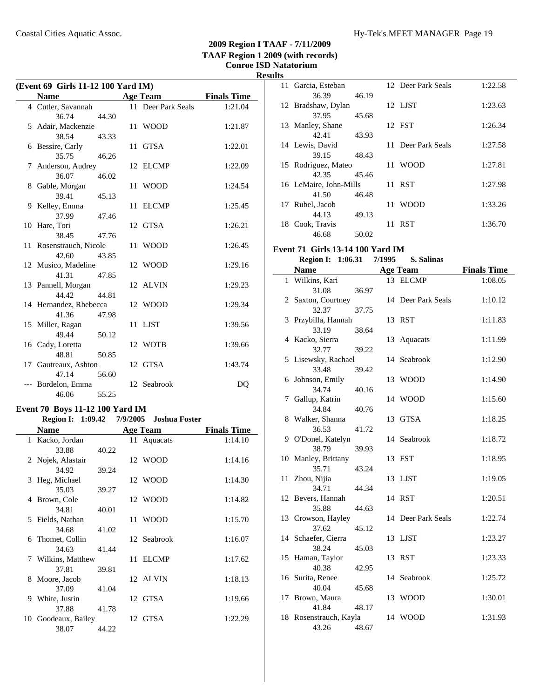| (Event 69 Girls 11-12 100 Yard IM) |       |  |                    |                    |  |
|------------------------------------|-------|--|--------------------|--------------------|--|
| <b>Name</b>                        |       |  | <b>Age Team</b>    | <b>Finals Time</b> |  |
| 4 Cutler, Savannah                 |       |  | 11 Deer Park Seals | 1:21.04            |  |
| 36.74                              | 44.30 |  |                    |                    |  |
| 5 Adair, Mackenzie                 |       |  | 11 WOOD            | 1:21.87            |  |
| 38.54                              | 43.33 |  |                    |                    |  |
| 6 Bessire, Carly                   |       |  | 11 GTSA            | 1:22.01            |  |
| 35.75                              | 46.26 |  |                    |                    |  |
| 7 Anderson, Audrey                 |       |  | 12 ELCMP           | 1:22.09            |  |
| 36.07                              | 46.02 |  |                    |                    |  |
| 8 Gable, Morgan                    |       |  | 11 WOOD            | 1:24.54            |  |
| 39.41                              | 45.13 |  |                    |                    |  |
| 9 Kelley, Emma                     |       |  | 11 ELCMP           | 1:25.45            |  |
| 37.99                              | 47.46 |  |                    |                    |  |
| 10 Hare, Tori                      |       |  | 12 GTSA            | 1:26.21            |  |
| 38.45                              | 47.76 |  |                    |                    |  |
| 11 Rosenstrauch, Nicole<br>42.60   |       |  | 11 WOOD            | 1:26.45            |  |
|                                    | 43.85 |  | 12 WOOD            | 1:29.16            |  |
| 12 Musico, Madeline<br>41.31       | 47.85 |  |                    |                    |  |
| 13 Pannell, Morgan                 |       |  | 12 ALVIN           | 1:29.23            |  |
| 44.42                              | 44.81 |  |                    |                    |  |
| 14 Hernandez, Rhebecca             |       |  | 12 WOOD            | 1:29.34            |  |
| 41.36                              | 47.98 |  |                    |                    |  |
| 15 Miller, Ragan                   |       |  | 11 LJST            | 1:39.56            |  |
| 49.44                              | 50.12 |  |                    |                    |  |
| 16 Cady, Loretta                   |       |  | 12 WOTB            | 1:39.66            |  |
| 48.81                              | 50.85 |  |                    |                    |  |
| 17 Gautreaux, Ashton               |       |  | 12 GTSA            | 1:43.74            |  |
| 47.14                              | 56.60 |  |                    |                    |  |
| Bordelon, Emma                     |       |  | 12 Seabrook        | DO                 |  |
| 46.06                              | 55.25 |  |                    |                    |  |

# **Event 70 Boys 11-12 100 Yard IM**

l,

### **Region I: 1:09.42 7/9/2005 Joshua Foster**

|      | Name               |       | <b>Age Team</b> | <b>Finals Time</b> |
|------|--------------------|-------|-----------------|--------------------|
|      | 1 Kacko, Jordan    |       | 11 Aquacats     | 1:14.10            |
|      | 33.88              | 40.22 |                 |                    |
|      | 2 Nojek, Alastair  |       | 12 WOOD         | 1:14.16            |
|      | 34.92              | 39.24 |                 |                    |
| 3    | Heg, Michael       |       | 12 WOOD         | 1:14.30            |
|      | 35.03              | 39.27 |                 |                    |
|      | 4 Brown, Cole      |       | 12 WOOD         | 1:14.82            |
|      | 34.81              | 40.01 |                 |                    |
|      | 5 Fields, Nathan   |       | 11 WOOD         | 1:15.70            |
|      | 34.68              | 41.02 |                 |                    |
| 6    | Thomet, Collin     |       | 12 Seabrook     | 1:16.07            |
|      | 34.63              | 41.44 |                 |                    |
|      | 7 Wilkins, Matthew |       | 11 ELCMP        | 1:17.62            |
|      | 37.81              | 39.81 |                 |                    |
| 8    | Moore, Jacob       |       | 12 ALVIN        | 1:18.13            |
|      | 37.09              | 41.04 |                 |                    |
| 9    | White, Justin      |       | 12 GTSA         | 1:19.66            |
|      | 37.88              | 41.78 |                 |                    |
| 10 - | Goodeaux, Bailey   |       | 12 GTSA         | 1:22.29            |
|      | 38.07              | 44.22 |                 |                    |

| llS |                        |       |    |                    |         |
|-----|------------------------|-------|----|--------------------|---------|
|     | 11 Garcia, Esteban     |       |    | 12 Deer Park Seals | 1:22.58 |
|     | 36.39                  | 46.19 |    |                    |         |
|     | 12 Bradshaw, Dylan     |       |    | 12 LJST            | 1:23.63 |
|     | 37.95                  | 45.68 |    |                    |         |
| 13  | Manley, Shane          |       |    | 12 FST             | 1:26.34 |
|     | 42.41                  | 43.93 |    |                    |         |
|     | 14 Lewis, David        |       |    | 11 Deer Park Seals | 1:27.58 |
|     | 39.15                  | 48.43 |    |                    |         |
| 15  | Rodriguez, Mateo       |       | 11 | <b>WOOD</b>        | 1:27.81 |
|     | 42.35                  | 45.46 |    |                    |         |
|     | 16 LeMaire, John-Mills |       |    | 11 RST             | 1:27.98 |
|     | 41.50                  | 46.48 |    |                    |         |
| 17  | Rubel, Jacob           |       | 11 | <b>WOOD</b>        | 1:33.26 |
|     | 44.13                  | 49.13 |    |                    |         |
| 18  | Cook, Travis           |       | 11 | <b>RST</b>         | 1:36.70 |
|     | 46.68                  | 50.02 |    |                    |         |

### **Event 71 Girls 13-14 100 Yard IM**<br>**Region I:** 1:06.31 7/1995 S. Salinas **Region I:** 1:06.31 7/1995

|    | <b>Name</b>               |       |    | <b>Age Team</b>    | <b>Finals Time</b> |
|----|---------------------------|-------|----|--------------------|--------------------|
| 1  | Wilkins, Kari             |       |    | 13 ELCMP           | 1:08.05            |
|    | 31.08                     | 36.97 |    |                    |                    |
|    | 2 Saxton, Courtney        |       |    | 14 Deer Park Seals | 1:10.12            |
|    | 32.37                     | 37.75 |    |                    |                    |
| 3  | Przybilla, Hannah         |       |    | 13 RST             | 1:11.83            |
|    | 33.19                     | 38.64 |    |                    |                    |
|    | 4 Kacko, Sierra           |       | 13 | Aquacats           | 1:11.99            |
|    | 32.77                     | 39.22 |    |                    |                    |
|    | 5 Lisewsky, Rachael       |       |    | 14 Seabrook        | 1:12.90            |
|    | 33.48                     | 39.42 |    | 13 WOOD            |                    |
| 6  | Johnson, Emily<br>34.74   | 40.16 |    |                    | 1:14.90            |
| 7  | Gallup, Katrin            |       |    | 14 WOOD            | 1:15.60            |
|    | 34.84                     | 40.76 |    |                    |                    |
|    | 8 Walker, Shanna          |       | 13 | <b>GTSA</b>        | 1:18.25            |
|    | 36.53                     | 41.72 |    |                    |                    |
|    | 9 O'Donel, Katelyn        |       |    | 14 Seabrook        | 1:18.72            |
|    | 38.79                     | 39.93 |    |                    |                    |
|    | 10 Manley, Brittany       |       |    | 13 FST             | 1:18.95            |
|    | 35.71                     | 43.24 |    |                    |                    |
|    | 11 Zhou, Nijia            |       |    | 13 LJST            | 1:19.05            |
|    | 34.71                     | 44.34 |    |                    |                    |
|    | 12 Bevers, Hannah         |       |    | 14 RST             | 1:20.51            |
|    | 35.88                     | 44.63 |    |                    |                    |
|    | 13 Crowson, Hayley        |       |    | 14 Deer Park Seals | 1:22.74            |
|    | 37.62                     | 45.12 |    |                    |                    |
|    | 14 Schaefer, Cierra       |       |    | 13 LJST            | 1:23.27            |
|    | 38.24                     | 45.03 |    |                    |                    |
|    | 15 Haman, Taylor          |       |    | 13 RST             | 1:23.33            |
|    | 40.38<br>16 Surita, Renee | 42.95 |    | 14 Seabrook        | 1:25.72            |
|    | 40.04                     | 45.68 |    |                    |                    |
| 17 | Brown, Maura              |       |    | 13 WOOD            | 1:30.01            |
|    | 41.84                     | 48.17 |    |                    |                    |
|    | 18 Rosenstrauch, Kayla    |       |    | 14 WOOD            | 1:31.93            |
|    | 43.26                     | 48.67 |    |                    |                    |
|    |                           |       |    |                    |                    |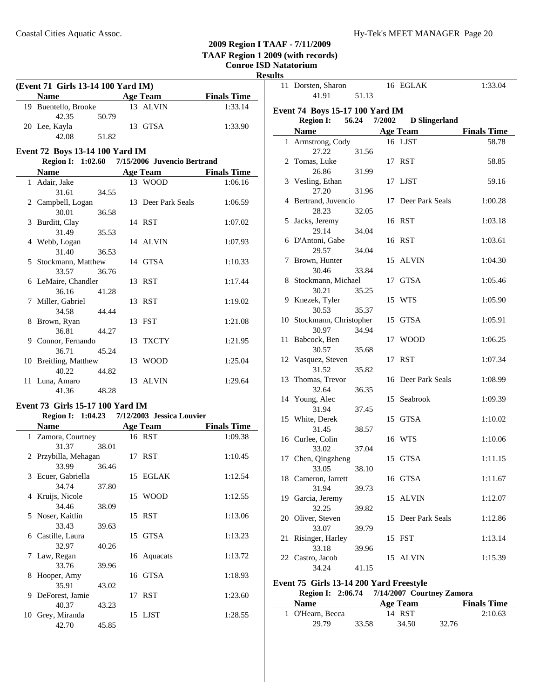# **Results**

 $\overline{\phantom{a}}$ 

 $\overline{a}$ 

| (Event 71 Girls 13-14 100 Yard IM) |                                  |       |  |                             |                    |
|------------------------------------|----------------------------------|-------|--|-----------------------------|--------------------|
|                                    | Name Age Team                    |       |  |                             | <b>Finals Time</b> |
|                                    | 19 Buentello, Brooke             |       |  | 13 ALVIN                    | 1:33.14            |
|                                    | 42.35                            | 50.79 |  |                             |                    |
|                                    | 20 Lee, Kayla                    |       |  | 13 GTSA                     | 1:33.90            |
|                                    | 42.08                            | 51.82 |  |                             |                    |
|                                    | Event 72 Boys 13-14 100 Yard IM  |       |  |                             |                    |
|                                    | <b>Region I: 1:02.60</b>         |       |  | 7/15/2006 Juvencio Bertrand |                    |
|                                    | Name                             |       |  | <b>Age Team</b>             | <b>Finals Time</b> |
|                                    | 1 Adair, Jake                    |       |  | 13 WOOD                     | 1:06.16            |
|                                    | 31.61                            | 34.55 |  |                             |                    |
|                                    | 2 Campbell, Logan                |       |  | 13 Deer Park Seals          | 1:06.59            |
|                                    | 30.01                            | 36.58 |  |                             |                    |
|                                    | 3 Burditt, Clay                  |       |  | 14 RST                      | 1:07.02            |
|                                    | 31.49                            | 35.53 |  |                             |                    |
|                                    | 4 Webb, Logan                    |       |  | 14 ALVIN                    | 1:07.93            |
|                                    | 31.40                            | 36.53 |  |                             |                    |
|                                    | 5 Stockmann, Matthew             |       |  | 14 GTSA                     | 1:10.33            |
|                                    | 33.57                            | 36.76 |  |                             |                    |
|                                    | 6 LeMaire, Chandler              |       |  | 13 RST                      | 1:17.44            |
|                                    | 36.16                            | 41.28 |  |                             |                    |
|                                    | 7 Miller, Gabriel                |       |  | 13 RST                      | 1:19.02            |
|                                    | 34.58                            | 44.44 |  |                             |                    |
| 8                                  | Brown, Ryan                      |       |  | 13 FST                      | 1:21.08            |
|                                    | 36.81                            | 44.27 |  |                             |                    |
|                                    | 9 Connor, Fernando               |       |  | 13 TXCTY                    | 1:21.95            |
|                                    | 36.71                            | 45.24 |  |                             |                    |
|                                    | 10 Breitling, Matthew            |       |  | 13 WOOD                     | 1:25.04            |
|                                    | 40.22                            | 44.82 |  |                             |                    |
|                                    | 11 Luna, Amaro                   |       |  | 13 ALVIN                    | 1:29.64            |
|                                    | 41.36                            | 48.28 |  |                             |                    |
|                                    | Event 73 Girls 15-17 100 Yard IM |       |  |                             |                    |
|                                    | <b>Region I: 1:04.23</b>         |       |  | 7/12/2003 Jessica Louvier   |                    |
|                                    | <b>Name</b>                      |       |  | Age Team                    | <b>Finals Time</b> |
|                                    | 1 Zamora, Courtney               |       |  | 16 RST                      | 1:09.38            |
|                                    | 31.37                            | 38.01 |  |                             |                    |
|                                    | 2 Przybilla, Mehagan             |       |  | 17 RST                      | 1:10.45            |
|                                    | 33.99                            | 36.46 |  |                             |                    |
| 3                                  | Ecuer, Gabriella                 |       |  | 15 EGLAK                    | 1:12.54            |
|                                    | 34.74                            | 37.80 |  |                             |                    |
|                                    | 4 Kruijs, Nicole                 |       |  | 15 WOOD                     | 1:12.55            |
|                                    | 34.46                            | 38.09 |  |                             |                    |
| 5                                  | Noser, Kaitlin                   |       |  | 15 RST                      | 1:13.06            |

6 1:13.23 Castille, Laura 15 GTSA

7 1:13.72 Law, Regan 16 Aquacats

8 Hooper, Amy 16 GTSA 1:18.93

9 1:23.60 DeForest, Jamie 17 RST

10 Grey, Miranda 15 LJST 1:28.55

33.43 39.63

32.97 40.26

33.76 39.96

35.91 43.02

40.37 43.23

42.70 45.85

| 11 | Dorsten, Sharon                 |       |        | 16 EGLAK             | 1:33.04            |
|----|---------------------------------|-------|--------|----------------------|--------------------|
|    | 41.91                           | 51.13 |        |                      |                    |
|    |                                 |       |        |                      |                    |
|    | Event 74 Boys 15-17 100 Yard IM |       |        |                      |                    |
|    | <b>Region I:</b>                | 56.24 | 7/2002 | <b>D</b> Slingerland |                    |
|    | <b>Name</b>                     |       |        | <b>Age Team</b>      | <b>Finals Time</b> |
|    | 1 Armstrong, Cody               |       |        | 16 LJST              | 58.78              |
|    | 27.22                           | 31.56 |        |                      |                    |
|    | 2 Tomas, Luke                   |       |        | 17 RST               | 58.85              |
|    | 26.86                           | 31.99 |        |                      |                    |
|    | 3 Vesling, Ethan                |       |        | 17 LJST              | 59.16              |
|    | 27.20<br>4 Bertrand, Juvencio   | 31.96 |        | 17 Deer Park Seals   |                    |
|    |                                 |       |        |                      | 1:00.28            |
|    | 28.23                           | 32.05 |        | 16 RST               |                    |
| 5  | Jacks, Jeremy<br>29.14          | 34.04 |        |                      | 1:03.18            |
|    | 6 D'Antoni, Gabe                |       |        | 16 RST               | 1:03.61            |
|    | 29.57                           | 34.04 |        |                      |                    |
| 7  | Brown, Hunter                   |       |        | 15 ALVIN             | 1:04.30            |
|    | 30.46                           | 33.84 |        |                      |                    |
| 8  | Stockmann, Michael              |       | 17     | <b>GTSA</b>          | 1:05.46            |
|    | 30.21                           | 35.25 |        |                      |                    |
| 9  | Knezek, Tyler                   |       |        | 15 WTS               | 1:05.90            |
|    | 30.53                           | 35.37 |        |                      |                    |
|    | 10 Stockmann, Christopher       |       |        | 15 GTSA              | 1:05.91            |
|    | 30.97                           | 34.94 |        |                      |                    |
| 11 | Babcock, Ben                    |       |        | 17 WOOD              | 1:06.25            |
|    | 30.57                           | 35.68 |        |                      |                    |
|    | 12 Vasquez, Steven              |       |        | 17 RST               | 1:07.34            |
|    | 31.52                           | 35.82 |        |                      |                    |
| 13 | Thomas, Trevor                  |       |        | 16 Deer Park Seals   | 1:08.99            |
|    | 32.64                           | 36.35 |        |                      |                    |
|    | 14 Young, Alec                  |       |        | 15 Seabrook          | 1:09.39            |
|    | 31.94                           | 37.45 |        |                      |                    |
|    | 15 White, Derek                 |       |        | 15 GTSA              | 1:10.02            |
|    | 31.45                           | 38.57 |        |                      |                    |
|    | 16 Curlee, Colin                |       |        | 16 WTS               | 1:10.06            |
|    | 33.02                           | 37.04 |        |                      |                    |
|    | 17 Chen, Qingzheng              |       |        | 15 GTSA              | 1:11.15            |
|    | 33.05                           | 38.10 |        |                      |                    |
|    | 18 Cameron, Jarrett             |       |        | 16 GTSA              | 1:11.67            |
|    | 31.94                           | 39.73 |        |                      |                    |
|    | 19 Garcia, Jeremy               |       | 15     | <b>ALVIN</b>         | 1:12.07            |
|    | 32.25                           | 39.82 |        |                      |                    |
|    | 20 Oliver, Steven               |       |        | 15 Deer Park Seals   | 1:12.86            |
|    | 33.07                           | 39.79 |        |                      |                    |
| 21 | Risinger, Harley                |       |        | 15 FST               | 1:13.14            |
|    | 33.18                           | 39.96 |        |                      |                    |
|    | 22 Castro, Jacob                |       |        | 15 ALVIN             | 1:15.39            |
|    | 34.24                           | 41.15 |        |                      |                    |
|    |                                 |       |        |                      |                    |

### **Event 75 Girls 13-14 200 Yard Freestyle Region I: 2:06.74 7/14/2007** Courtney Zamora

|                  |       | $\mathbf{R}$ |       |                    |  |  |
|------------------|-------|--------------|-------|--------------------|--|--|
| <b>Name</b>      |       | Age Team     |       | <b>Finals Time</b> |  |  |
| 1 O'Hearn, Becca |       | 14 RST       |       | 2:10.63            |  |  |
| 29.79            | 33.58 | 34.50        | 32.76 |                    |  |  |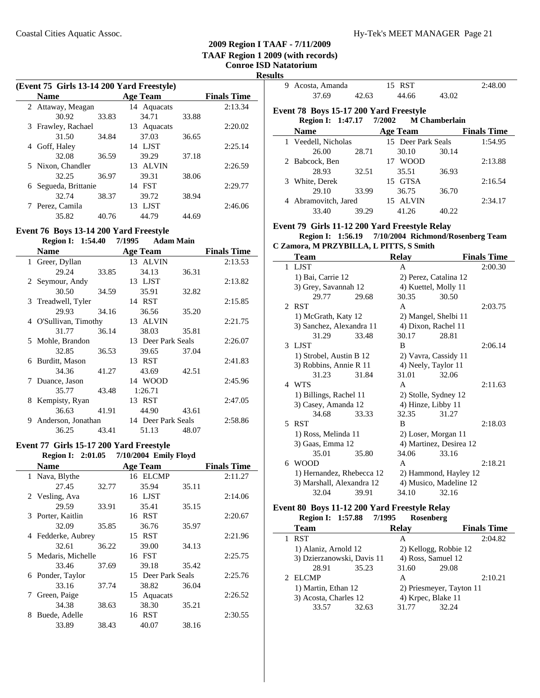**Results**

 $\overline{\phantom{0}}$ 

|   | (Event 75 Girls 13-14 200 Yard Freestyle) |       |                 |       |                    |
|---|-------------------------------------------|-------|-----------------|-------|--------------------|
|   | <b>Name</b>                               |       | <b>Age Team</b> |       | <b>Finals Time</b> |
|   | 2 Attaway, Meagan                         |       | 14 Aquacats     |       | 2:13.34            |
|   | 30.92                                     | 33.83 | 34.71           | 33.88 |                    |
|   | 3 Frawley, Rachael                        |       | 13 Aquacats     |       | 2:20.02            |
|   | 31.50                                     | 34.84 | 37.03           | 36.65 |                    |
| 4 | Goff, Haley                               |       | 14 LJST         |       | 2:25.14            |
|   | 32.08                                     | 36.59 | 39.29           | 37.18 |                    |
|   | 5 Nixon, Chandler                         |       | 13 ALVIN        |       | 2:26.59            |
|   | 32.25                                     | 36.97 | 39.31           | 38.06 |                    |
|   | 6 Segueda, Brittanie                      |       | 14 FST          |       | 2:29.77            |
|   | 32.74                                     | 38.37 | 39.72           | 38.94 |                    |
|   | 7 Perez, Camila                           |       | 13 LJST         |       | 2:46.06            |
|   | 35.82                                     | 40.76 | 44.79           | 44.69 |                    |

### **Event 76 Boys 13-14 200 Yard Freestyle**

**Region I: 1:54.40 7/1995 Adam Main** 

|   | Name                  |       | <b>Age Team</b>    |       | <b>Finals Time</b> |
|---|-----------------------|-------|--------------------|-------|--------------------|
|   | 1 Greer, Dyllan       |       | 13 ALVIN           |       | 2:13.53            |
|   | 29.24                 | 33.85 | 34.13              | 36.31 |                    |
|   | 2 Seymour, Andy       |       | 13 LJST            |       | 2:13.82            |
|   | 30.50                 | 34.59 | 35.91              | 32.82 |                    |
|   | 3 Treadwell, Tyler    |       | 14 RST             |       | 2:15.85            |
|   | 29.93                 | 34.16 | 36.56              | 35.20 |                    |
|   | 4 O'Sullivan, Timothy |       | 13 ALVIN           |       | 2:21.75            |
|   | 31.77                 | 36.14 | 38.03              | 35.81 |                    |
|   | 5 Mohle, Brandon      |       | 13 Deer Park Seals |       | 2:26.07            |
|   | 32.85                 | 36.53 | 39.65              | 37.04 |                    |
| 6 | Burditt, Mason        |       | 13 RST             |       | 2:41.83            |
|   | 34.36                 | 41.27 | 43.69              | 42.51 |                    |
| 7 | Duance, Jason         |       | 14 WOOD            |       | 2:45.96            |
|   | 35.77                 | 43.48 | 1:26.71            |       |                    |
| 8 | Kempisty, Ryan        |       | 13 RST             |       | 2:47.05            |
|   | 36.63                 | 41.91 | 44.90              | 43.61 |                    |
| 9 | Anderson, Jonathan    |       | 14 Deer Park Seals |       | 2:58.86            |
|   | 36.25                 | 43.41 | 51.13              | 48.07 |                    |

### **Event 77 Girls 15-17 200 Yard Freestyle**

### **Region I: 2:01.05 Emily Floyd 7/10/2004**

| <b>Name</b>         |       | <b>Age Team</b>    |       | <b>Finals Time</b> |
|---------------------|-------|--------------------|-------|--------------------|
| Nava, Blythe        |       | 16 ELCMP           |       | 2:11.27            |
| 27.45               | 32.77 | 35.94              | 35.11 |                    |
| 2 Vesling, Ava      |       | 16 LJST            |       | 2:14.06            |
| 29.59               | 33.91 | 35.41              | 35.15 |                    |
| 3 Porter, Kaitlin   |       | 16 RST             |       | 2:20.67            |
| 32.09               | 35.85 | 36.76              | 35.97 |                    |
| 4 Fedderke, Aubrey  |       | 15 RST             |       | 2:21.96            |
| 32.61               | 36.22 | 39.00              | 34.13 |                    |
| 5 Medaris, Michelle |       | 16 FST             |       | 2:25.75            |
| 33.46               | 37.69 | 39.18              | 35.42 |                    |
| 6 Ponder, Taylor    |       | 15 Deer Park Seals |       | 2:25.76            |
| 33.16               | 37.74 | 38.82              | 36.04 |                    |
| Green, Paige<br>7   |       | 15 Aquacats        |       | 2:26.52            |
| 34.38               | 38.63 | 38.30              | 35.21 |                    |
| Buede, Adelle<br>8  |       | 16 RST             |       | 2:30.55            |
| 33.89               | 38.43 | 40.07              | 38.16 |                    |

| 9 | Acosta, Amanda                         |       | 15 RST             |                      | 2:48.00            |
|---|----------------------------------------|-------|--------------------|----------------------|--------------------|
|   | 37.69                                  | 42.63 | 44.66              | 43.02                |                    |
|   | Event 78 Boys 15-17 200 Yard Freestyle |       |                    |                      |                    |
|   | Region I: 1:47.17 7/2002               |       |                    | <b>M</b> Chamberlain |                    |
|   | <b>Name</b>                            |       | <b>Age Team</b>    |                      | <b>Finals Time</b> |
|   | 1 Veedell, Nicholas                    |       | 15 Deer Park Seals |                      | 1:54.95            |
|   | 26.00                                  | 28.71 | 30.10              | 30.14                |                    |
|   | 2 Babcock, Ben                         |       | 17 WOOD            |                      | 2:13.88            |
|   | 28.93                                  | 32.51 | 35.51              | 36.93                |                    |
| 3 | White, Derek                           |       | 15 GTSA            |                      | 2:16.54            |
|   | 29.10                                  | 33.99 | 36.75              | 36.70                |                    |
|   | Abramovitch, Jared                     |       | AL VIN<br>15.      |                      | 2:34.17            |

# **Event 79 Girls 11-12 200 Yard Freestyle Relay**

### **Region I: 1:56.19 7/10/2004 Richmond/Rosenberg Team C Zamora, M PRZYBILLA, L PITTS, S Smith**

33.40 39.29 41.26 40.22

| <b>Team</b>               |                           | Relay |                         | <b>Finals Time</b> |
|---------------------------|---------------------------|-------|-------------------------|--------------------|
| 1 LJST                    |                           | A     |                         | 2:00.30            |
| 1) Bai, Carrie 12         |                           |       | 2) Perez, Catalina 12   |                    |
| 3) Grey, Savannah 12      |                           |       | 4) Kuettel, Molly 11    |                    |
| 29.77                     | 29.68                     | 30.35 | 30.50                   |                    |
| 2 RST                     |                           | A     |                         | 2:03.75            |
| 1) McGrath, Katy 12       |                           |       | 2) Mangel, Shelbi 11    |                    |
| 3) Sanchez, Alexandra 11  |                           |       | 4) Dixon, Rachel 11     |                    |
| 31.29                     | 33.48                     | 30.17 | 28.81                   |                    |
| 3 LJST                    |                           | B     |                         | 2:06.14            |
| 1) Strobel, Austin B 12   |                           |       | 2) Vavra, Cassidy 11    |                    |
| 3) Robbins, Annie R 11    |                           |       | 4) Neely, Taylor 11     |                    |
| 31.23                     | 31.84                     | 31.01 | 32.06                   |                    |
| 4 WTS                     |                           | A     |                         | 2:11.63            |
| 1) Billings, Rachel 11    |                           |       | 2) Stolle, Sydney 12    |                    |
| 3) Casey, Amanda 12       |                           |       | 4) Hinze, Libby 11      |                    |
| 34.68                     | 33.33                     | 32.35 | 31.27                   |                    |
| 5<br><b>RST</b>           |                           | B     |                         | 2:18.03            |
| 1) Ross, Melinda 11       |                           |       | 2) Loser, Morgan 11     |                    |
| 3) Gaas, Emma 12          |                           |       | 4) Martinez, Desirea 12 |                    |
| 35.01                     | 35.80                     | 34.06 | 33.16                   |                    |
| 6 WOOD                    |                           | A     |                         | 2:18.21            |
|                           | 1) Hernandez, Rhebecca 12 |       | 2) Hammond, Hayley 12   |                    |
| 3) Marshall, Alexandra 12 |                           |       | 4) Musico, Madeline 12  |                    |
| 32.04                     | 39.91                     | 34.10 | 32.16                   |                    |

#### **Event 80 Boys 11-12 200 Yard Freestyle Relay Region I: 1:57.88 7/1995**

| <b>INVERVIL 1. 1.07.00</b> | $\frac{1}{2}$ | <b>IVOGLIDULE</b>  |                          |                    |
|----------------------------|---------------|--------------------|--------------------------|--------------------|
| <b>Team</b>                |               | <b>Relay</b>       |                          | <b>Finals Time</b> |
| <b>RST</b>                 |               | А                  |                          | 2:04.82            |
| 1) Alaniz, Arnold 12       |               |                    | 2) Kellogg, Robbie 12    |                    |
| 3) Dzierzanowski, Davis 11 |               | 4) Ross, Samuel 12 |                          |                    |
| 28.91                      | 35.23         | 31.60              | 29.08                    |                    |
| 2 ELCMP                    |               | A                  |                          | 2:10.21            |
| 1) Martin, Ethan 12        |               |                    | 2) Priesmeyer, Tayton 11 |                    |
| 3) Acosta, Charles 12      |               | 4) Krpec, Blake 11 |                          |                    |
| 33.57                      | 32.63         | 31.77              | 32.24                    |                    |
|                            |               |                    |                          |                    |